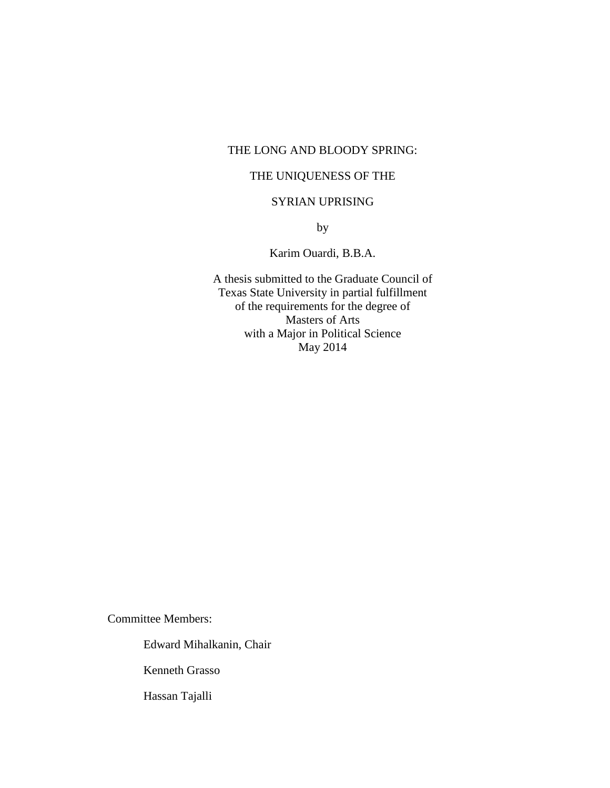## THE LONG AND BLOODY SPRING:

## THE UNIQUENESS OF THE

## SYRIAN UPRISING

by

## Karim Ouardi, B.B.A.

A thesis submitted to the Graduate Council of Texas State University in partial fulfillment of the requirements for the degree of Masters of Arts with a Major in Political Science May 2014

Committee Members:

Edward Mihalkanin, Chair

Kenneth Grasso

Hassan Tajalli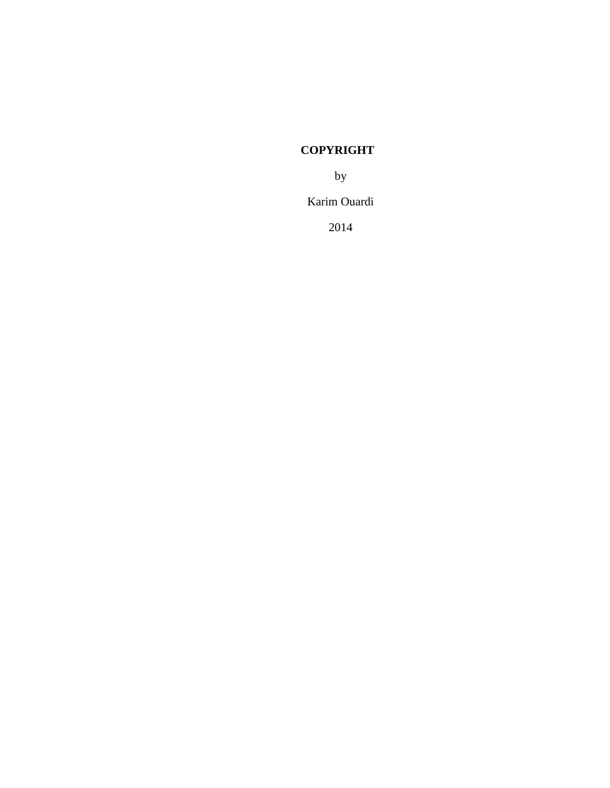## **COPYRIGHT**

by

Karim Ouardi

2014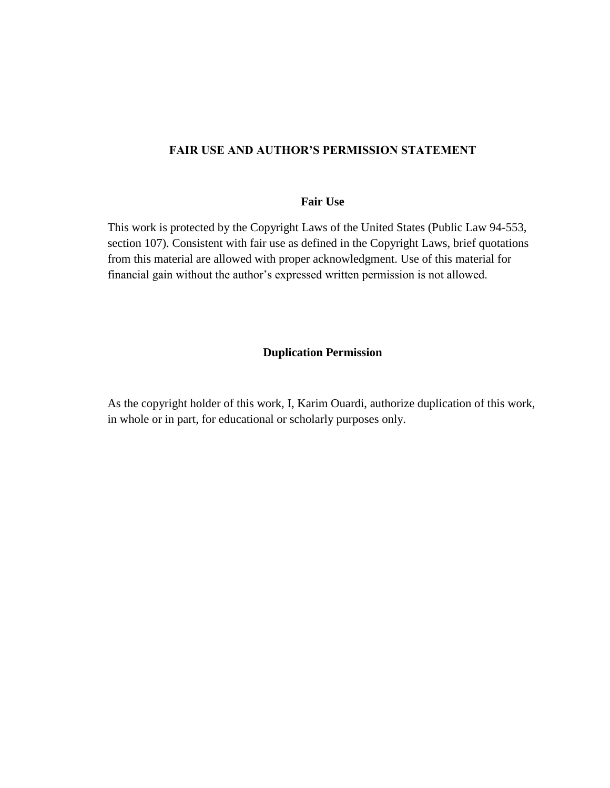## **FAIR USE AND AUTHOR'S PERMISSION STATEMENT**

### **Fair Use**

This work is protected by the Copyright Laws of the United States (Public Law 94-553, section 107). Consistent with fair use as defined in the Copyright Laws, brief quotations from this material are allowed with proper acknowledgment. Use of this material for financial gain without the author's expressed written permission is not allowed.

#### **Duplication Permission**

As the copyright holder of this work, I, Karim Ouardi, authorize duplication of this work, in whole or in part, for educational or scholarly purposes only.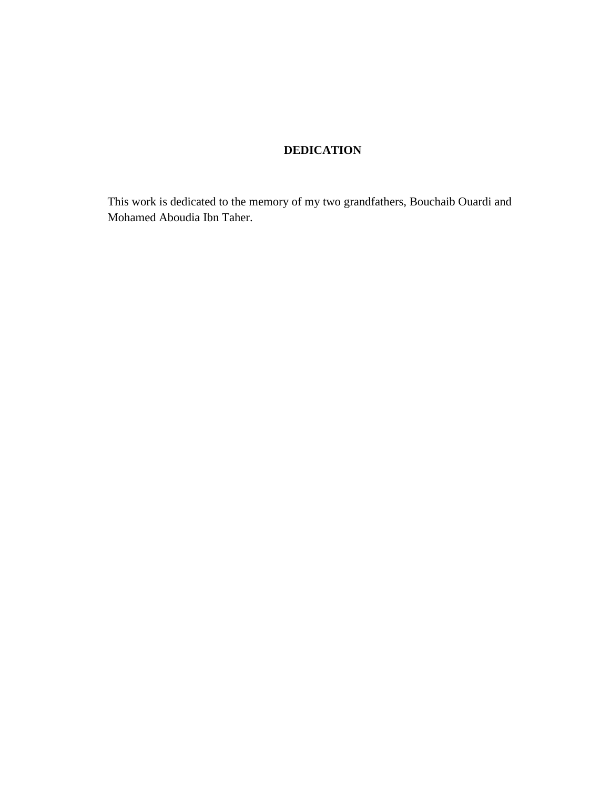## **DEDICATION**

This work is dedicated to the memory of my two grandfathers, Bouchaib Ouardi and Mohamed Aboudia Ibn Taher.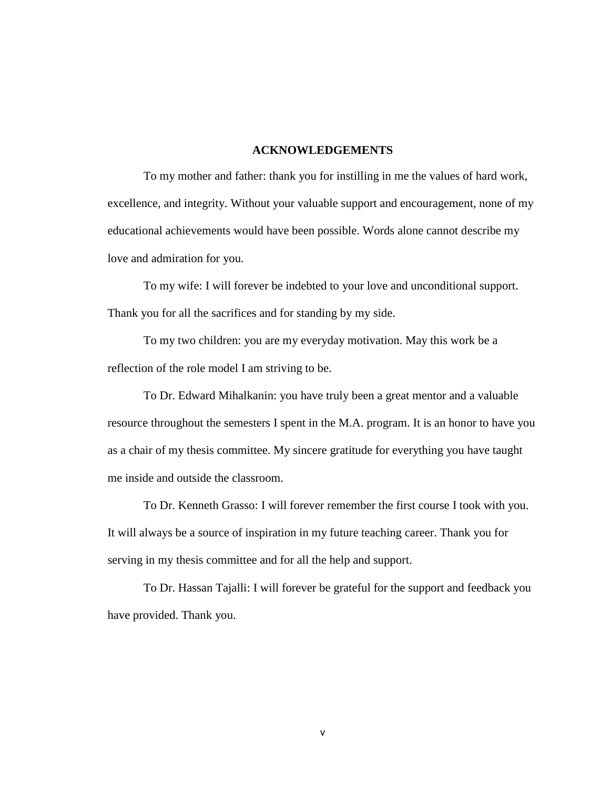#### **ACKNOWLEDGEMENTS**

To my mother and father: thank you for instilling in me the values of hard work, excellence, and integrity. Without your valuable support and encouragement, none of my educational achievements would have been possible. Words alone cannot describe my love and admiration for you.

To my wife: I will forever be indebted to your love and unconditional support. Thank you for all the sacrifices and for standing by my side.

To my two children: you are my everyday motivation. May this work be a reflection of the role model I am striving to be.

To Dr. Edward Mihalkanin: you have truly been a great mentor and a valuable resource throughout the semesters I spent in the M.A. program. It is an honor to have you as a chair of my thesis committee. My sincere gratitude for everything you have taught me inside and outside the classroom.

To Dr. Kenneth Grasso: I will forever remember the first course I took with you. It will always be a source of inspiration in my future teaching career. Thank you for serving in my thesis committee and for all the help and support.

To Dr. Hassan Tajalli: I will forever be grateful for the support and feedback you have provided. Thank you.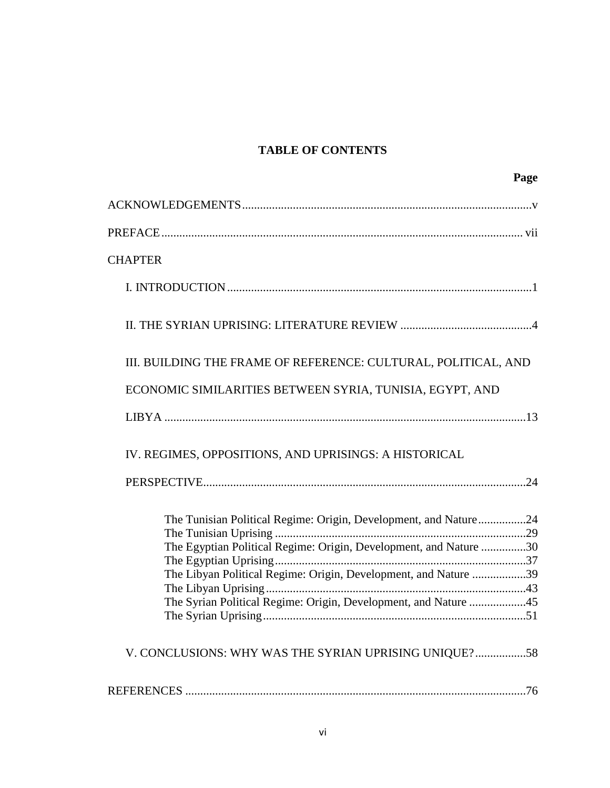## **TABLE OF CONTENTS**

|                                                                   | Page |
|-------------------------------------------------------------------|------|
|                                                                   |      |
|                                                                   |      |
| <b>CHAPTER</b>                                                    |      |
|                                                                   |      |
|                                                                   |      |
| III. BUILDING THE FRAME OF REFERENCE: CULTURAL, POLITICAL, AND    |      |
| ECONOMIC SIMILARITIES BETWEEN SYRIA, TUNISIA, EGYPT, AND          |      |
|                                                                   |      |
| IV. REGIMES, OPPOSITIONS, AND UPRISINGS: A HISTORICAL             |      |
|                                                                   |      |
| The Tunisian Political Regime: Origin, Development, and Nature24  |      |
| The Egyptian Political Regime: Origin, Development, and Nature 30 |      |
|                                                                   |      |
| The Libyan Political Regime: Origin, Development, and Nature 39   |      |
| The Syrian Political Regime: Origin, Development, and Nature 45   |      |
|                                                                   |      |
| V. CONCLUSIONS: WHY WAS THE SYRIAN UPRISING UNIQUE?58             |      |
|                                                                   |      |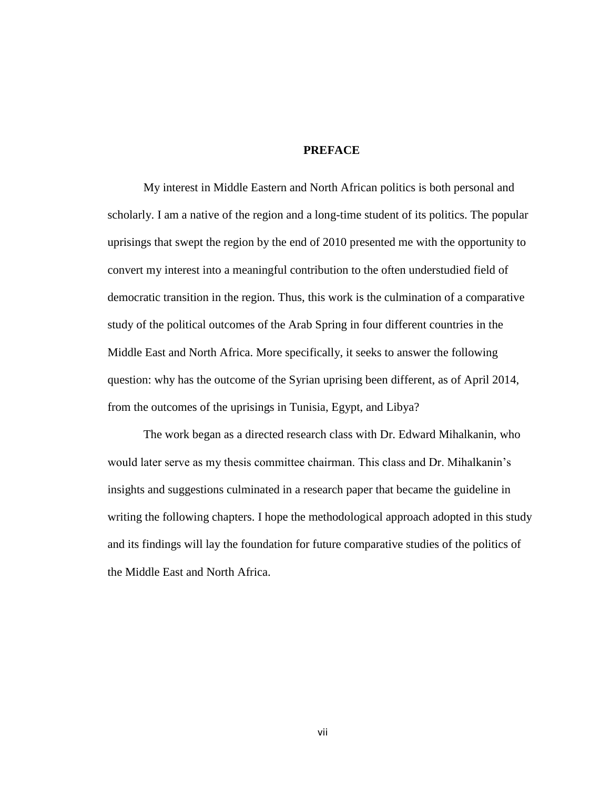#### **PREFACE**

My interest in Middle Eastern and North African politics is both personal and scholarly. I am a native of the region and a long-time student of its politics. The popular uprisings that swept the region by the end of 2010 presented me with the opportunity to convert my interest into a meaningful contribution to the often understudied field of democratic transition in the region. Thus, this work is the culmination of a comparative study of the political outcomes of the Arab Spring in four different countries in the Middle East and North Africa. More specifically, it seeks to answer the following question: why has the outcome of the Syrian uprising been different, as of April 2014, from the outcomes of the uprisings in Tunisia, Egypt, and Libya?

The work began as a directed research class with Dr. Edward Mihalkanin, who would later serve as my thesis committee chairman. This class and Dr. Mihalkanin's insights and suggestions culminated in a research paper that became the guideline in writing the following chapters. I hope the methodological approach adopted in this study and its findings will lay the foundation for future comparative studies of the politics of the Middle East and North Africa.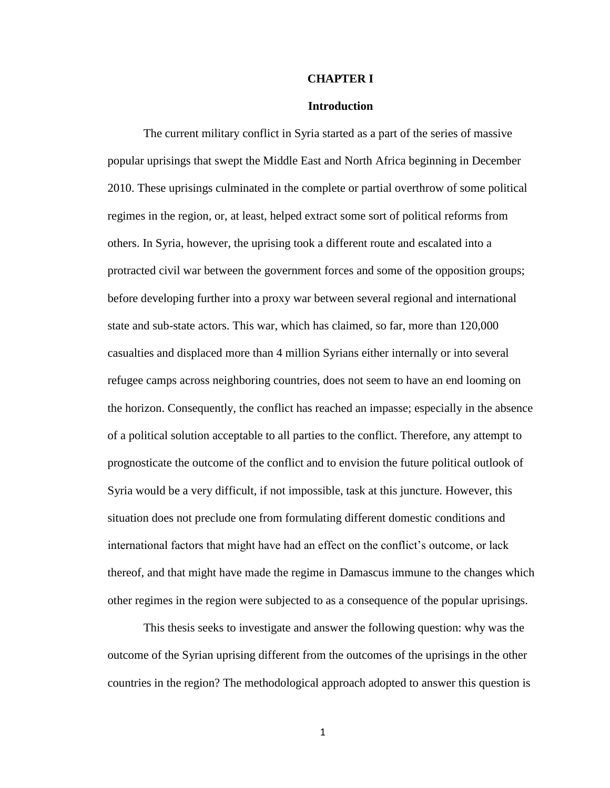#### **CHAPTER I**

#### **Introduction**

The current military conflict in Syria started as a part of the series of massive popular uprisings that swept the Middle East and North Africa beginning in December 2010. These uprisings culminated in the complete or partial overthrow of some political regimes in the region, or, at least, helped extract some sort of political reforms from others. In Syria, however, the uprising took a different route and escalated into a protracted civil war between the government forces and some of the opposition groups; before developing further into a proxy war between several regional and international state and sub-state actors. This war, which has claimed, so far, more than 120,000 casualties and displaced more than 4 million Syrians either internally or into several refugee camps across neighboring countries, does not seem to have an end looming on the horizon. Consequently, the conflict has reached an impasse; especially in the absence of a political solution acceptable to all parties to the conflict. Therefore, any attempt to prognosticate the outcome of the conflict and to envision the future political outlook of Syria would be a very difficult, if not impossible, task at this juncture. However, this situation does not preclude one from formulating different domestic conditions and international factors that might have had an effect on the conflict's outcome, or lack thereof, and that might have made the regime in Damascus immune to the changes which other regimes in the region were subjected to as a consequence of the popular uprisings.

This thesis seeks to investigate and answer the following question: why was the outcome of the Syrian uprising different from the outcomes of the uprisings in the other countries in the region? The methodological approach adopted to answer this question is

1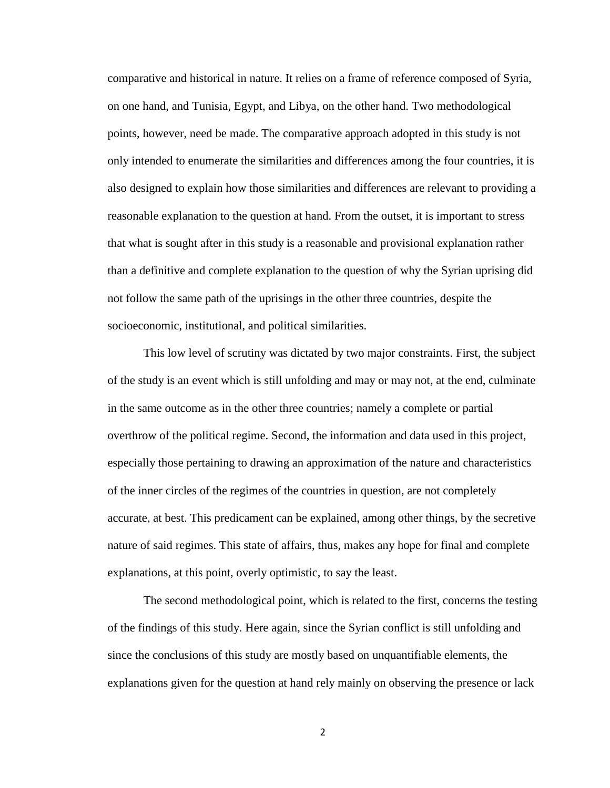comparative and historical in nature. It relies on a frame of reference composed of Syria, on one hand, and Tunisia, Egypt, and Libya, on the other hand. Two methodological points, however, need be made. The comparative approach adopted in this study is not only intended to enumerate the similarities and differences among the four countries, it is also designed to explain how those similarities and differences are relevant to providing a reasonable explanation to the question at hand. From the outset, it is important to stress that what is sought after in this study is a reasonable and provisional explanation rather than a definitive and complete explanation to the question of why the Syrian uprising did not follow the same path of the uprisings in the other three countries, despite the socioeconomic, institutional, and political similarities.

This low level of scrutiny was dictated by two major constraints. First, the subject of the study is an event which is still unfolding and may or may not, at the end, culminate in the same outcome as in the other three countries; namely a complete or partial overthrow of the political regime. Second, the information and data used in this project, especially those pertaining to drawing an approximation of the nature and characteristics of the inner circles of the regimes of the countries in question, are not completely accurate, at best. This predicament can be explained, among other things, by the secretive nature of said regimes. This state of affairs, thus, makes any hope for final and complete explanations, at this point, overly optimistic, to say the least.

The second methodological point, which is related to the first, concerns the testing of the findings of this study. Here again, since the Syrian conflict is still unfolding and since the conclusions of this study are mostly based on unquantifiable elements, the explanations given for the question at hand rely mainly on observing the presence or lack

2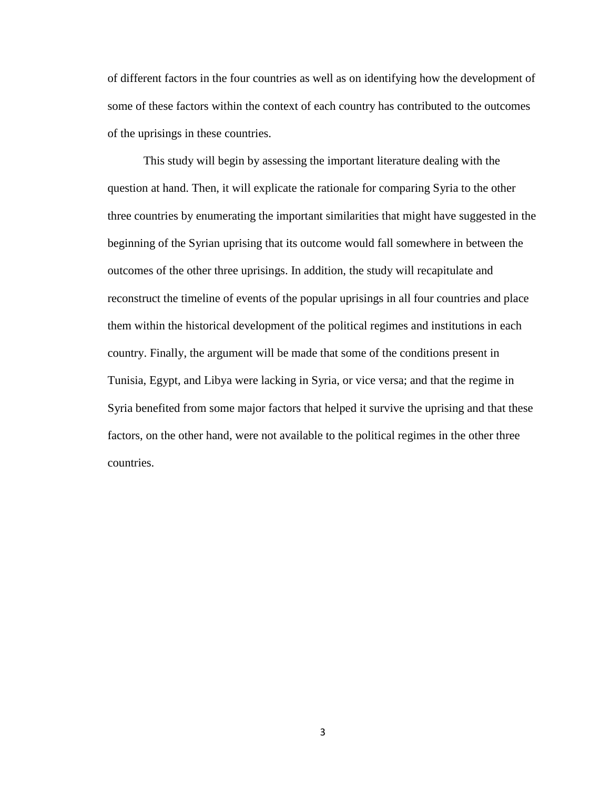of different factors in the four countries as well as on identifying how the development of some of these factors within the context of each country has contributed to the outcomes of the uprisings in these countries.

This study will begin by assessing the important literature dealing with the question at hand. Then, it will explicate the rationale for comparing Syria to the other three countries by enumerating the important similarities that might have suggested in the beginning of the Syrian uprising that its outcome would fall somewhere in between the outcomes of the other three uprisings. In addition, the study will recapitulate and reconstruct the timeline of events of the popular uprisings in all four countries and place them within the historical development of the political regimes and institutions in each country. Finally, the argument will be made that some of the conditions present in Tunisia, Egypt, and Libya were lacking in Syria, or vice versa; and that the regime in Syria benefited from some major factors that helped it survive the uprising and that these factors, on the other hand, were not available to the political regimes in the other three countries.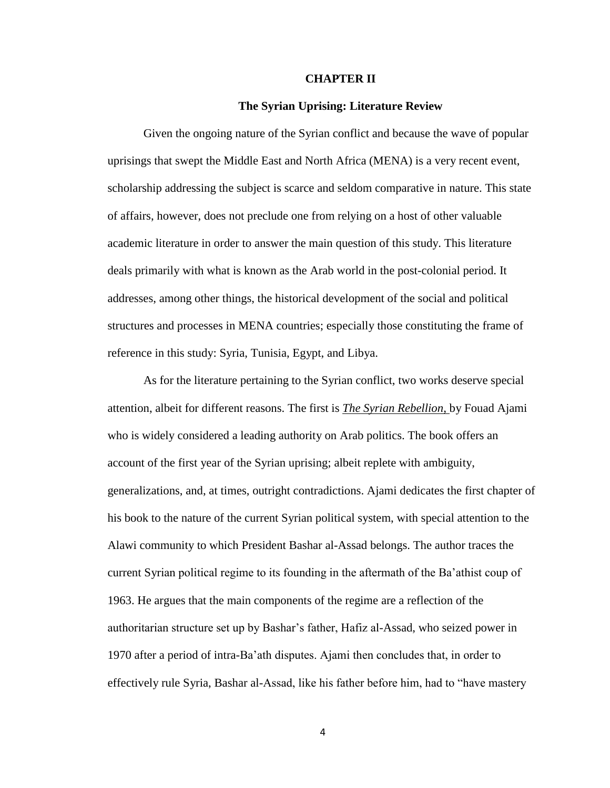#### **CHAPTER II**

#### **The Syrian Uprising: Literature Review**

Given the ongoing nature of the Syrian conflict and because the wave of popular uprisings that swept the Middle East and North Africa (MENA) is a very recent event, scholarship addressing the subject is scarce and seldom comparative in nature. This state of affairs, however, does not preclude one from relying on a host of other valuable academic literature in order to answer the main question of this study. This literature deals primarily with what is known as the Arab world in the post-colonial period. It addresses, among other things, the historical development of the social and political structures and processes in MENA countries; especially those constituting the frame of reference in this study: Syria, Tunisia, Egypt, and Libya.

As for the literature pertaining to the Syrian conflict, two works deserve special attention, albeit for different reasons. The first is *The Syrian Rebellion*, by Fouad Ajami who is widely considered a leading authority on Arab politics. The book offers an account of the first year of the Syrian uprising; albeit replete with ambiguity, generalizations, and, at times, outright contradictions. Ajami dedicates the first chapter of his book to the nature of the current Syrian political system, with special attention to the Alawi community to which President Bashar al-Assad belongs. The author traces the current Syrian political regime to its founding in the aftermath of the Ba'athist coup of 1963. He argues that the main components of the regime are a reflection of the authoritarian structure set up by Bashar's father, Hafiz al-Assad, who seized power in 1970 after a period of intra-Ba'ath disputes. Ajami then concludes that, in order to effectively rule Syria, Bashar al-Assad, like his father before him, had to "have mastery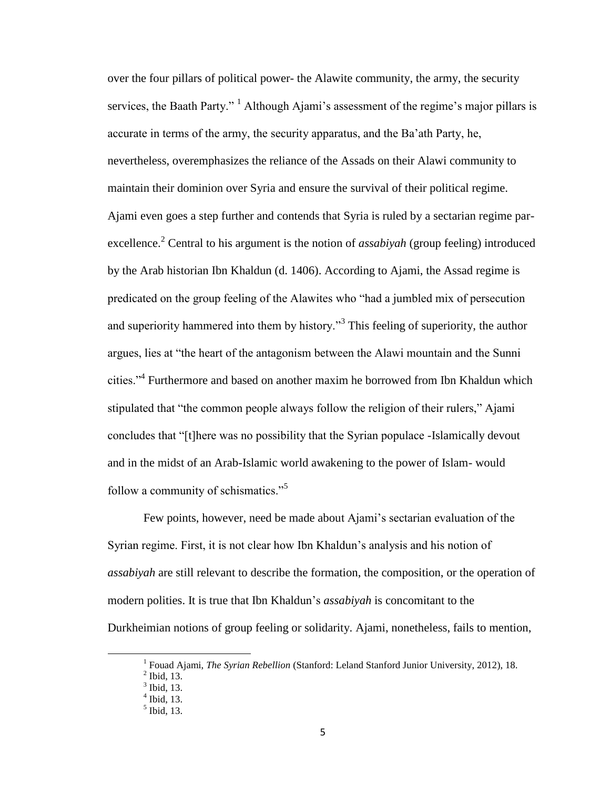over the four pillars of political power- the Alawite community, the army, the security services, the Baath Party."  $\frac{1}{1}$  Although Ajami's assessment of the regime's major pillars is accurate in terms of the army, the security apparatus, and the Ba'ath Party, he, nevertheless, overemphasizes the reliance of the Assads on their Alawi community to maintain their dominion over Syria and ensure the survival of their political regime. Ajami even goes a step further and contends that Syria is ruled by a sectarian regime parexcellence.<sup>2</sup> Central to his argument is the notion of *assabiyah* (group feeling) introduced by the Arab historian Ibn Khaldun (d. 1406). According to Ajami, the Assad regime is predicated on the group feeling of the Alawites who "had a jumbled mix of persecution and superiority hammered into them by history."<sup>3</sup> This feeling of superiority, the author argues, lies at "the heart of the antagonism between the Alawi mountain and the Sunni cities."<sup>4</sup> Furthermore and based on another maxim he borrowed from Ibn Khaldun which stipulated that "the common people always follow the religion of their rulers," Ajami concludes that "[t]here was no possibility that the Syrian populace -Islamically devout and in the midst of an Arab-Islamic world awakening to the power of Islam- would follow a community of schismatics."<sup>5</sup>

Few points, however, need be made about Ajami's sectarian evaluation of the Syrian regime. First, it is not clear how Ibn Khaldun's analysis and his notion of *assabiyah* are still relevant to describe the formation, the composition, or the operation of modern polities. It is true that Ibn Khaldun's *assabiyah* is concomitant to the Durkheimian notions of group feeling or solidarity. Ajami, nonetheless, fails to mention,

 $\overline{a}$ 

<sup>&</sup>lt;sup>1</sup> Fouad Ajami, *The Syrian Rebellion* (Stanford: Leland Stanford Junior University, 2012), 18.

 $<sup>2</sup>$  Ibid, 13.</sup>

 $<sup>3</sup>$  Ibid, 13.</sup>

 $<sup>4</sup>$  Ibid, 13.</sup>

 $<sup>5</sup>$  Ibid, 13.</sup>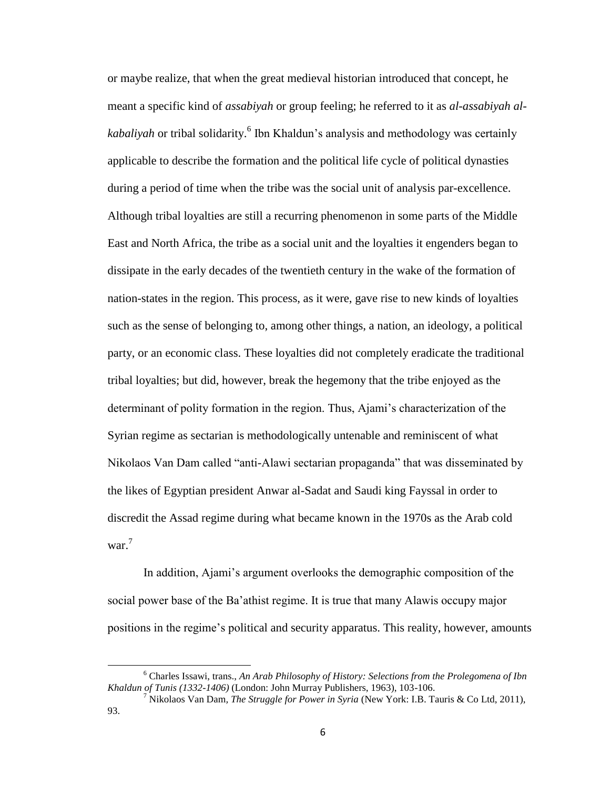or maybe realize, that when the great medieval historian introduced that concept, he meant a specific kind of *assabiyah* or group feeling; he referred to it as *al-assabiyah al*kabaliyah or tribal solidarity.<sup>6</sup> Ibn Khaldun's analysis and methodology was certainly applicable to describe the formation and the political life cycle of political dynasties during a period of time when the tribe was the social unit of analysis par-excellence. Although tribal loyalties are still a recurring phenomenon in some parts of the Middle East and North Africa, the tribe as a social unit and the loyalties it engenders began to dissipate in the early decades of the twentieth century in the wake of the formation of nation-states in the region. This process, as it were, gave rise to new kinds of loyalties such as the sense of belonging to, among other things, a nation, an ideology, a political party, or an economic class. These loyalties did not completely eradicate the traditional tribal loyalties; but did, however, break the hegemony that the tribe enjoyed as the determinant of polity formation in the region. Thus, Ajami's characterization of the Syrian regime as sectarian is methodologically untenable and reminiscent of what Nikolaos Van Dam called "anti-Alawi sectarian propaganda" that was disseminated by the likes of Egyptian president Anwar al-Sadat and Saudi king Fayssal in order to discredit the Assad regime during what became known in the 1970s as the Arab cold war.<sup>7</sup>

In addition, Ajami's argument overlooks the demographic composition of the social power base of the Ba'athist regime. It is true that many Alawis occupy major positions in the regime's political and security apparatus. This reality, however, amounts

<sup>6</sup> Charles Issawi, trans., *An Arab Philosophy of History: Selections from the Prolegomena of Ibn Khaldun of Tunis (1332-1406)* (London: John Murray Publishers, 1963), 103-106.

<sup>7</sup> Nikolaos Van Dam*, The Struggle for Power in Syria* (New York: I.B. Tauris & Co Ltd, 2011), 93.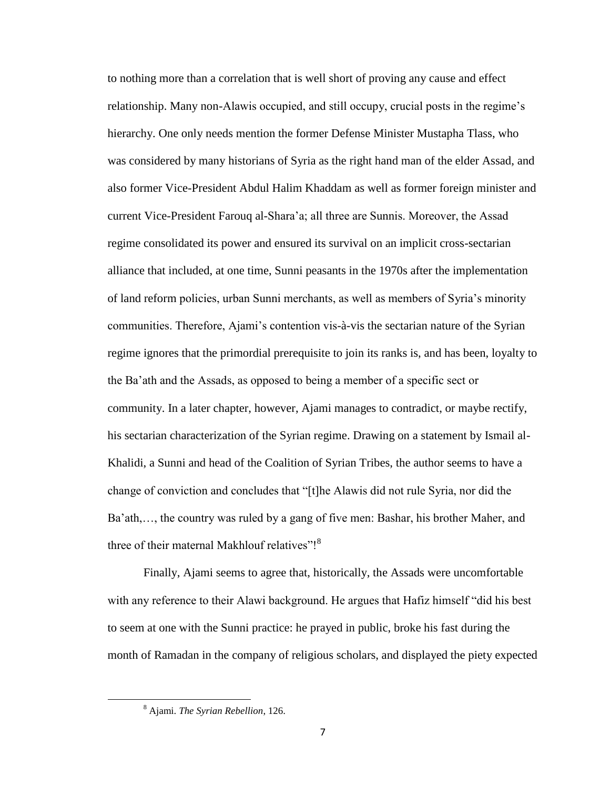to nothing more than a correlation that is well short of proving any cause and effect relationship. Many non-Alawis occupied, and still occupy, crucial posts in the regime's hierarchy. One only needs mention the former Defense Minister Mustapha Tlass, who was considered by many historians of Syria as the right hand man of the elder Assad, and also former Vice-President Abdul Halim Khaddam as well as former foreign minister and current Vice-President Farouq al-Shara'a; all three are Sunnis. Moreover, the Assad regime consolidated its power and ensured its survival on an implicit cross-sectarian alliance that included, at one time, Sunni peasants in the 1970s after the implementation of land reform policies, urban Sunni merchants, as well as members of Syria's minority communities. Therefore, Ajami's contention vis-à-vis the sectarian nature of the Syrian regime ignores that the primordial prerequisite to join its ranks is, and has been, loyalty to the Ba'ath and the Assads, as opposed to being a member of a specific sect or community. In a later chapter, however, Ajami manages to contradict, or maybe rectify, his sectarian characterization of the Syrian regime. Drawing on a statement by Ismail al-Khalidi, a Sunni and head of the Coalition of Syrian Tribes, the author seems to have a change of conviction and concludes that "[t]he Alawis did not rule Syria, nor did the Ba'ath,…, the country was ruled by a gang of five men: Bashar, his brother Maher, and three of their maternal Makhlouf relatives"!<sup>8</sup>

Finally, Ajami seems to agree that, historically, the Assads were uncomfortable with any reference to their Alawi background. He argues that Hafiz himself "did his best to seem at one with the Sunni practice: he prayed in public, broke his fast during the month of Ramadan in the company of religious scholars, and displayed the piety expected

<sup>8</sup> Ajami. *The Syrian Rebellion*, 126.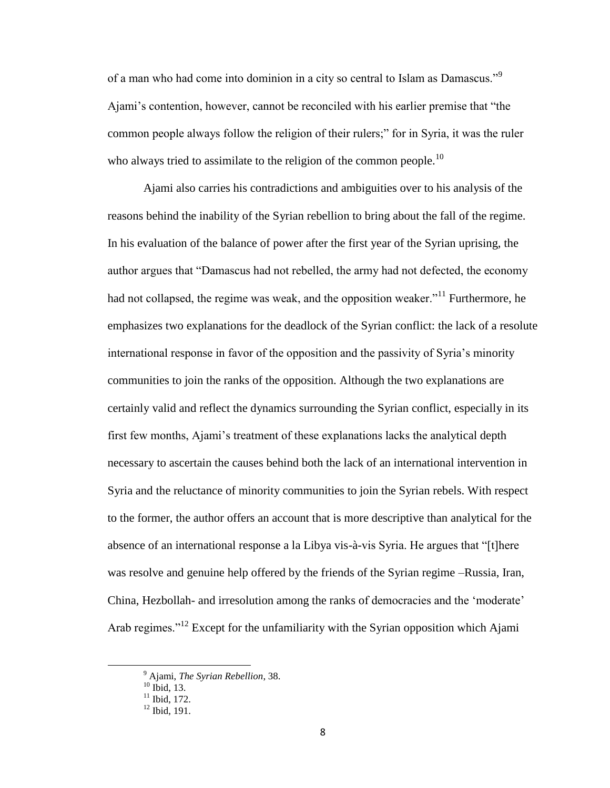of a man who had come into dominion in a city so central to Islam as Damascus."<sup>9</sup> Ajami's contention, however, cannot be reconciled with his earlier premise that "the common people always follow the religion of their rulers;" for in Syria, it was the ruler who always tried to assimilate to the religion of the common people.<sup>10</sup>

Ajami also carries his contradictions and ambiguities over to his analysis of the reasons behind the inability of the Syrian rebellion to bring about the fall of the regime. In his evaluation of the balance of power after the first year of the Syrian uprising, the author argues that "Damascus had not rebelled, the army had not defected, the economy had not collapsed, the regime was weak, and the opposition weaker."<sup>11</sup> Furthermore, he emphasizes two explanations for the deadlock of the Syrian conflict: the lack of a resolute international response in favor of the opposition and the passivity of Syria's minority communities to join the ranks of the opposition. Although the two explanations are certainly valid and reflect the dynamics surrounding the Syrian conflict, especially in its first few months, Ajami's treatment of these explanations lacks the analytical depth necessary to ascertain the causes behind both the lack of an international intervention in Syria and the reluctance of minority communities to join the Syrian rebels. With respect to the former, the author offers an account that is more descriptive than analytical for the absence of an international response a la Libya vis-à-vis Syria. He argues that "[t]here was resolve and genuine help offered by the friends of the Syrian regime –Russia, Iran, China, Hezbollah- and irresolution among the ranks of democracies and the 'moderate' Arab regimes."<sup>12</sup> Except for the unfamiliarity with the Syrian opposition which Ajami

<sup>9</sup> Ajami, *The Syrian Rebellion*, 38.

 $10$  Ibid, 13.

 $\overline{11}$  Ibid, 172.

<sup>12</sup> Ibid, 191.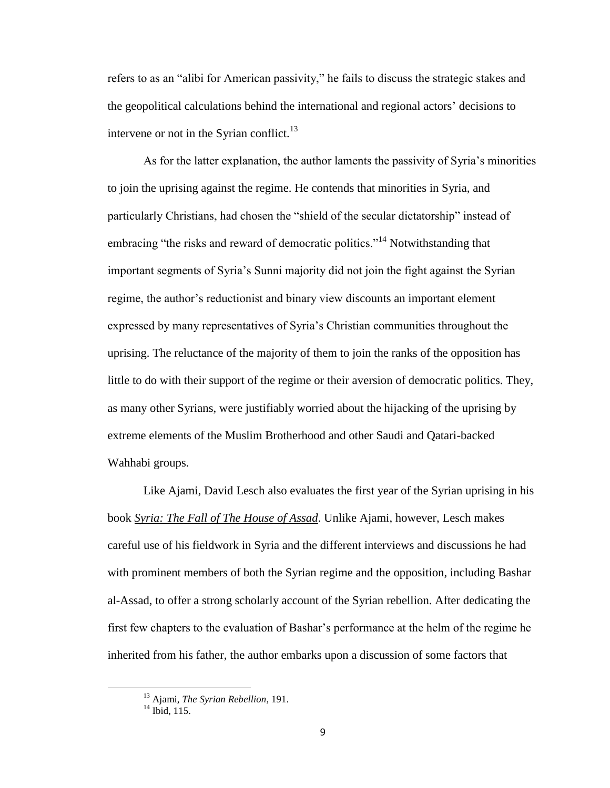refers to as an "alibi for American passivity," he fails to discuss the strategic stakes and the geopolitical calculations behind the international and regional actors' decisions to intervene or not in the Syrian conflict.<sup>13</sup>

As for the latter explanation, the author laments the passivity of Syria's minorities to join the uprising against the regime. He contends that minorities in Syria, and particularly Christians, had chosen the "shield of the secular dictatorship" instead of embracing "the risks and reward of democratic politics."<sup>14</sup> Notwithstanding that important segments of Syria's Sunni majority did not join the fight against the Syrian regime, the author's reductionist and binary view discounts an important element expressed by many representatives of Syria's Christian communities throughout the uprising. The reluctance of the majority of them to join the ranks of the opposition has little to do with their support of the regime or their aversion of democratic politics. They, as many other Syrians, were justifiably worried about the hijacking of the uprising by extreme elements of the Muslim Brotherhood and other Saudi and Qatari-backed Wahhabi groups.

Like Ajami, David Lesch also evaluates the first year of the Syrian uprising in his book *Syria: The Fall of The House of Assad*. Unlike Ajami, however, Lesch makes careful use of his fieldwork in Syria and the different interviews and discussions he had with prominent members of both the Syrian regime and the opposition, including Bashar al-Assad, to offer a strong scholarly account of the Syrian rebellion. After dedicating the first few chapters to the evaluation of Bashar's performance at the helm of the regime he inherited from his father, the author embarks upon a discussion of some factors that

<sup>13</sup> Ajami, *The Syrian Rebellion*, 191.

 $14$  Ibid, 115.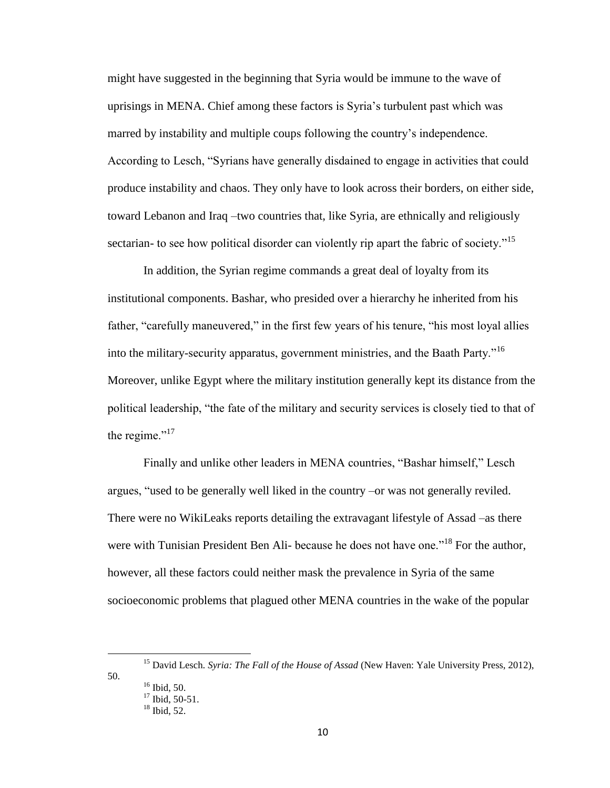might have suggested in the beginning that Syria would be immune to the wave of uprisings in MENA. Chief among these factors is Syria's turbulent past which was marred by instability and multiple coups following the country's independence. According to Lesch, "Syrians have generally disdained to engage in activities that could produce instability and chaos. They only have to look across their borders, on either side, toward Lebanon and Iraq –two countries that, like Syria, are ethnically and religiously sectarian- to see how political disorder can violently rip apart the fabric of society."<sup>15</sup>

In addition, the Syrian regime commands a great deal of loyalty from its institutional components. Bashar, who presided over a hierarchy he inherited from his father, "carefully maneuvered," in the first few years of his tenure, "his most loyal allies into the military-security apparatus, government ministries, and the Baath Party."<sup>16</sup> Moreover, unlike Egypt where the military institution generally kept its distance from the political leadership, "the fate of the military and security services is closely tied to that of the regime." $17$ 

Finally and unlike other leaders in MENA countries, "Bashar himself," Lesch argues, "used to be generally well liked in the country –or was not generally reviled. There were no WikiLeaks reports detailing the extravagant lifestyle of Assad –as there were with Tunisian President Ben Ali- because he does not have one.<sup>"18</sup> For the author, however, all these factors could neither mask the prevalence in Syria of the same socioeconomic problems that plagued other MENA countries in the wake of the popular

50.

 $\overline{a}$ 

<sup>15</sup> David Lesch. *Syria: The Fall of the House of Assad* (New Haven: Yale University Press, 2012),

 $16$  Ibid, 50.  $17$  Ibid, 50-51.

 $18$  Ibid, 52.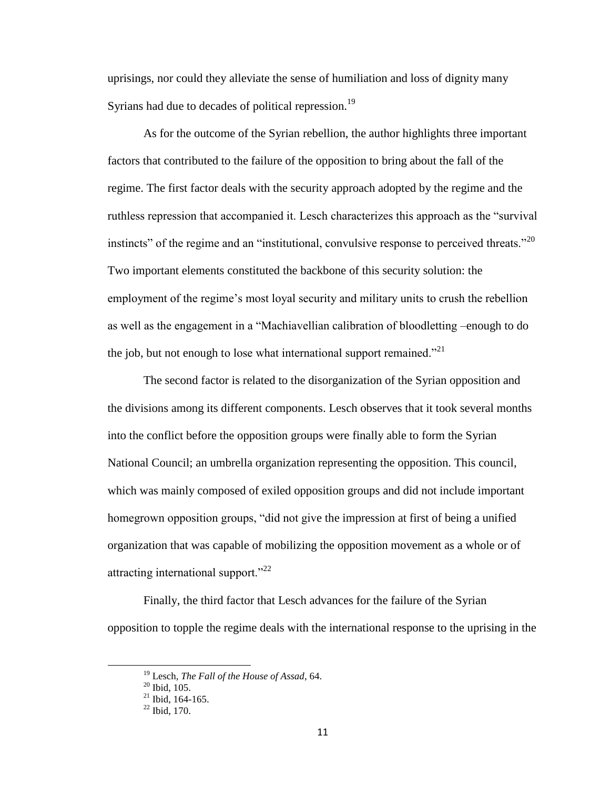uprisings, nor could they alleviate the sense of humiliation and loss of dignity many Syrians had due to decades of political repression.<sup>19</sup>

As for the outcome of the Syrian rebellion, the author highlights three important factors that contributed to the failure of the opposition to bring about the fall of the regime. The first factor deals with the security approach adopted by the regime and the ruthless repression that accompanied it. Lesch characterizes this approach as the "survival instincts" of the regime and an "institutional, convulsive response to perceived threats."<sup>20</sup> Two important elements constituted the backbone of this security solution: the employment of the regime's most loyal security and military units to crush the rebellion as well as the engagement in a "Machiavellian calibration of bloodletting –enough to do the job, but not enough to lose what international support remained.<sup>"21</sup>

The second factor is related to the disorganization of the Syrian opposition and the divisions among its different components. Lesch observes that it took several months into the conflict before the opposition groups were finally able to form the Syrian National Council; an umbrella organization representing the opposition. This council, which was mainly composed of exiled opposition groups and did not include important homegrown opposition groups, "did not give the impression at first of being a unified organization that was capable of mobilizing the opposition movement as a whole or of attracting international support."<sup>22</sup>

Finally, the third factor that Lesch advances for the failure of the Syrian opposition to topple the regime deals with the international response to the uprising in the

<sup>19</sup> Lesch*, The Fall of the House of Assad*, 64.

 $20$  Ibid, 105.

 $^{21}$  Ibid. 164-165.

 $22$  Ibid, 170.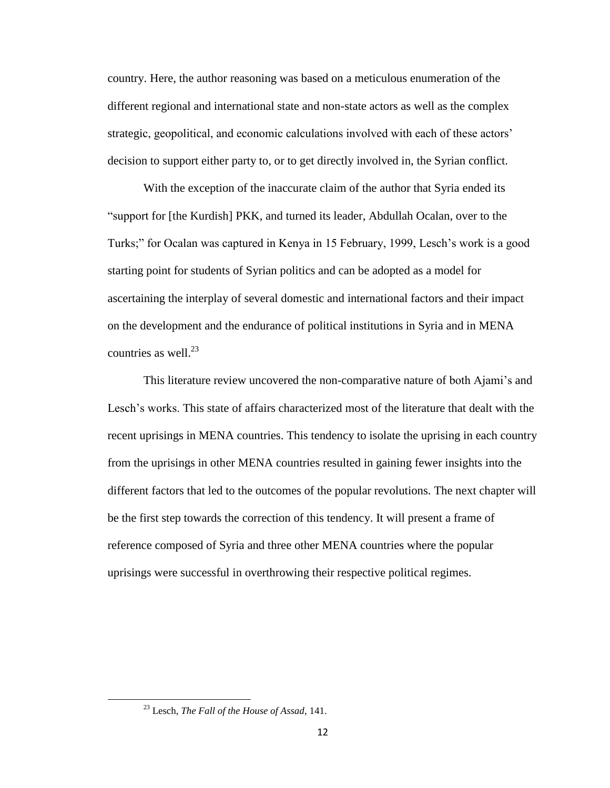country. Here, the author reasoning was based on a meticulous enumeration of the different regional and international state and non-state actors as well as the complex strategic, geopolitical, and economic calculations involved with each of these actors' decision to support either party to, or to get directly involved in, the Syrian conflict.

With the exception of the inaccurate claim of the author that Syria ended its "support for [the Kurdish] PKK, and turned its leader, Abdullah Ocalan, over to the Turks;" for Ocalan was captured in Kenya in 15 February, 1999, Lesch's work is a good starting point for students of Syrian politics and can be adopted as a model for ascertaining the interplay of several domestic and international factors and their impact on the development and the endurance of political institutions in Syria and in MENA countries as well.<sup>23</sup>

This literature review uncovered the non-comparative nature of both Ajami's and Lesch's works. This state of affairs characterized most of the literature that dealt with the recent uprisings in MENA countries. This tendency to isolate the uprising in each country from the uprisings in other MENA countries resulted in gaining fewer insights into the different factors that led to the outcomes of the popular revolutions. The next chapter will be the first step towards the correction of this tendency. It will present a frame of reference composed of Syria and three other MENA countries where the popular uprisings were successful in overthrowing their respective political regimes.

<sup>23</sup> Lesch, *The Fall of the House of Assad*, 141.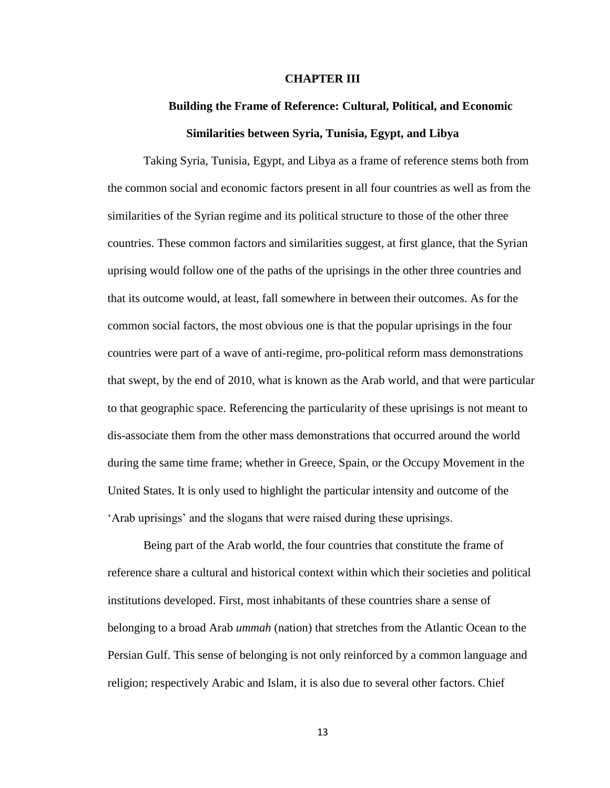#### **CHAPTER III**

# **Building the Frame of Reference: Cultural, Political, and Economic Similarities between Syria, Tunisia, Egypt, and Libya**

Taking Syria, Tunisia, Egypt, and Libya as a frame of reference stems both from the common social and economic factors present in all four countries as well as from the similarities of the Syrian regime and its political structure to those of the other three countries. These common factors and similarities suggest, at first glance, that the Syrian uprising would follow one of the paths of the uprisings in the other three countries and that its outcome would, at least, fall somewhere in between their outcomes. As for the common social factors, the most obvious one is that the popular uprisings in the four countries were part of a wave of anti-regime, pro-political reform mass demonstrations that swept, by the end of 2010, what is known as the Arab world, and that were particular to that geographic space. Referencing the particularity of these uprisings is not meant to dis-associate them from the other mass demonstrations that occurred around the world during the same time frame; whether in Greece, Spain, or the Occupy Movement in the United States. It is only used to highlight the particular intensity and outcome of the 'Arab uprisings' and the slogans that were raised during these uprisings.

Being part of the Arab world, the four countries that constitute the frame of reference share a cultural and historical context within which their societies and political institutions developed. First, most inhabitants of these countries share a sense of belonging to a broad Arab *ummah* (nation) that stretches from the Atlantic Ocean to the Persian Gulf. This sense of belonging is not only reinforced by a common language and religion; respectively Arabic and Islam, it is also due to several other factors. Chief

13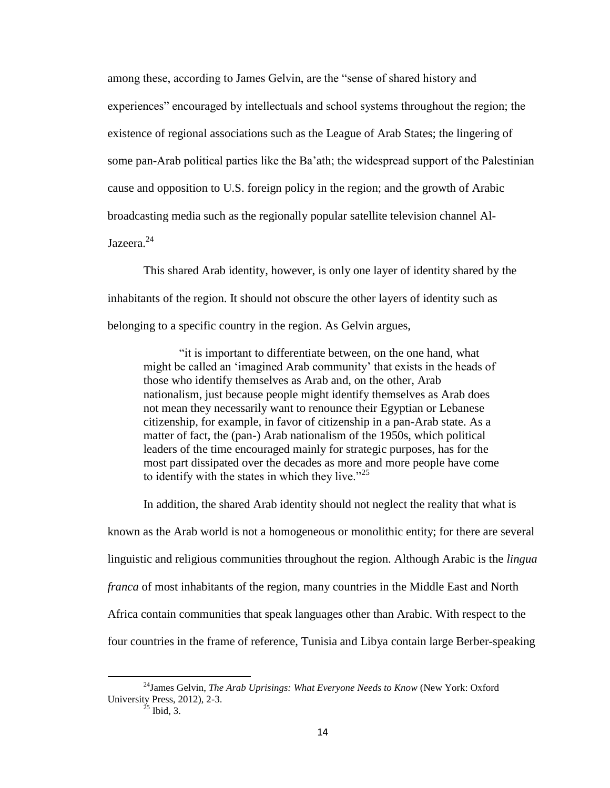among these, according to James Gelvin, are the "sense of shared history and experiences" encouraged by intellectuals and school systems throughout the region; the existence of regional associations such as the League of Arab States; the lingering of some pan-Arab political parties like the Ba'ath; the widespread support of the Palestinian cause and opposition to U.S. foreign policy in the region; and the growth of Arabic broadcasting media such as the regionally popular satellite television channel Al-Jazeera. 24

This shared Arab identity, however, is only one layer of identity shared by the inhabitants of the region. It should not obscure the other layers of identity such as belonging to a specific country in the region. As Gelvin argues,

"it is important to differentiate between, on the one hand, what might be called an 'imagined Arab community' that exists in the heads of those who identify themselves as Arab and, on the other, Arab nationalism, just because people might identify themselves as Arab does not mean they necessarily want to renounce their Egyptian or Lebanese citizenship, for example, in favor of citizenship in a pan-Arab state. As a matter of fact, the (pan-) Arab nationalism of the 1950s, which political leaders of the time encouraged mainly for strategic purposes, has for the most part dissipated over the decades as more and more people have come to identify with the states in which they live." $25$ 

In addition, the shared Arab identity should not neglect the reality that what is known as the Arab world is not a homogeneous or monolithic entity; for there are several linguistic and religious communities throughout the region. Although Arabic is the *lingua franca* of most inhabitants of the region, many countries in the Middle East and North Africa contain communities that speak languages other than Arabic. With respect to the four countries in the frame of reference, Tunisia and Libya contain large Berber-speaking

<sup>24</sup>James Gelvin, *The Arab Uprisings: What Everyone Needs to Know* (New York: Oxford University Press, 2012), 2-3.

 $^{25}$  Ibid, 3.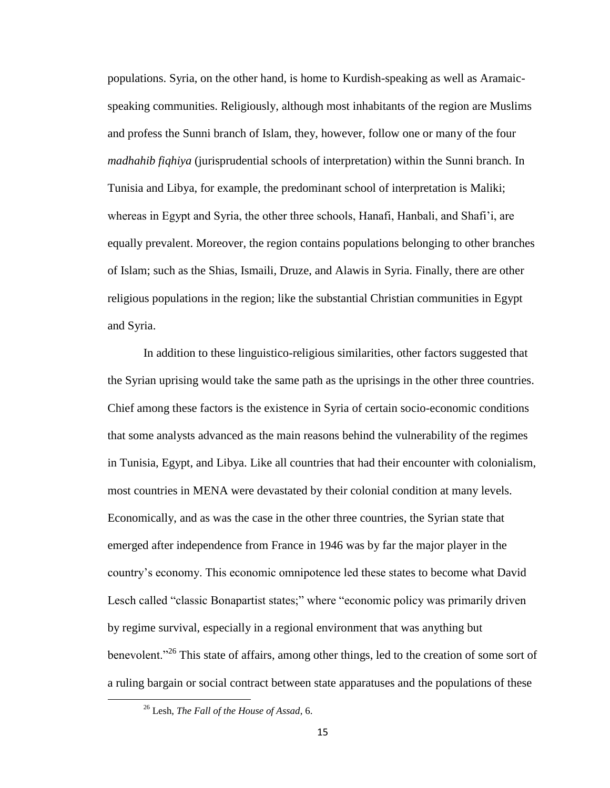populations. Syria, on the other hand, is home to Kurdish-speaking as well as Aramaicspeaking communities. Religiously, although most inhabitants of the region are Muslims and profess the Sunni branch of Islam, they, however, follow one or many of the four *madhahib fiqhiya* (jurisprudential schools of interpretation) within the Sunni branch. In Tunisia and Libya, for example, the predominant school of interpretation is Maliki; whereas in Egypt and Syria, the other three schools, Hanafi, Hanbali, and Shafi'i, are equally prevalent. Moreover, the region contains populations belonging to other branches of Islam; such as the Shias, Ismaili, Druze, and Alawis in Syria. Finally, there are other religious populations in the region; like the substantial Christian communities in Egypt and Syria.

In addition to these linguistico-religious similarities, other factors suggested that the Syrian uprising would take the same path as the uprisings in the other three countries. Chief among these factors is the existence in Syria of certain socio-economic conditions that some analysts advanced as the main reasons behind the vulnerability of the regimes in Tunisia, Egypt, and Libya. Like all countries that had their encounter with colonialism, most countries in MENA were devastated by their colonial condition at many levels. Economically, and as was the case in the other three countries, the Syrian state that emerged after independence from France in 1946 was by far the major player in the country's economy. This economic omnipotence led these states to become what David Lesch called "classic Bonapartist states;" where "economic policy was primarily driven by regime survival, especially in a regional environment that was anything but benevolent."<sup>26</sup> This state of affairs, among other things, led to the creation of some sort of a ruling bargain or social contract between state apparatuses and the populations of these

<sup>26</sup> Lesh, *The Fall of the House of Assad*, 6.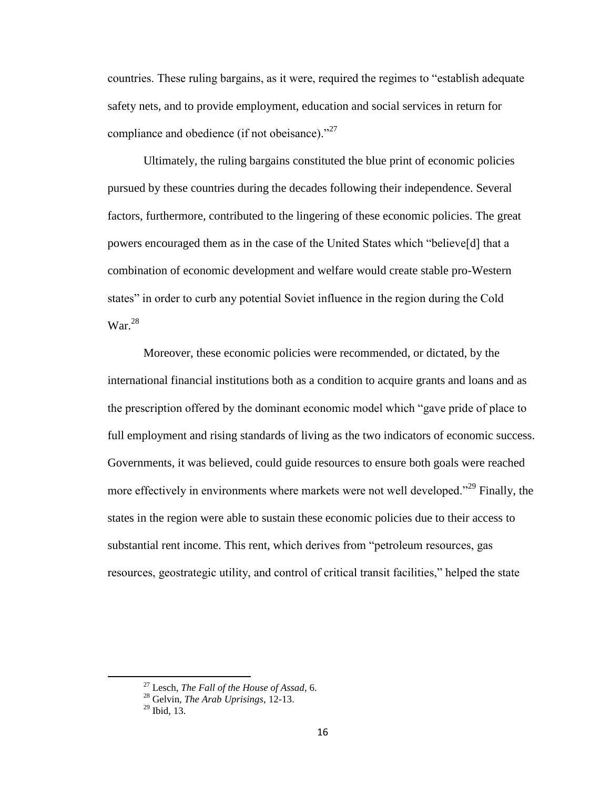countries. These ruling bargains, as it were, required the regimes to "establish adequate safety nets, and to provide employment, education and social services in return for compliance and obedience (if not obeisance). $^{27}$ 

Ultimately, the ruling bargains constituted the blue print of economic policies pursued by these countries during the decades following their independence. Several factors, furthermore, contributed to the lingering of these economic policies. The great powers encouraged them as in the case of the United States which "believe[d] that a combination of economic development and welfare would create stable pro-Western states" in order to curb any potential Soviet influence in the region during the Cold  $\text{War.}^{28}$ 

Moreover, these economic policies were recommended, or dictated, by the international financial institutions both as a condition to acquire grants and loans and as the prescription offered by the dominant economic model which "gave pride of place to full employment and rising standards of living as the two indicators of economic success. Governments, it was believed, could guide resources to ensure both goals were reached more effectively in environments where markets were not well developed."<sup>29</sup> Finally, the states in the region were able to sustain these economic policies due to their access to substantial rent income. This rent, which derives from "petroleum resources, gas resources, geostrategic utility, and control of critical transit facilities," helped the state

<sup>27</sup> Lesch, *The Fall of the House of Assad*, 6.

<sup>28</sup> Gelvin, *The Arab Uprisings*, 12-13.

 $29$  Ibid, 13.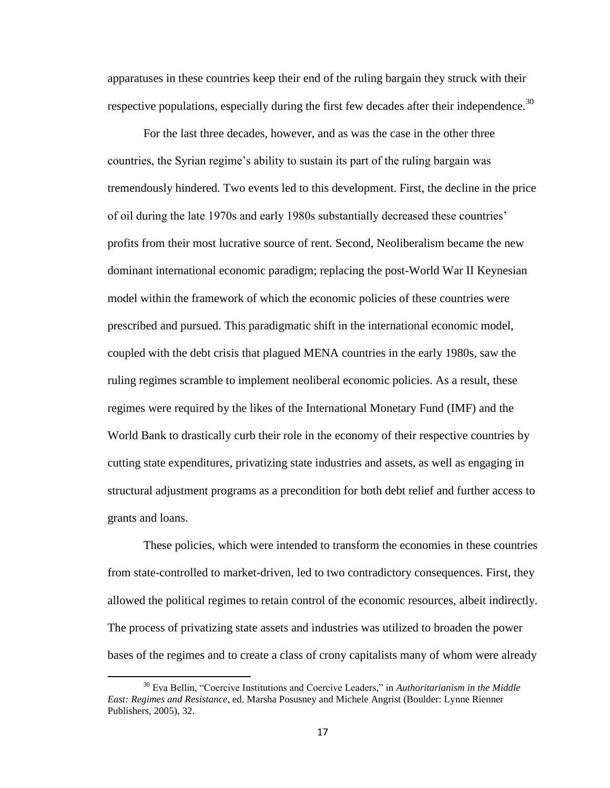apparatuses in these countries keep their end of the ruling bargain they struck with their respective populations, especially during the first few decades after their independence.<sup>30</sup>

For the last three decades, however, and as was the case in the other three countries, the Syrian regime's ability to sustain its part of the ruling bargain was tremendously hindered. Two events led to this development. First, the decline in the price of oil during the late 1970s and early 1980s substantially decreased these countries' profits from their most lucrative source of rent. Second, Neoliberalism became the new dominant international economic paradigm; replacing the post-World War II Keynesian model within the framework of which the economic policies of these countries were prescribed and pursued. This paradigmatic shift in the international economic model, coupled with the debt crisis that plagued MENA countries in the early 1980s, saw the ruling regimes scramble to implement neoliberal economic policies. As a result, these regimes were required by the likes of the International Monetary Fund (IMF) and the World Bank to drastically curb their role in the economy of their respective countries by cutting state expenditures, privatizing state industries and assets, as well as engaging in structural adjustment programs as a precondition for both debt relief and further access to grants and loans.

These policies, which were intended to transform the economies in these countries from state-controlled to market-driven, led to two contradictory consequences. First, they allowed the political regimes to retain control of the economic resources, albeit indirectly. The process of privatizing state assets and industries was utilized to broaden the power bases of the regimes and to create a class of crony capitalists many of whom were already

<sup>30</sup> Eva Bellin, "Coercive Institutions and Coercive Leaders," in *Authoritarianism in the Middle East: Regimes and Resistance*, ed. Marsha Posusney and Michele Angrist (Boulder: Lynne Rienner Publishers, 2005), 32.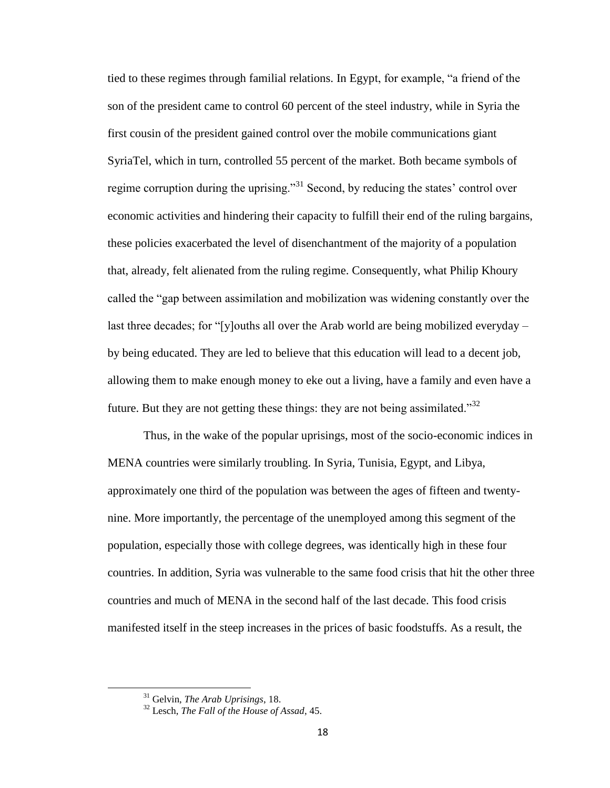tied to these regimes through familial relations. In Egypt, for example, "a friend of the son of the president came to control 60 percent of the steel industry, while in Syria the first cousin of the president gained control over the mobile communications giant SyriaTel, which in turn, controlled 55 percent of the market. Both became symbols of regime corruption during the uprising."<sup>31</sup> Second, by reducing the states' control over economic activities and hindering their capacity to fulfill their end of the ruling bargains, these policies exacerbated the level of disenchantment of the majority of a population that, already, felt alienated from the ruling regime. Consequently, what Philip Khoury called the "gap between assimilation and mobilization was widening constantly over the last three decades; for "[y]ouths all over the Arab world are being mobilized everyday – by being educated. They are led to believe that this education will lead to a decent job, allowing them to make enough money to eke out a living, have a family and even have a future. But they are not getting these things: they are not being assimilated.<sup>332</sup>

Thus, in the wake of the popular uprisings, most of the socio-economic indices in MENA countries were similarly troubling. In Syria, Tunisia, Egypt, and Libya, approximately one third of the population was between the ages of fifteen and twentynine. More importantly, the percentage of the unemployed among this segment of the population, especially those with college degrees, was identically high in these four countries. In addition, Syria was vulnerable to the same food crisis that hit the other three countries and much of MENA in the second half of the last decade. This food crisis manifested itself in the steep increases in the prices of basic foodstuffs. As a result, the

<sup>31</sup> Gelvin, *The Arab Uprisings*, 18.

<sup>32</sup> Lesch, *The Fall of the House of Assad*, 45.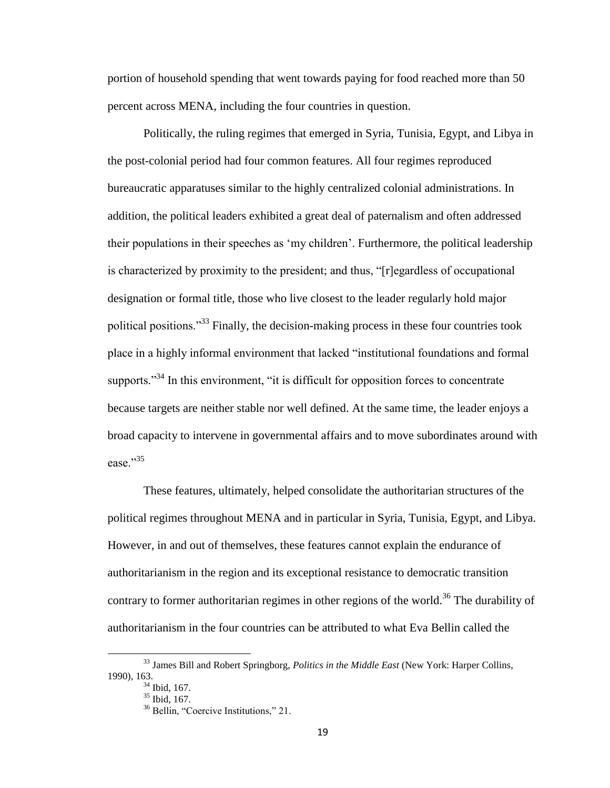portion of household spending that went towards paying for food reached more than 50 percent across MENA, including the four countries in question.

Politically, the ruling regimes that emerged in Syria, Tunisia, Egypt, and Libya in the post-colonial period had four common features. All four regimes reproduced bureaucratic apparatuses similar to the highly centralized colonial administrations. In addition, the political leaders exhibited a great deal of paternalism and often addressed their populations in their speeches as 'my children'. Furthermore, the political leadership is characterized by proximity to the president; and thus, "[r]egardless of occupational designation or formal title, those who live closest to the leader regularly hold major political positions."<sup>33</sup> Finally, the decision-making process in these four countries took place in a highly informal environment that lacked "institutional foundations and formal supports. $1^{34}$  In this environment, "it is difficult for opposition forces to concentrate because targets are neither stable nor well defined. At the same time, the leader enjoys a broad capacity to intervene in governmental affairs and to move subordinates around with ease."35

These features, ultimately, helped consolidate the authoritarian structures of the political regimes throughout MENA and in particular in Syria, Tunisia, Egypt, and Libya. However, in and out of themselves, these features cannot explain the endurance of authoritarianism in the region and its exceptional resistance to democratic transition contrary to former authoritarian regimes in other regions of the world.<sup>36</sup> The durability of authoritarianism in the four countries can be attributed to what Eva Bellin called the

 $\overline{a}$ 

<sup>33</sup> James Bill and Robert Springborg, *Politics in the Middle East* (New York: Harper Collins, 1990), 163.

 $34$  Ibid, 167.

 $35$  Ibid, 167.

<sup>&</sup>lt;sup>36</sup> Bellin, "Coercive Institutions," 21.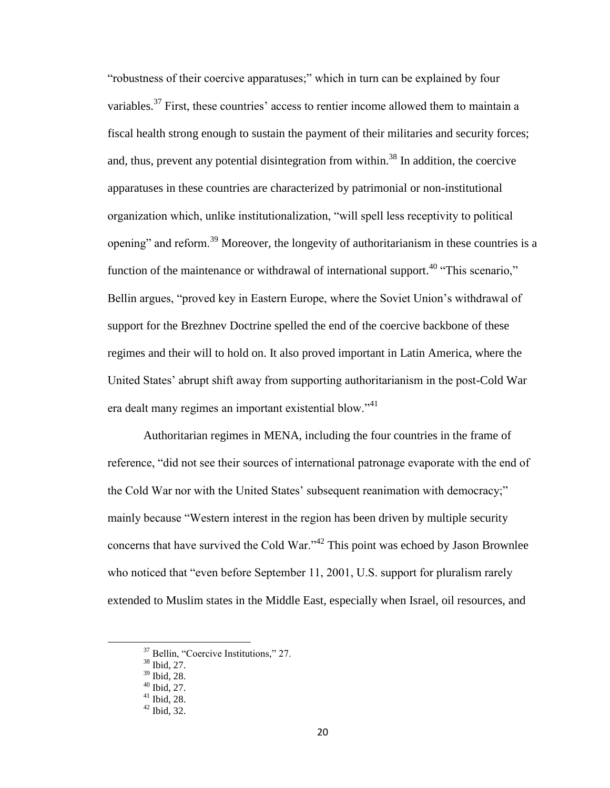"robustness of their coercive apparatuses;" which in turn can be explained by four variables.<sup>37</sup> First, these countries' access to rentier income allowed them to maintain a fiscal health strong enough to sustain the payment of their militaries and security forces; and, thus, prevent any potential disintegration from within.<sup>38</sup> In addition, the coercive apparatuses in these countries are characterized by patrimonial or non-institutional organization which, unlike institutionalization, "will spell less receptivity to political opening" and reform.<sup>39</sup> Moreover, the longevity of authoritarianism in these countries is a function of the maintenance or withdrawal of international support.<sup>40</sup> "This scenario," Bellin argues, "proved key in Eastern Europe, where the Soviet Union's withdrawal of support for the Brezhnev Doctrine spelled the end of the coercive backbone of these regimes and their will to hold on. It also proved important in Latin America, where the United States' abrupt shift away from supporting authoritarianism in the post-Cold War era dealt many regimes an important existential blow."<sup>41</sup>

Authoritarian regimes in MENA, including the four countries in the frame of reference, "did not see their sources of international patronage evaporate with the end of the Cold War nor with the United States' subsequent reanimation with democracy;" mainly because "Western interest in the region has been driven by multiple security concerns that have survived the Cold War."<sup>42</sup> This point was echoed by Jason Brownlee who noticed that "even before September 11, 2001, U.S. support for pluralism rarely extended to Muslim states in the Middle East, especially when Israel, oil resources, and

l

<sup>37</sup> Bellin, "Coercive Institutions," 27.

 $38$  Ibid,  $27$ .

<sup>39</sup> Ibid, 28.

 $40$  Ibid, 27.

 $41$  Ibid, 28.

 $42$  Ibid, 32.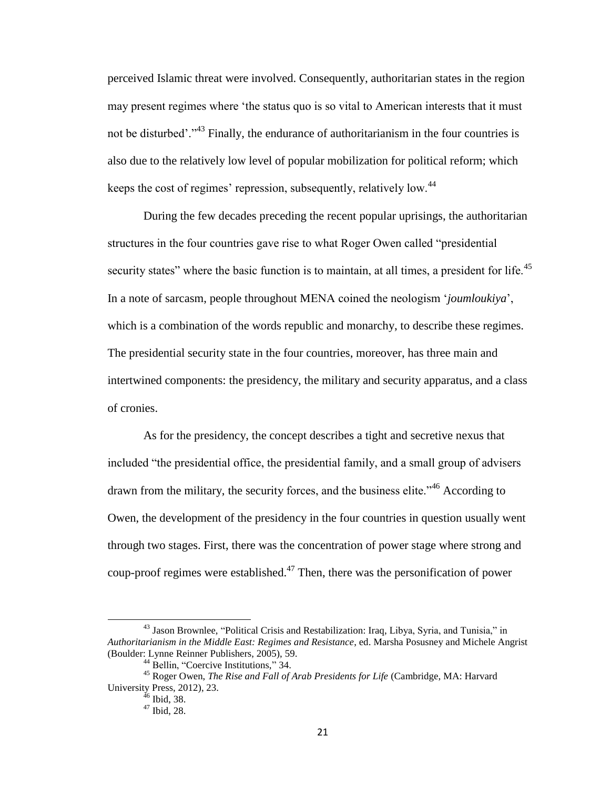perceived Islamic threat were involved. Consequently, authoritarian states in the region may present regimes where 'the status quo is so vital to American interests that it must not be disturbed'."<sup>43</sup> Finally, the endurance of authoritarianism in the four countries is also due to the relatively low level of popular mobilization for political reform; which keeps the cost of regimes' repression, subsequently, relatively low.<sup>44</sup>

During the few decades preceding the recent popular uprisings, the authoritarian structures in the four countries gave rise to what Roger Owen called "presidential security states" where the basic function is to maintain, at all times, a president for life.<sup>45</sup> In a note of sarcasm, people throughout MENA coined the neologism '*joumloukiya*', which is a combination of the words republic and monarchy, to describe these regimes. The presidential security state in the four countries, moreover, has three main and intertwined components: the presidency, the military and security apparatus, and a class of cronies.

As for the presidency, the concept describes a tight and secretive nexus that included "the presidential office, the presidential family, and a small group of advisers drawn from the military, the security forces, and the business elite."<sup>46</sup> According to Owen, the development of the presidency in the four countries in question usually went through two stages. First, there was the concentration of power stage where strong and coup-proof regimes were established.<sup>47</sup> Then, there was the personification of power

 $\overline{a}$ 

<sup>43</sup> Jason Brownlee, "Political Crisis and Restabilization: Iraq, Libya, Syria, and Tunisia," in *Authoritarianism in the Middle East: Regimes and Resistance*, ed. Marsha Posusney and Michele Angrist (Boulder: Lynne Reinner Publishers, 2005), 59.

<sup>&</sup>lt;sup>44</sup> Bellin, "Coercive Institutions," 34.

<sup>45</sup> Roger Owen, *The Rise and Fall of Arab Presidents for Life* (Cambridge, MA: Harvard University Press, 2012), 23.

 $46$  Ibid, 38.

<sup>47</sup> Ibid, 28.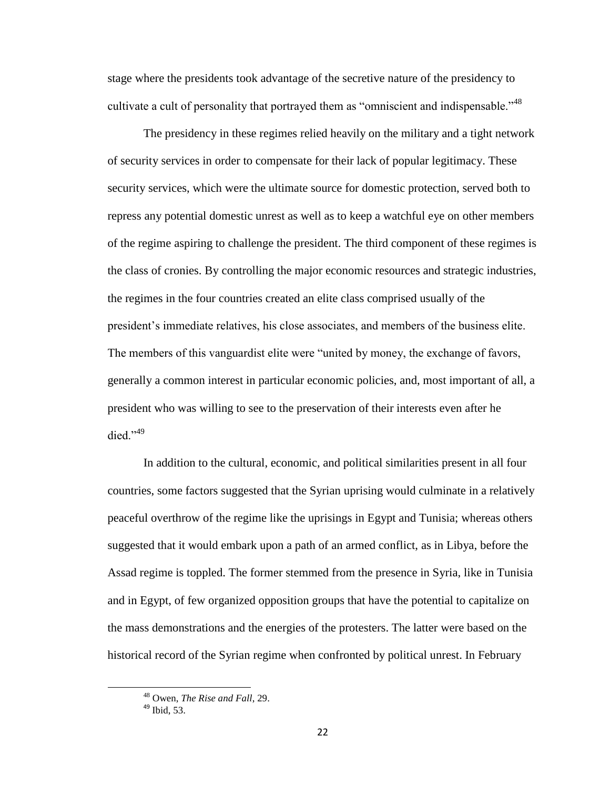stage where the presidents took advantage of the secretive nature of the presidency to cultivate a cult of personality that portrayed them as "omniscient and indispensable."<sup>48</sup>

The presidency in these regimes relied heavily on the military and a tight network of security services in order to compensate for their lack of popular legitimacy. These security services, which were the ultimate source for domestic protection, served both to repress any potential domestic unrest as well as to keep a watchful eye on other members of the regime aspiring to challenge the president. The third component of these regimes is the class of cronies. By controlling the major economic resources and strategic industries, the regimes in the four countries created an elite class comprised usually of the president's immediate relatives, his close associates, and members of the business elite. The members of this vanguardist elite were "united by money, the exchange of favors, generally a common interest in particular economic policies, and, most important of all, a president who was willing to see to the preservation of their interests even after he died."<sup>49</sup>

In addition to the cultural, economic, and political similarities present in all four countries, some factors suggested that the Syrian uprising would culminate in a relatively peaceful overthrow of the regime like the uprisings in Egypt and Tunisia; whereas others suggested that it would embark upon a path of an armed conflict, as in Libya, before the Assad regime is toppled. The former stemmed from the presence in Syria, like in Tunisia and in Egypt, of few organized opposition groups that have the potential to capitalize on the mass demonstrations and the energies of the protesters. The latter were based on the historical record of the Syrian regime when confronted by political unrest. In February

l

<sup>48</sup> Owen, *The Rise and Fall*, 29.

<sup>49</sup> Ibid, 53.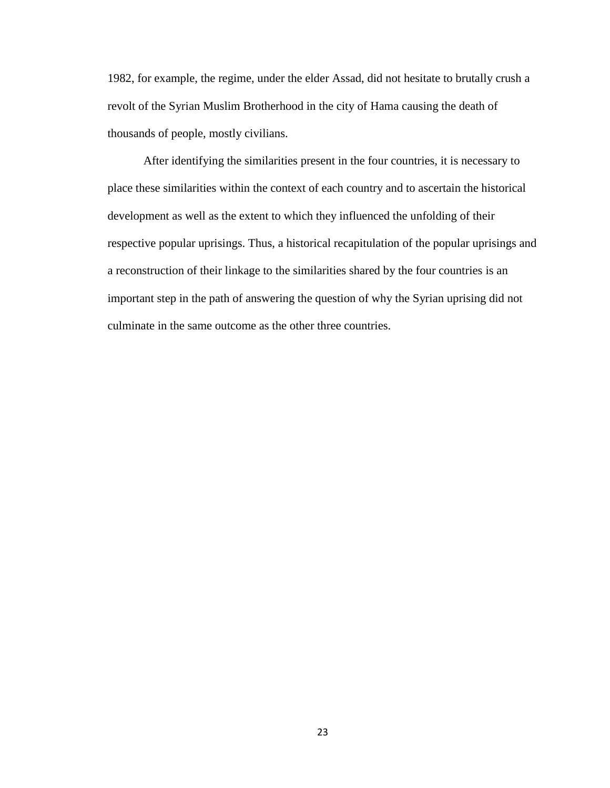1982, for example, the regime, under the elder Assad, did not hesitate to brutally crush a revolt of the Syrian Muslim Brotherhood in the city of Hama causing the death of thousands of people, mostly civilians.

After identifying the similarities present in the four countries, it is necessary to place these similarities within the context of each country and to ascertain the historical development as well as the extent to which they influenced the unfolding of their respective popular uprisings. Thus, a historical recapitulation of the popular uprisings and a reconstruction of their linkage to the similarities shared by the four countries is an important step in the path of answering the question of why the Syrian uprising did not culminate in the same outcome as the other three countries.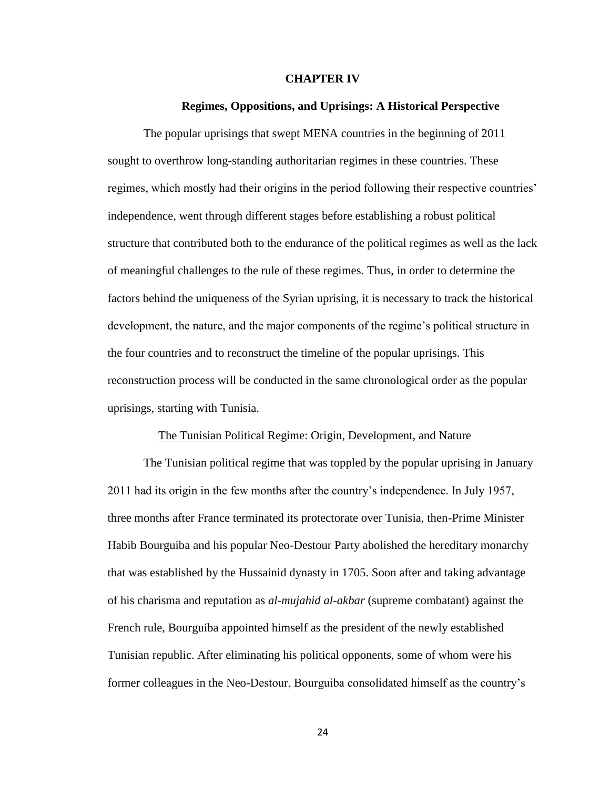#### **CHAPTER IV**

#### **Regimes, Oppositions, and Uprisings: A Historical Perspective**

The popular uprisings that swept MENA countries in the beginning of 2011 sought to overthrow long-standing authoritarian regimes in these countries. These regimes, which mostly had their origins in the period following their respective countries' independence, went through different stages before establishing a robust political structure that contributed both to the endurance of the political regimes as well as the lack of meaningful challenges to the rule of these regimes. Thus, in order to determine the factors behind the uniqueness of the Syrian uprising, it is necessary to track the historical development, the nature, and the major components of the regime's political structure in the four countries and to reconstruct the timeline of the popular uprisings. This reconstruction process will be conducted in the same chronological order as the popular uprisings, starting with Tunisia.

#### The Tunisian Political Regime: Origin, Development, and Nature

The Tunisian political regime that was toppled by the popular uprising in January 2011 had its origin in the few months after the country's independence. In July 1957, three months after France terminated its protectorate over Tunisia, then-Prime Minister Habib Bourguiba and his popular Neo-Destour Party abolished the hereditary monarchy that was established by the Hussainid dynasty in 1705. Soon after and taking advantage of his charisma and reputation as *al-mujahid al-akbar* (supreme combatant) against the French rule, Bourguiba appointed himself as the president of the newly established Tunisian republic. After eliminating his political opponents, some of whom were his former colleagues in the Neo-Destour, Bourguiba consolidated himself as the country's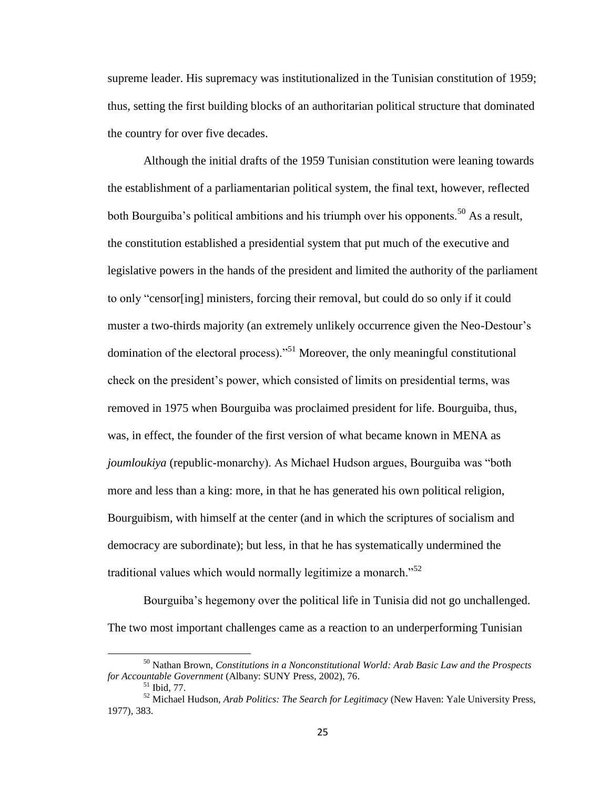supreme leader. His supremacy was institutionalized in the Tunisian constitution of 1959; thus, setting the first building blocks of an authoritarian political structure that dominated the country for over five decades.

Although the initial drafts of the 1959 Tunisian constitution were leaning towards the establishment of a parliamentarian political system, the final text, however, reflected both Bourguiba's political ambitions and his triumph over his opponents.<sup>50</sup> As a result, the constitution established a presidential system that put much of the executive and legislative powers in the hands of the president and limited the authority of the parliament to only "censor[ing] ministers, forcing their removal, but could do so only if it could muster a two-thirds majority (an extremely unlikely occurrence given the Neo-Destour's domination of the electoral process)."<sup>51</sup> Moreover, the only meaningful constitutional check on the president's power, which consisted of limits on presidential terms, was removed in 1975 when Bourguiba was proclaimed president for life. Bourguiba, thus, was, in effect, the founder of the first version of what became known in MENA as *joumloukiya* (republic-monarchy). As Michael Hudson argues, Bourguiba was "both more and less than a king: more, in that he has generated his own political religion, Bourguibism, with himself at the center (and in which the scriptures of socialism and democracy are subordinate); but less, in that he has systematically undermined the traditional values which would normally legitimize a monarch.<sup>52</sup>

Bourguiba's hegemony over the political life in Tunisia did not go unchallenged. The two most important challenges came as a reaction to an underperforming Tunisian

 $\overline{a}$ 

<sup>50</sup> Nathan Brown, *Constitutions in a Nonconstitutional World: Arab Basic Law and the Prospects for Accountable Government* (Albany: SUNY Press, 2002), 76.

 $51$  Ibid, 77.

<sup>52</sup> Michael Hudson, *Arab Politics: The Search for Legitimacy* (New Haven: Yale University Press, 1977), 383.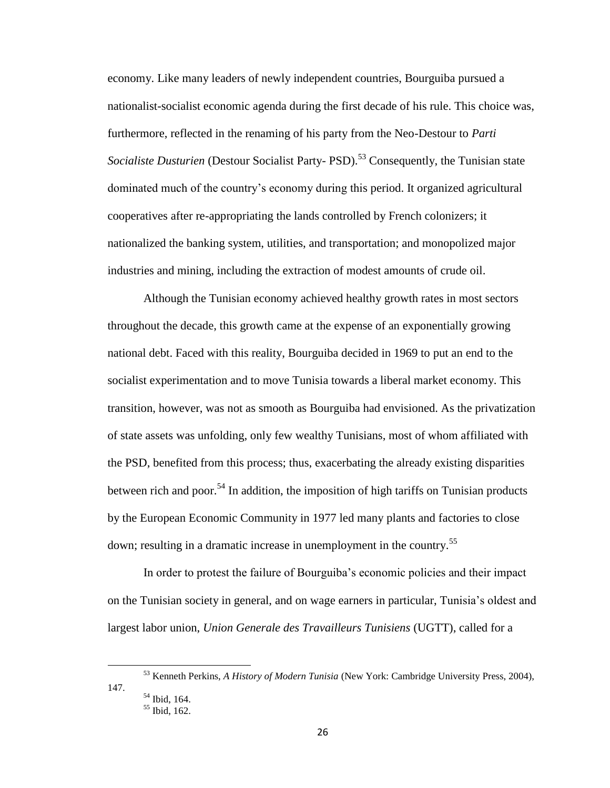economy. Like many leaders of newly independent countries, Bourguiba pursued a nationalist-socialist economic agenda during the first decade of his rule. This choice was, furthermore, reflected in the renaming of his party from the Neo-Destour to *Parti Socialiste Dusturien* (Destour Socialist Party- PSD).<sup>53</sup> Consequently, the Tunisian state dominated much of the country's economy during this period. It organized agricultural cooperatives after re-appropriating the lands controlled by French colonizers; it nationalized the banking system, utilities, and transportation; and monopolized major industries and mining, including the extraction of modest amounts of crude oil.

Although the Tunisian economy achieved healthy growth rates in most sectors throughout the decade, this growth came at the expense of an exponentially growing national debt. Faced with this reality, Bourguiba decided in 1969 to put an end to the socialist experimentation and to move Tunisia towards a liberal market economy. This transition, however, was not as smooth as Bourguiba had envisioned. As the privatization of state assets was unfolding, only few wealthy Tunisians, most of whom affiliated with the PSD, benefited from this process; thus, exacerbating the already existing disparities between rich and poor.<sup>54</sup> In addition, the imposition of high tariffs on Tunisian products by the European Economic Community in 1977 led many plants and factories to close down; resulting in a dramatic increase in unemployment in the country.<sup>55</sup>

In order to protest the failure of Bourguiba's economic policies and their impact on the Tunisian society in general, and on wage earners in particular, Tunisia's oldest and largest labor union, *Union Generale des Travailleurs Tunisiens* (UGTT), called for a

147.

<sup>53</sup> Kenneth Perkins, *A History of Modern Tunisia* (New York: Cambridge University Press, 2004),

<sup>54</sup> Ibid, 164. <sup>55</sup> Ibid, 162.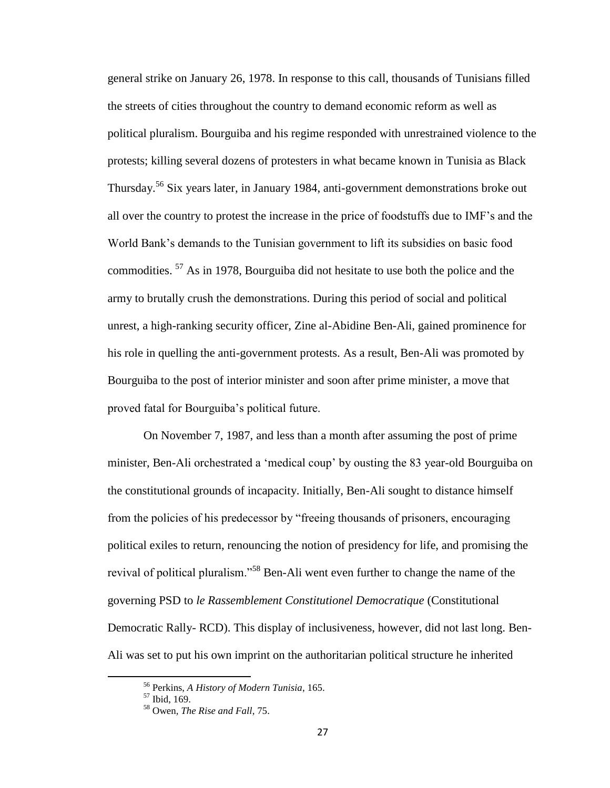general strike on January 26, 1978. In response to this call, thousands of Tunisians filled the streets of cities throughout the country to demand economic reform as well as political pluralism. Bourguiba and his regime responded with unrestrained violence to the protests; killing several dozens of protesters in what became known in Tunisia as Black Thursday.<sup>56</sup> Six years later, in January 1984, anti-government demonstrations broke out all over the country to protest the increase in the price of foodstuffs due to IMF's and the World Bank's demands to the Tunisian government to lift its subsidies on basic food commodities. <sup>57</sup> As in 1978, Bourguiba did not hesitate to use both the police and the army to brutally crush the demonstrations. During this period of social and political unrest, a high-ranking security officer, Zine al-Abidine Ben-Ali, gained prominence for his role in quelling the anti-government protests. As a result, Ben-Ali was promoted by Bourguiba to the post of interior minister and soon after prime minister, a move that proved fatal for Bourguiba's political future.

On November 7, 1987, and less than a month after assuming the post of prime minister, Ben-Ali orchestrated a 'medical coup' by ousting the 83 year-old Bourguiba on the constitutional grounds of incapacity. Initially, Ben-Ali sought to distance himself from the policies of his predecessor by "freeing thousands of prisoners, encouraging political exiles to return, renouncing the notion of presidency for life, and promising the revival of political pluralism."<sup>58</sup> Ben-Ali went even further to change the name of the governing PSD to *le Rassemblement Constitutionel Democratique* (Constitutional Democratic Rally- RCD). This display of inclusiveness, however, did not last long. Ben-Ali was set to put his own imprint on the authoritarian political structure he inherited

<sup>56</sup> Perkins, *A History of Modern Tunisia*, 165.

<sup>57</sup> Ibid, 169.

<sup>58</sup> Owen*, The Rise and Fall*, 75.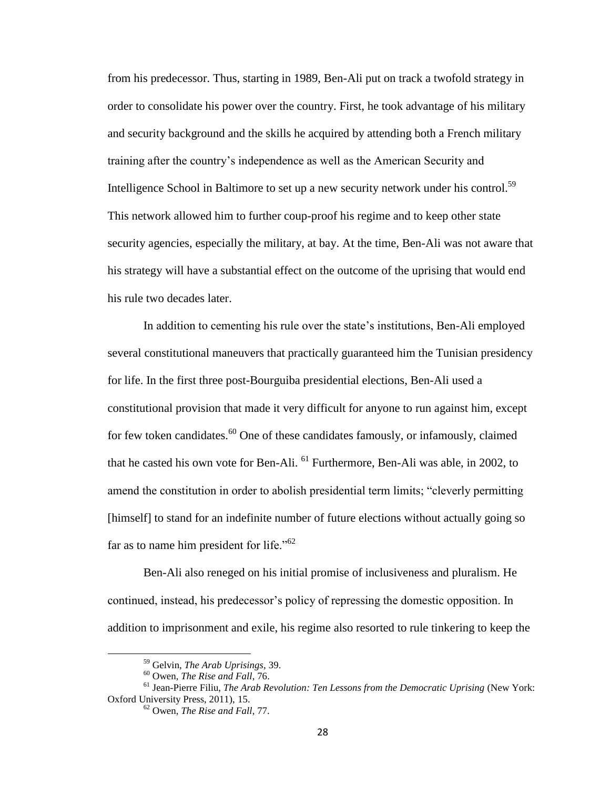from his predecessor. Thus, starting in 1989, Ben-Ali put on track a twofold strategy in order to consolidate his power over the country. First, he took advantage of his military and security background and the skills he acquired by attending both a French military training after the country's independence as well as the American Security and Intelligence School in Baltimore to set up a new security network under his control.<sup>59</sup> This network allowed him to further coup-proof his regime and to keep other state security agencies, especially the military, at bay. At the time, Ben-Ali was not aware that his strategy will have a substantial effect on the outcome of the uprising that would end his rule two decades later.

In addition to cementing his rule over the state's institutions, Ben-Ali employed several constitutional maneuvers that practically guaranteed him the Tunisian presidency for life. In the first three post-Bourguiba presidential elections, Ben-Ali used a constitutional provision that made it very difficult for anyone to run against him, except for few token candidates.<sup>60</sup> One of these candidates famously, or infamously, claimed that he casted his own vote for Ben-Ali. <sup>61</sup> Furthermore, Ben-Ali was able, in 2002, to amend the constitution in order to abolish presidential term limits; "cleverly permitting [himself] to stand for an indefinite number of future elections without actually going so far as to name him president for life."<sup>62</sup>

Ben-Ali also reneged on his initial promise of inclusiveness and pluralism. He continued, instead, his predecessor's policy of repressing the domestic opposition. In addition to imprisonment and exile, his regime also resorted to rule tinkering to keep the

 $\overline{a}$ 

<sup>59</sup> Gelvin, *The Arab Uprisings,* 39.

<sup>60</sup> Owen, *The Rise and Fall*, 76.

<sup>61</sup> Jean-Pierre Filiu, *The Arab Revolution: Ten Lessons from the Democratic Uprising* (New York: Oxford University Press, 2011), 15.

<sup>62</sup> Owen, *The Rise and Fall*, 77.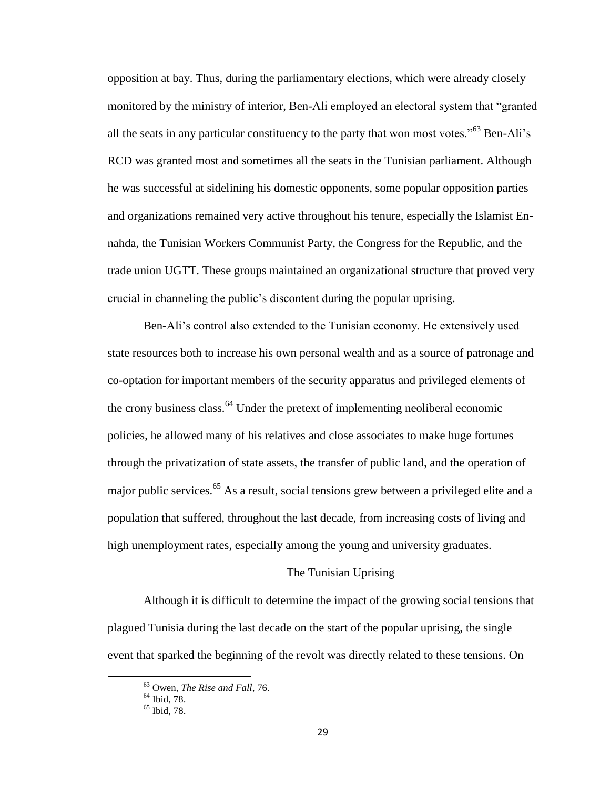opposition at bay. Thus, during the parliamentary elections, which were already closely monitored by the ministry of interior, Ben-Ali employed an electoral system that "granted all the seats in any particular constituency to the party that won most votes.<sup> $55$ </sup> Ben-Ali<sup>3</sup>s RCD was granted most and sometimes all the seats in the Tunisian parliament. Although he was successful at sidelining his domestic opponents, some popular opposition parties and organizations remained very active throughout his tenure, especially the Islamist Ennahda, the Tunisian Workers Communist Party, the Congress for the Republic, and the trade union UGTT. These groups maintained an organizational structure that proved very crucial in channeling the public's discontent during the popular uprising.

Ben-Ali's control also extended to the Tunisian economy. He extensively used state resources both to increase his own personal wealth and as a source of patronage and co-optation for important members of the security apparatus and privileged elements of the crony business class.<sup>64</sup> Under the pretext of implementing neoliberal economic policies, he allowed many of his relatives and close associates to make huge fortunes through the privatization of state assets, the transfer of public land, and the operation of major public services.<sup>65</sup> As a result, social tensions grew between a privileged elite and a population that suffered, throughout the last decade, from increasing costs of living and high unemployment rates, especially among the young and university graduates.

#### The Tunisian Uprising

Although it is difficult to determine the impact of the growing social tensions that plagued Tunisia during the last decade on the start of the popular uprising, the single event that sparked the beginning of the revolt was directly related to these tensions. On

<sup>63</sup> Owen, *The Rise and Fall*, 76.

<sup>64</sup> Ibid, 78.

<sup>&</sup>lt;sup>65</sup> Ibid, 78.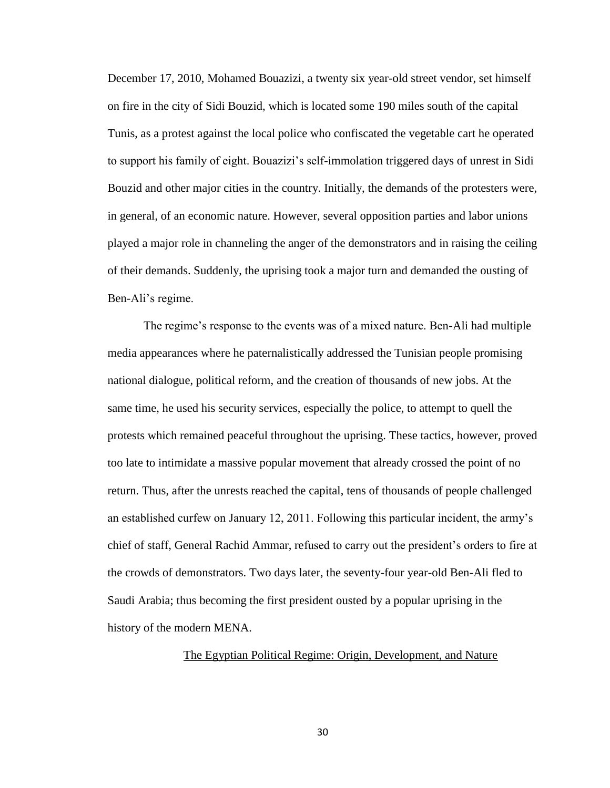December 17, 2010, Mohamed Bouazizi, a twenty six year-old street vendor, set himself on fire in the city of Sidi Bouzid, which is located some 190 miles south of the capital Tunis, as a protest against the local police who confiscated the vegetable cart he operated to support his family of eight. Bouazizi's self-immolation triggered days of unrest in Sidi Bouzid and other major cities in the country. Initially, the demands of the protesters were, in general, of an economic nature. However, several opposition parties and labor unions played a major role in channeling the anger of the demonstrators and in raising the ceiling of their demands. Suddenly, the uprising took a major turn and demanded the ousting of Ben-Ali's regime.

The regime's response to the events was of a mixed nature. Ben-Ali had multiple media appearances where he paternalistically addressed the Tunisian people promising national dialogue, political reform, and the creation of thousands of new jobs. At the same time, he used his security services, especially the police, to attempt to quell the protests which remained peaceful throughout the uprising. These tactics, however, proved too late to intimidate a massive popular movement that already crossed the point of no return. Thus, after the unrests reached the capital, tens of thousands of people challenged an established curfew on January 12, 2011. Following this particular incident, the army's chief of staff, General Rachid Ammar, refused to carry out the president's orders to fire at the crowds of demonstrators. Two days later, the seventy-four year-old Ben-Ali fled to Saudi Arabia; thus becoming the first president ousted by a popular uprising in the history of the modern MENA.

# The Egyptian Political Regime: Origin, Development, and Nature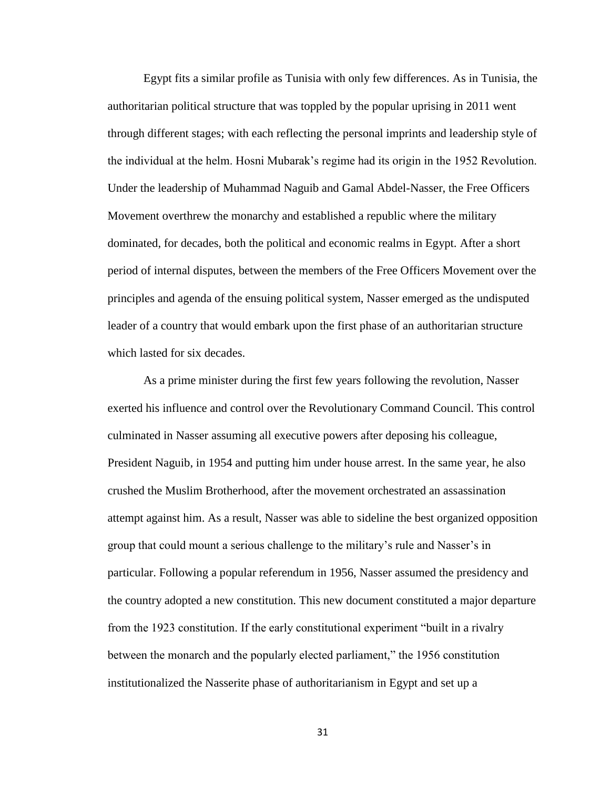Egypt fits a similar profile as Tunisia with only few differences. As in Tunisia, the authoritarian political structure that was toppled by the popular uprising in 2011 went through different stages; with each reflecting the personal imprints and leadership style of the individual at the helm. Hosni Mubarak's regime had its origin in the 1952 Revolution. Under the leadership of Muhammad Naguib and Gamal Abdel-Nasser, the Free Officers Movement overthrew the monarchy and established a republic where the military dominated, for decades, both the political and economic realms in Egypt. After a short period of internal disputes, between the members of the Free Officers Movement over the principles and agenda of the ensuing political system, Nasser emerged as the undisputed leader of a country that would embark upon the first phase of an authoritarian structure which lasted for six decades.

As a prime minister during the first few years following the revolution, Nasser exerted his influence and control over the Revolutionary Command Council. This control culminated in Nasser assuming all executive powers after deposing his colleague, President Naguib, in 1954 and putting him under house arrest. In the same year, he also crushed the Muslim Brotherhood, after the movement orchestrated an assassination attempt against him. As a result, Nasser was able to sideline the best organized opposition group that could mount a serious challenge to the military's rule and Nasser's in particular. Following a popular referendum in 1956, Nasser assumed the presidency and the country adopted a new constitution. This new document constituted a major departure from the 1923 constitution. If the early constitutional experiment "built in a rivalry between the monarch and the popularly elected parliament," the 1956 constitution institutionalized the Nasserite phase of authoritarianism in Egypt and set up a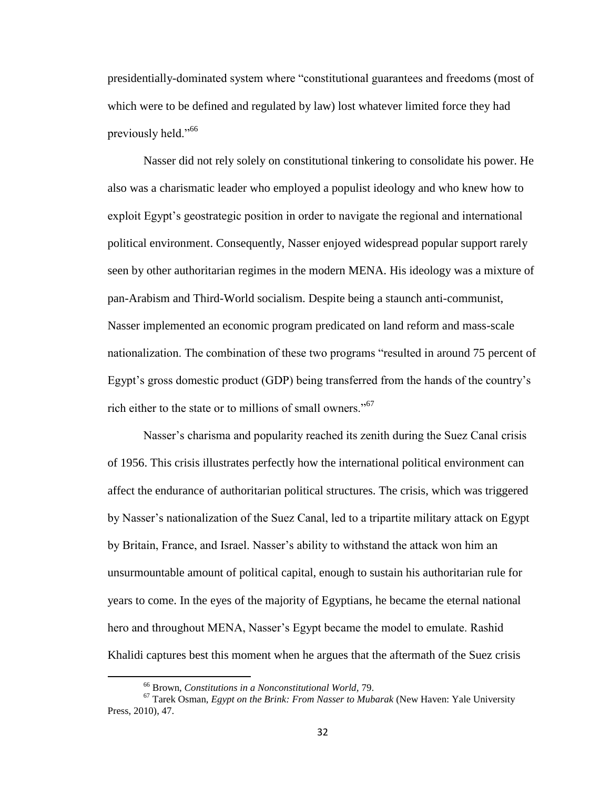presidentially-dominated system where "constitutional guarantees and freedoms (most of which were to be defined and regulated by law) lost whatever limited force they had previously held."<sup>66</sup>

Nasser did not rely solely on constitutional tinkering to consolidate his power. He also was a charismatic leader who employed a populist ideology and who knew how to exploit Egypt's geostrategic position in order to navigate the regional and international political environment. Consequently, Nasser enjoyed widespread popular support rarely seen by other authoritarian regimes in the modern MENA. His ideology was a mixture of pan-Arabism and Third-World socialism. Despite being a staunch anti-communist, Nasser implemented an economic program predicated on land reform and mass-scale nationalization. The combination of these two programs "resulted in around 75 percent of Egypt's gross domestic product (GDP) being transferred from the hands of the country's rich either to the state or to millions of small owners."<sup>67</sup>

Nasser's charisma and popularity reached its zenith during the Suez Canal crisis of 1956. This crisis illustrates perfectly how the international political environment can affect the endurance of authoritarian political structures. The crisis, which was triggered by Nasser's nationalization of the Suez Canal, led to a tripartite military attack on Egypt by Britain, France, and Israel. Nasser's ability to withstand the attack won him an unsurmountable amount of political capital, enough to sustain his authoritarian rule for years to come. In the eyes of the majority of Egyptians, he became the eternal national hero and throughout MENA, Nasser's Egypt became the model to emulate. Rashid Khalidi captures best this moment when he argues that the aftermath of the Suez crisis

<sup>66</sup> Brown, *Constitutions in a Nonconstitutional World,* 79.

<sup>67</sup> Tarek Osman, *Egypt on the Brink: From Nasser to Mubarak* (New Haven: Yale University Press, 2010), 47.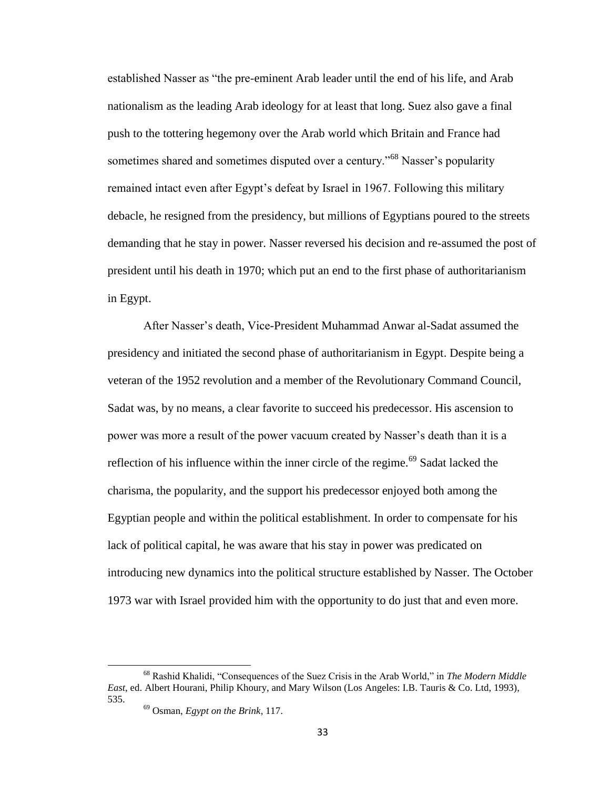established Nasser as "the pre-eminent Arab leader until the end of his life, and Arab nationalism as the leading Arab ideology for at least that long. Suez also gave a final push to the tottering hegemony over the Arab world which Britain and France had sometimes shared and sometimes disputed over a century.<sup>568</sup> Nasser's popularity remained intact even after Egypt's defeat by Israel in 1967. Following this military debacle, he resigned from the presidency, but millions of Egyptians poured to the streets demanding that he stay in power. Nasser reversed his decision and re-assumed the post of president until his death in 1970; which put an end to the first phase of authoritarianism in Egypt.

After Nasser's death, Vice-President Muhammad Anwar al-Sadat assumed the presidency and initiated the second phase of authoritarianism in Egypt. Despite being a veteran of the 1952 revolution and a member of the Revolutionary Command Council, Sadat was, by no means, a clear favorite to succeed his predecessor. His ascension to power was more a result of the power vacuum created by Nasser's death than it is a reflection of his influence within the inner circle of the regime.<sup>69</sup> Sadat lacked the charisma, the popularity, and the support his predecessor enjoyed both among the Egyptian people and within the political establishment. In order to compensate for his lack of political capital, he was aware that his stay in power was predicated on introducing new dynamics into the political structure established by Nasser. The October 1973 war with Israel provided him with the opportunity to do just that and even more.

<sup>68</sup> Rashid Khalidi, "Consequences of the Suez Crisis in the Arab World," in *The Modern Middle East*, ed. Albert Hourani, Philip Khoury, and Mary Wilson (Los Angeles: I.B. Tauris & Co. Ltd, 1993), 535.

<sup>69</sup> Osman, *Egypt on the Brink*, 117.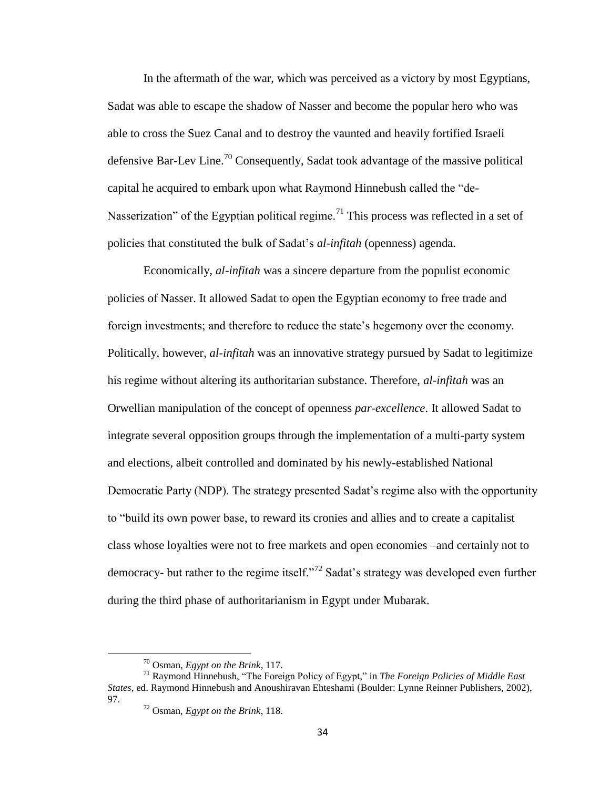In the aftermath of the war, which was perceived as a victory by most Egyptians, Sadat was able to escape the shadow of Nasser and become the popular hero who was able to cross the Suez Canal and to destroy the vaunted and heavily fortified Israeli defensive Bar-Lev Line.<sup>70</sup> Consequently, Sadat took advantage of the massive political capital he acquired to embark upon what Raymond Hinnebush called the "de-Nasserization" of the Egyptian political regime.<sup>71</sup> This process was reflected in a set of policies that constituted the bulk of Sadat's *al-infitah* (openness) agenda.

Economically, *al-infitah* was a sincere departure from the populist economic policies of Nasser. It allowed Sadat to open the Egyptian economy to free trade and foreign investments; and therefore to reduce the state's hegemony over the economy. Politically, however, *al-infitah* was an innovative strategy pursued by Sadat to legitimize his regime without altering its authoritarian substance. Therefore, *al-infitah* was an Orwellian manipulation of the concept of openness *par-excellence*. It allowed Sadat to integrate several opposition groups through the implementation of a multi-party system and elections, albeit controlled and dominated by his newly-established National Democratic Party (NDP). The strategy presented Sadat's regime also with the opportunity to "build its own power base, to reward its cronies and allies and to create a capitalist class whose loyalties were not to free markets and open economies –and certainly not to democracy- but rather to the regime itself."<sup>72</sup> Sadat's strategy was developed even further during the third phase of authoritarianism in Egypt under Mubarak.

 $\overline{a}$ 

<sup>70</sup> Osman, *Egypt on the Brink*, 117.

<sup>71</sup> Raymond Hinnebush, "The Foreign Policy of Egypt," in *The Foreign Policies of Middle East States*, ed. Raymond Hinnebush and Anoushiravan Ehteshami (Boulder: Lynne Reinner Publishers, 2002), 97.

<sup>72</sup> Osman, *Egypt on the Brink*, 118.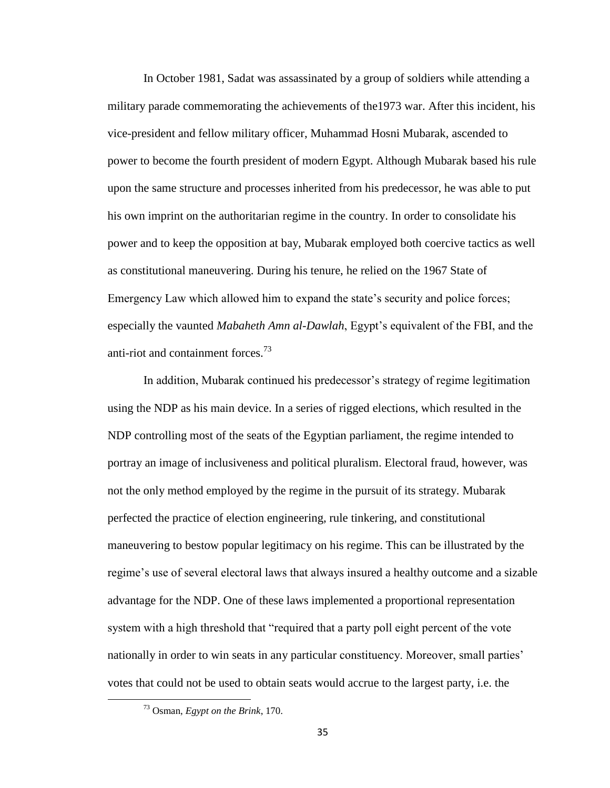In October 1981, Sadat was assassinated by a group of soldiers while attending a military parade commemorating the achievements of the1973 war. After this incident, his vice-president and fellow military officer, Muhammad Hosni Mubarak, ascended to power to become the fourth president of modern Egypt. Although Mubarak based his rule upon the same structure and processes inherited from his predecessor, he was able to put his own imprint on the authoritarian regime in the country. In order to consolidate his power and to keep the opposition at bay, Mubarak employed both coercive tactics as well as constitutional maneuvering. During his tenure, he relied on the 1967 State of Emergency Law which allowed him to expand the state's security and police forces; especially the vaunted *Mabaheth Amn al-Dawlah*, Egypt's equivalent of the FBI, and the anti-riot and containment forces. $^{73}$ 

In addition, Mubarak continued his predecessor's strategy of regime legitimation using the NDP as his main device. In a series of rigged elections, which resulted in the NDP controlling most of the seats of the Egyptian parliament, the regime intended to portray an image of inclusiveness and political pluralism. Electoral fraud, however, was not the only method employed by the regime in the pursuit of its strategy. Mubarak perfected the practice of election engineering, rule tinkering, and constitutional maneuvering to bestow popular legitimacy on his regime. This can be illustrated by the regime's use of several electoral laws that always insured a healthy outcome and a sizable advantage for the NDP. One of these laws implemented a proportional representation system with a high threshold that "required that a party poll eight percent of the vote nationally in order to win seats in any particular constituency. Moreover, small parties' votes that could not be used to obtain seats would accrue to the largest party, i.e. the

<sup>73</sup> Osman, *Egypt on the Brink*, 170.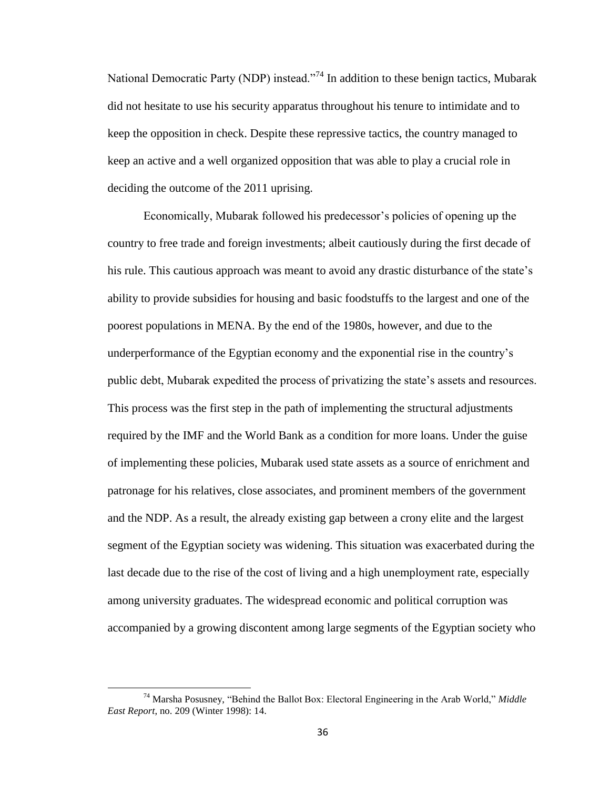National Democratic Party (NDP) instead."<sup>74</sup> In addition to these benign tactics, Mubarak did not hesitate to use his security apparatus throughout his tenure to intimidate and to keep the opposition in check. Despite these repressive tactics, the country managed to keep an active and a well organized opposition that was able to play a crucial role in deciding the outcome of the 2011 uprising.

Economically, Mubarak followed his predecessor's policies of opening up the country to free trade and foreign investments; albeit cautiously during the first decade of his rule. This cautious approach was meant to avoid any drastic disturbance of the state's ability to provide subsidies for housing and basic foodstuffs to the largest and one of the poorest populations in MENA. By the end of the 1980s, however, and due to the underperformance of the Egyptian economy and the exponential rise in the country's public debt, Mubarak expedited the process of privatizing the state's assets and resources. This process was the first step in the path of implementing the structural adjustments required by the IMF and the World Bank as a condition for more loans. Under the guise of implementing these policies, Mubarak used state assets as a source of enrichment and patronage for his relatives, close associates, and prominent members of the government and the NDP. As a result, the already existing gap between a crony elite and the largest segment of the Egyptian society was widening. This situation was exacerbated during the last decade due to the rise of the cost of living and a high unemployment rate, especially among university graduates. The widespread economic and political corruption was accompanied by a growing discontent among large segments of the Egyptian society who

<sup>74</sup> Marsha Posusney, "Behind the Ballot Box: Electoral Engineering in the Arab World," *Middle East Report*, no. 209 (Winter 1998): 14.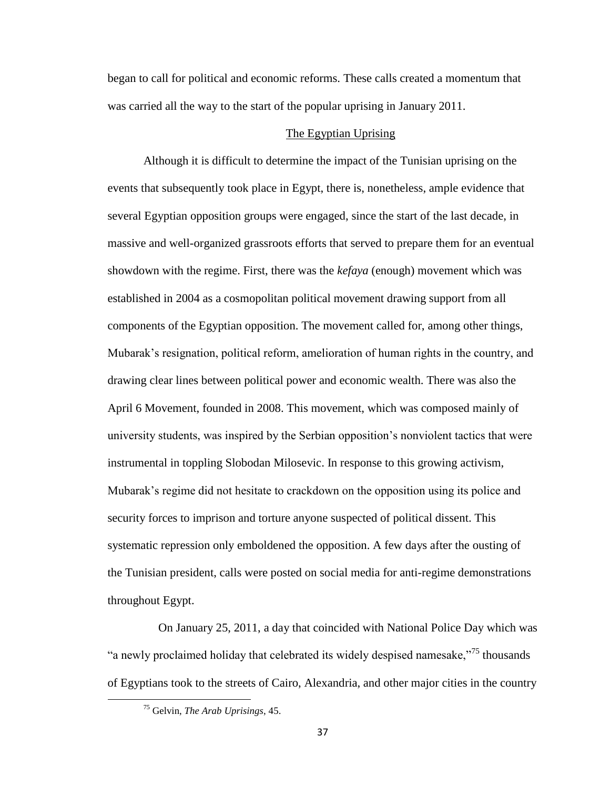began to call for political and economic reforms. These calls created a momentum that was carried all the way to the start of the popular uprising in January 2011.

## The Egyptian Uprising

Although it is difficult to determine the impact of the Tunisian uprising on the events that subsequently took place in Egypt, there is, nonetheless, ample evidence that several Egyptian opposition groups were engaged, since the start of the last decade, in massive and well-organized grassroots efforts that served to prepare them for an eventual showdown with the regime. First, there was the *kefaya* (enough) movement which was established in 2004 as a cosmopolitan political movement drawing support from all components of the Egyptian opposition. The movement called for, among other things, Mubarak's resignation, political reform, amelioration of human rights in the country, and drawing clear lines between political power and economic wealth. There was also the April 6 Movement, founded in 2008. This movement, which was composed mainly of university students, was inspired by the Serbian opposition's nonviolent tactics that were instrumental in toppling Slobodan Milosevic. In response to this growing activism, Mubarak's regime did not hesitate to crackdown on the opposition using its police and security forces to imprison and torture anyone suspected of political dissent. This systematic repression only emboldened the opposition. A few days after the ousting of the Tunisian president, calls were posted on social media for anti-regime demonstrations throughout Egypt.

 On January 25, 2011, a day that coincided with National Police Day which was "a newly proclaimed holiday that celebrated its widely despised namesake,"<sup>75</sup> thousands of Egyptians took to the streets of Cairo, Alexandria, and other major cities in the country

<sup>75</sup> Gelvin, *The Arab Uprisings*, 45.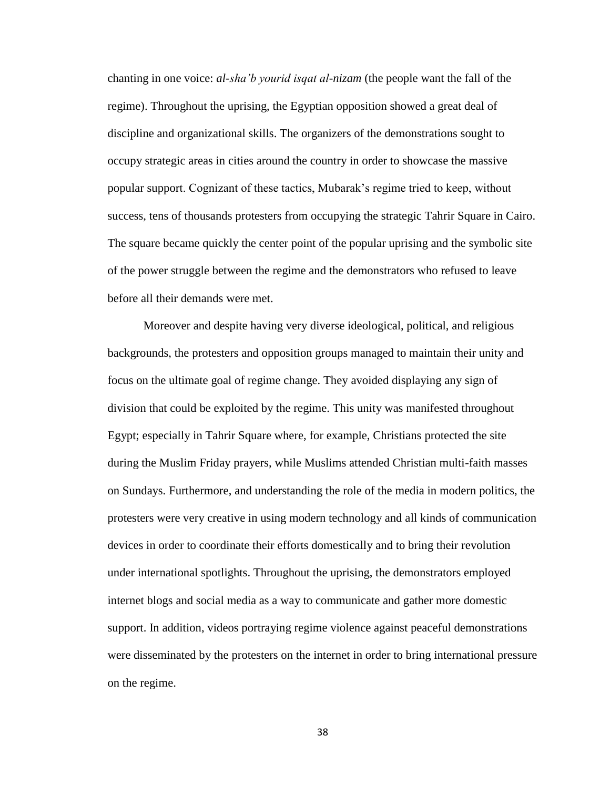chanting in one voice: *al-sha'b yourid isqat al-nizam* (the people want the fall of the regime). Throughout the uprising, the Egyptian opposition showed a great deal of discipline and organizational skills. The organizers of the demonstrations sought to occupy strategic areas in cities around the country in order to showcase the massive popular support. Cognizant of these tactics, Mubarak's regime tried to keep, without success, tens of thousands protesters from occupying the strategic Tahrir Square in Cairo. The square became quickly the center point of the popular uprising and the symbolic site of the power struggle between the regime and the demonstrators who refused to leave before all their demands were met.

Moreover and despite having very diverse ideological, political, and religious backgrounds, the protesters and opposition groups managed to maintain their unity and focus on the ultimate goal of regime change. They avoided displaying any sign of division that could be exploited by the regime. This unity was manifested throughout Egypt; especially in Tahrir Square where, for example, Christians protected the site during the Muslim Friday prayers, while Muslims attended Christian multi-faith masses on Sundays. Furthermore, and understanding the role of the media in modern politics, the protesters were very creative in using modern technology and all kinds of communication devices in order to coordinate their efforts domestically and to bring their revolution under international spotlights. Throughout the uprising, the demonstrators employed internet blogs and social media as a way to communicate and gather more domestic support. In addition, videos portraying regime violence against peaceful demonstrations were disseminated by the protesters on the internet in order to bring international pressure on the regime.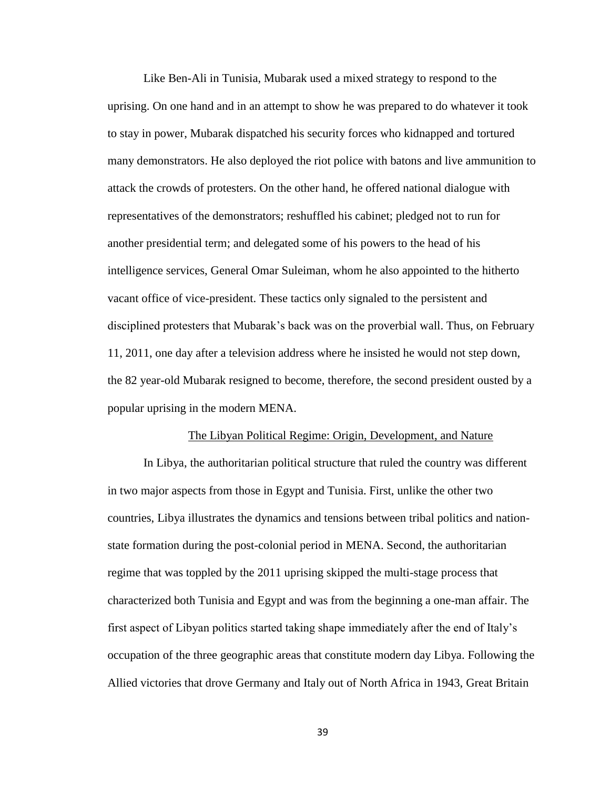Like Ben-Ali in Tunisia, Mubarak used a mixed strategy to respond to the uprising. On one hand and in an attempt to show he was prepared to do whatever it took to stay in power, Mubarak dispatched his security forces who kidnapped and tortured many demonstrators. He also deployed the riot police with batons and live ammunition to attack the crowds of protesters. On the other hand, he offered national dialogue with representatives of the demonstrators; reshuffled his cabinet; pledged not to run for another presidential term; and delegated some of his powers to the head of his intelligence services, General Omar Suleiman, whom he also appointed to the hitherto vacant office of vice-president. These tactics only signaled to the persistent and disciplined protesters that Mubarak's back was on the proverbial wall. Thus, on February 11, 2011, one day after a television address where he insisted he would not step down, the 82 year-old Mubarak resigned to become, therefore, the second president ousted by a popular uprising in the modern MENA.

### The Libyan Political Regime: Origin, Development, and Nature

In Libya, the authoritarian political structure that ruled the country was different in two major aspects from those in Egypt and Tunisia. First, unlike the other two countries, Libya illustrates the dynamics and tensions between tribal politics and nationstate formation during the post-colonial period in MENA. Second, the authoritarian regime that was toppled by the 2011 uprising skipped the multi-stage process that characterized both Tunisia and Egypt and was from the beginning a one-man affair. The first aspect of Libyan politics started taking shape immediately after the end of Italy's occupation of the three geographic areas that constitute modern day Libya. Following the Allied victories that drove Germany and Italy out of North Africa in 1943, Great Britain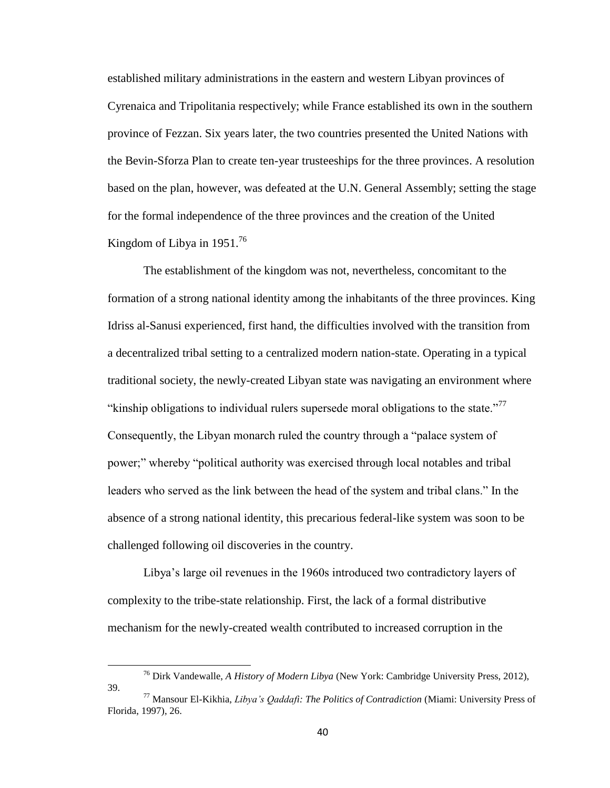established military administrations in the eastern and western Libyan provinces of Cyrenaica and Tripolitania respectively; while France established its own in the southern province of Fezzan. Six years later, the two countries presented the United Nations with the Bevin-Sforza Plan to create ten-year trusteeships for the three provinces. A resolution based on the plan, however, was defeated at the U.N. General Assembly; setting the stage for the formal independence of the three provinces and the creation of the United Kingdom of Libya in  $1951<sup>76</sup>$ 

The establishment of the kingdom was not, nevertheless, concomitant to the formation of a strong national identity among the inhabitants of the three provinces. King Idriss al-Sanusi experienced, first hand, the difficulties involved with the transition from a decentralized tribal setting to a centralized modern nation-state. Operating in a typical traditional society, the newly-created Libyan state was navigating an environment where "kinship obligations to individual rulers supersede moral obligations to the state."<sup>77</sup> Consequently, the Libyan monarch ruled the country through a "palace system of power;" whereby "political authority was exercised through local notables and tribal leaders who served as the link between the head of the system and tribal clans." In the absence of a strong national identity, this precarious federal-like system was soon to be challenged following oil discoveries in the country.

Libya's large oil revenues in the 1960s introduced two contradictory layers of complexity to the tribe-state relationship. First, the lack of a formal distributive mechanism for the newly-created wealth contributed to increased corruption in the

<sup>76</sup> Dirk Vandewalle, *A History of Modern Libya* (New York: Cambridge University Press, 2012), 39.

<sup>77</sup> Mansour El-Kikhia, *Libya's Qaddafi: The Politics of Contradiction* (Miami: University Press of Florida, 1997), 26.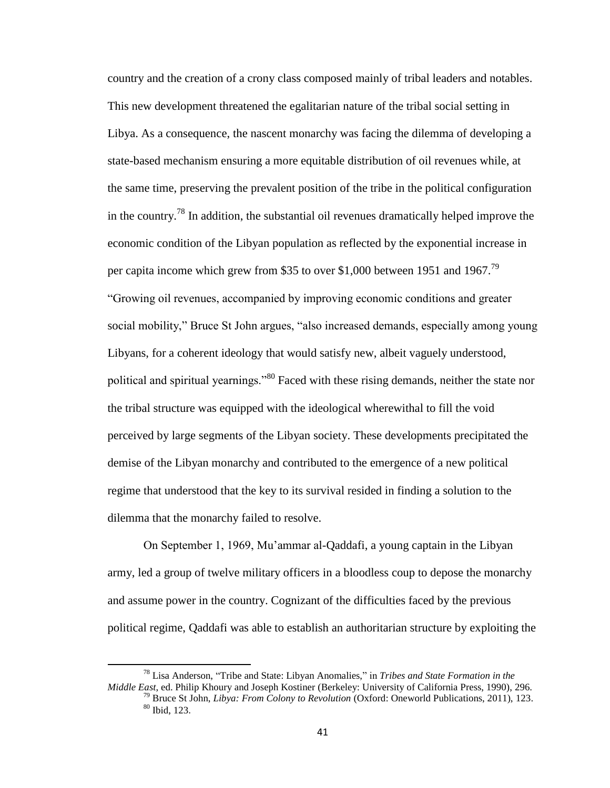country and the creation of a crony class composed mainly of tribal leaders and notables. This new development threatened the egalitarian nature of the tribal social setting in Libya. As a consequence, the nascent monarchy was facing the dilemma of developing a state-based mechanism ensuring a more equitable distribution of oil revenues while, at the same time, preserving the prevalent position of the tribe in the political configuration in the country.<sup>78</sup> In addition, the substantial oil revenues dramatically helped improve the economic condition of the Libyan population as reflected by the exponential increase in per capita income which grew from \$35 to over \$1,000 between 1951 and 1967.<sup>79</sup> "Growing oil revenues, accompanied by improving economic conditions and greater social mobility," Bruce St John argues, "also increased demands, especially among young Libyans, for a coherent ideology that would satisfy new, albeit vaguely understood, political and spiritual yearnings."<sup>80</sup> Faced with these rising demands, neither the state nor the tribal structure was equipped with the ideological wherewithal to fill the void perceived by large segments of the Libyan society. These developments precipitated the demise of the Libyan monarchy and contributed to the emergence of a new political regime that understood that the key to its survival resided in finding a solution to the dilemma that the monarchy failed to resolve.

On September 1, 1969, Mu'ammar al-Qaddafi, a young captain in the Libyan army, led a group of twelve military officers in a bloodless coup to depose the monarchy and assume power in the country. Cognizant of the difficulties faced by the previous political regime, Qaddafi was able to establish an authoritarian structure by exploiting the

<sup>78</sup> Lisa Anderson, "Tribe and State: Libyan Anomalies," in *Tribes and State Formation in the Middle East*, ed. Philip Khoury and Joseph Kostiner (Berkeley: University of California Press, 1990), 296.

<sup>79</sup> Bruce St John, *Libya: From Colony to Revolution* (Oxford: Oneworld Publications, 2011), 123. <sup>80</sup> Ibid, 123.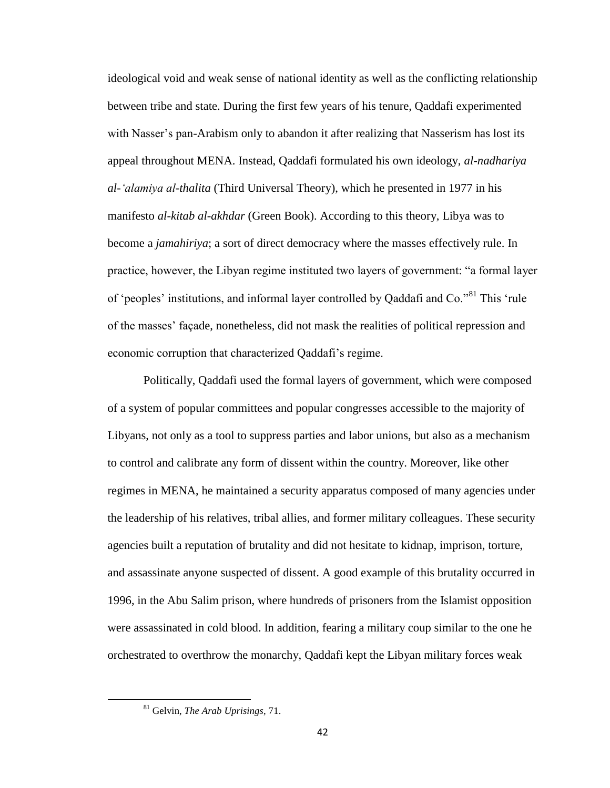ideological void and weak sense of national identity as well as the conflicting relationship between tribe and state. During the first few years of his tenure, Qaddafi experimented with Nasser's pan-Arabism only to abandon it after realizing that Nasserism has lost its appeal throughout MENA. Instead, Qaddafi formulated his own ideology, *al-nadhariya al-'alamiya al-thalita* (Third Universal Theory), which he presented in 1977 in his manifesto *al-kitab al-akhdar* (Green Book). According to this theory, Libya was to become a *jamahiriya*; a sort of direct democracy where the masses effectively rule. In practice, however, the Libyan regime instituted two layers of government: "a formal layer of 'peoples' institutions, and informal layer controlled by Qaddafi and Co."<sup>81</sup> This 'rule of the masses' façade, nonetheless, did not mask the realities of political repression and economic corruption that characterized Qaddafi's regime.

Politically, Qaddafi used the formal layers of government, which were composed of a system of popular committees and popular congresses accessible to the majority of Libyans, not only as a tool to suppress parties and labor unions, but also as a mechanism to control and calibrate any form of dissent within the country. Moreover, like other regimes in MENA, he maintained a security apparatus composed of many agencies under the leadership of his relatives, tribal allies, and former military colleagues. These security agencies built a reputation of brutality and did not hesitate to kidnap, imprison, torture, and assassinate anyone suspected of dissent. A good example of this brutality occurred in 1996, in the Abu Salim prison, where hundreds of prisoners from the Islamist opposition were assassinated in cold blood. In addition, fearing a military coup similar to the one he orchestrated to overthrow the monarchy, Qaddafi kept the Libyan military forces weak

<sup>81</sup> Gelvin, *The Arab Uprisings*, 71.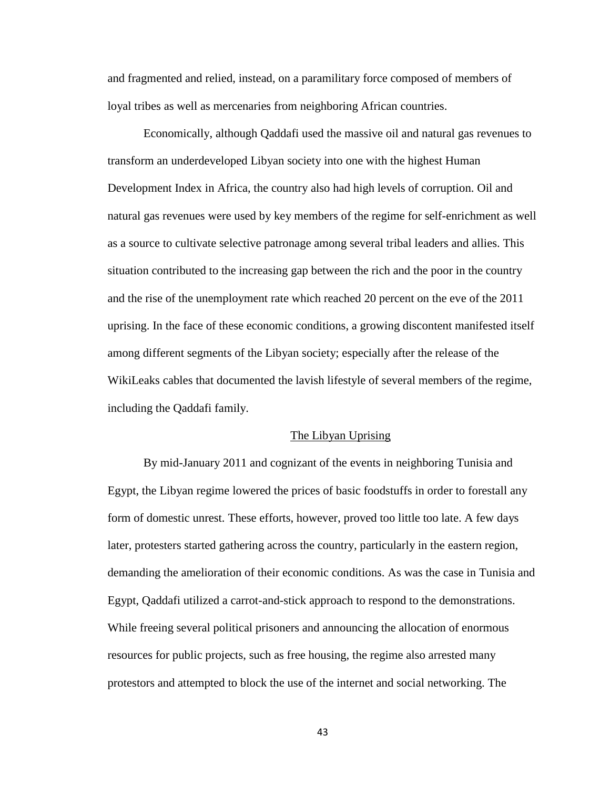and fragmented and relied, instead, on a paramilitary force composed of members of loyal tribes as well as mercenaries from neighboring African countries.

Economically, although Qaddafi used the massive oil and natural gas revenues to transform an underdeveloped Libyan society into one with the highest Human Development Index in Africa, the country also had high levels of corruption. Oil and natural gas revenues were used by key members of the regime for self-enrichment as well as a source to cultivate selective patronage among several tribal leaders and allies. This situation contributed to the increasing gap between the rich and the poor in the country and the rise of the unemployment rate which reached 20 percent on the eve of the 2011 uprising. In the face of these economic conditions, a growing discontent manifested itself among different segments of the Libyan society; especially after the release of the WikiLeaks cables that documented the lavish lifestyle of several members of the regime, including the Qaddafi family.

#### The Libyan Uprising

By mid-January 2011 and cognizant of the events in neighboring Tunisia and Egypt, the Libyan regime lowered the prices of basic foodstuffs in order to forestall any form of domestic unrest. These efforts, however, proved too little too late. A few days later, protesters started gathering across the country, particularly in the eastern region, demanding the amelioration of their economic conditions. As was the case in Tunisia and Egypt, Qaddafi utilized a carrot-and-stick approach to respond to the demonstrations. While freeing several political prisoners and announcing the allocation of enormous resources for public projects, such as free housing, the regime also arrested many protestors and attempted to block the use of the internet and social networking. The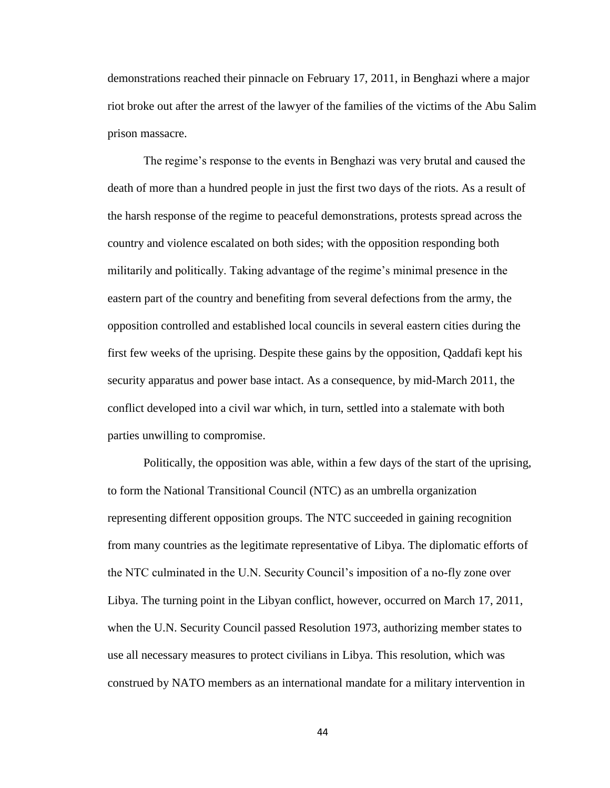demonstrations reached their pinnacle on February 17, 2011, in Benghazi where a major riot broke out after the arrest of the lawyer of the families of the victims of the Abu Salim prison massacre.

The regime's response to the events in Benghazi was very brutal and caused the death of more than a hundred people in just the first two days of the riots. As a result of the harsh response of the regime to peaceful demonstrations, protests spread across the country and violence escalated on both sides; with the opposition responding both militarily and politically. Taking advantage of the regime's minimal presence in the eastern part of the country and benefiting from several defections from the army, the opposition controlled and established local councils in several eastern cities during the first few weeks of the uprising. Despite these gains by the opposition, Qaddafi kept his security apparatus and power base intact. As a consequence, by mid-March 2011, the conflict developed into a civil war which, in turn, settled into a stalemate with both parties unwilling to compromise.

Politically, the opposition was able, within a few days of the start of the uprising, to form the National Transitional Council (NTC) as an umbrella organization representing different opposition groups. The NTC succeeded in gaining recognition from many countries as the legitimate representative of Libya. The diplomatic efforts of the NTC culminated in the U.N. Security Council's imposition of a no-fly zone over Libya. The turning point in the Libyan conflict, however, occurred on March 17, 2011, when the U.N. Security Council passed Resolution 1973, authorizing member states to use all necessary measures to protect civilians in Libya. This resolution, which was construed by NATO members as an international mandate for a military intervention in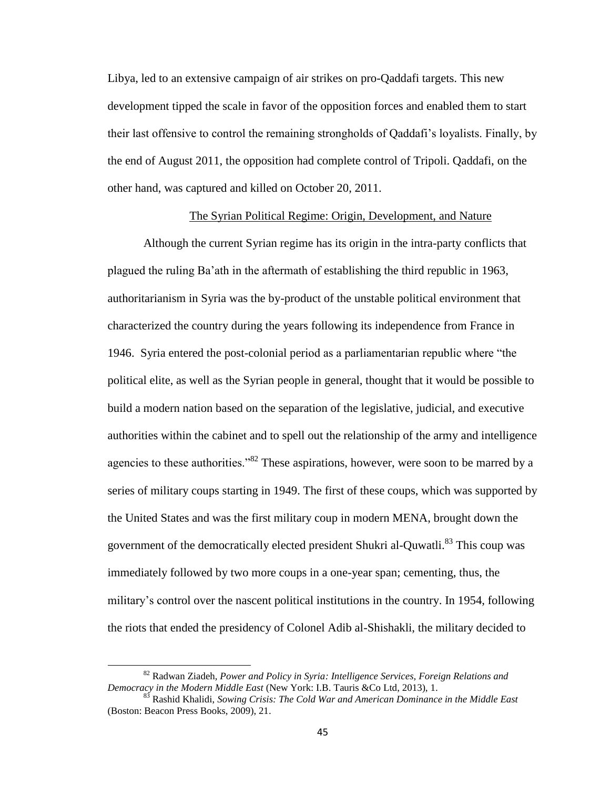Libya, led to an extensive campaign of air strikes on pro-Qaddafi targets. This new development tipped the scale in favor of the opposition forces and enabled them to start their last offensive to control the remaining strongholds of Qaddafi's loyalists. Finally, by the end of August 2011, the opposition had complete control of Tripoli. Qaddafi, on the other hand, was captured and killed on October 20, 2011.

## The Syrian Political Regime: Origin, Development, and Nature

Although the current Syrian regime has its origin in the intra-party conflicts that plagued the ruling Ba'ath in the aftermath of establishing the third republic in 1963, authoritarianism in Syria was the by-product of the unstable political environment that characterized the country during the years following its independence from France in 1946. Syria entered the post-colonial period as a parliamentarian republic where "the political elite, as well as the Syrian people in general, thought that it would be possible to build a modern nation based on the separation of the legislative, judicial, and executive authorities within the cabinet and to spell out the relationship of the army and intelligence agencies to these authorities."<sup>82</sup> These aspirations, however, were soon to be marred by a series of military coups starting in 1949. The first of these coups, which was supported by the United States and was the first military coup in modern MENA, brought down the government of the democratically elected president Shukri al-Quwatli.<sup>83</sup> This coup was immediately followed by two more coups in a one-year span; cementing, thus, the military's control over the nascent political institutions in the country. In 1954, following the riots that ended the presidency of Colonel Adib al-Shishakli, the military decided to

<sup>82</sup> Radwan Ziadeh*, Power and Policy in Syria: Intelligence Services, Foreign Relations and Democracy in the Modern Middle East* (New York: I.B. Tauris &Co Ltd, 2013), 1.

<sup>83</sup> Rashid Khalidi, *Sowing Crisis: The Cold War and American Dominance in the Middle East* (Boston: Beacon Press Books, 2009), 21.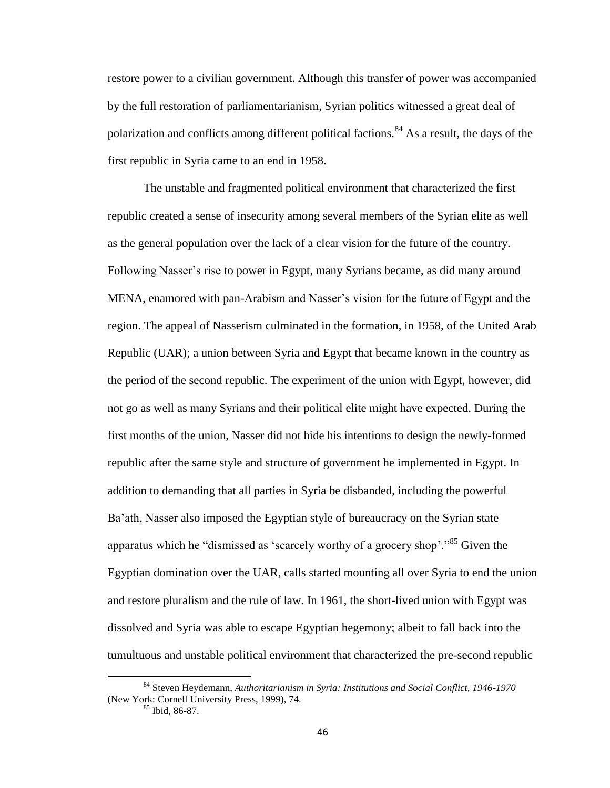restore power to a civilian government. Although this transfer of power was accompanied by the full restoration of parliamentarianism, Syrian politics witnessed a great deal of polarization and conflicts among different political factions.<sup>84</sup> As a result, the days of the first republic in Syria came to an end in 1958.

The unstable and fragmented political environment that characterized the first republic created a sense of insecurity among several members of the Syrian elite as well as the general population over the lack of a clear vision for the future of the country. Following Nasser's rise to power in Egypt, many Syrians became, as did many around MENA, enamored with pan-Arabism and Nasser's vision for the future of Egypt and the region. The appeal of Nasserism culminated in the formation, in 1958, of the United Arab Republic (UAR); a union between Syria and Egypt that became known in the country as the period of the second republic. The experiment of the union with Egypt, however, did not go as well as many Syrians and their political elite might have expected. During the first months of the union, Nasser did not hide his intentions to design the newly-formed republic after the same style and structure of government he implemented in Egypt. In addition to demanding that all parties in Syria be disbanded, including the powerful Ba'ath, Nasser also imposed the Egyptian style of bureaucracy on the Syrian state apparatus which he "dismissed as 'scarcely worthy of a grocery shop'."<sup>85</sup> Given the Egyptian domination over the UAR, calls started mounting all over Syria to end the union and restore pluralism and the rule of law. In 1961, the short-lived union with Egypt was dissolved and Syria was able to escape Egyptian hegemony; albeit to fall back into the tumultuous and unstable political environment that characterized the pre-second republic

<sup>84</sup> Steven Heydemann, *Authoritarianism in Syria: Institutions and Social Conflict, 1946-1970* (New York: Cornell University Press, 1999), 74.

 $85$  Ibid, 86-87.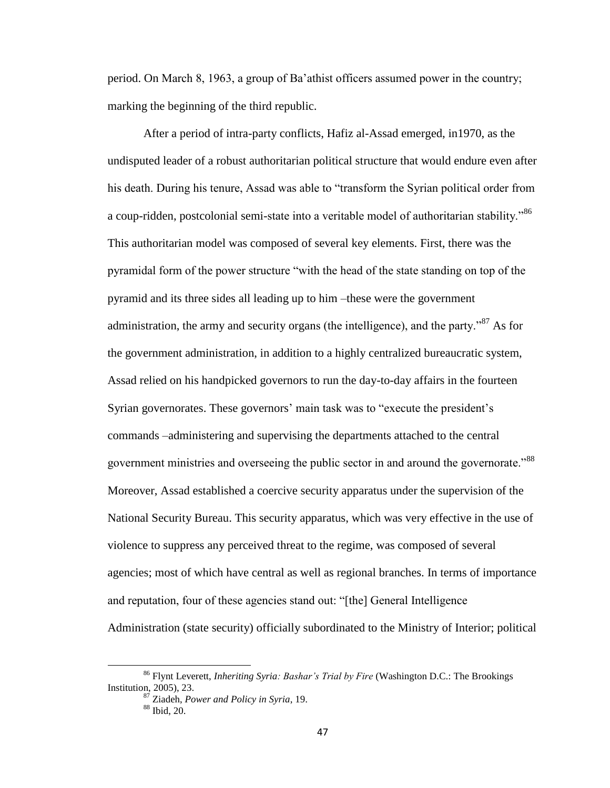period. On March 8, 1963, a group of Ba'athist officers assumed power in the country; marking the beginning of the third republic.

After a period of intra-party conflicts, Hafiz al-Assad emerged, in1970, as the undisputed leader of a robust authoritarian political structure that would endure even after his death. During his tenure, Assad was able to "transform the Syrian political order from a coup-ridden, postcolonial semi-state into a veritable model of authoritarian stability."<sup>86</sup> This authoritarian model was composed of several key elements. First, there was the pyramidal form of the power structure "with the head of the state standing on top of the pyramid and its three sides all leading up to him –these were the government administration, the army and security organs (the intelligence), and the party.<sup>87</sup> As for the government administration, in addition to a highly centralized bureaucratic system, Assad relied on his handpicked governors to run the day-to-day affairs in the fourteen Syrian governorates. These governors' main task was to "execute the president's commands –administering and supervising the departments attached to the central government ministries and overseeing the public sector in and around the governorate."<sup>88</sup> Moreover, Assad established a coercive security apparatus under the supervision of the National Security Bureau. This security apparatus, which was very effective in the use of violence to suppress any perceived threat to the regime, was composed of several agencies; most of which have central as well as regional branches. In terms of importance and reputation, four of these agencies stand out: "[the] General Intelligence Administration (state security) officially subordinated to the Ministry of Interior; political

<sup>86</sup> Flynt Leverett, *Inheriting Syria: Bashar's Trial by Fire* (Washington D.C.: The Brookings Institution, 2005), 23.

<sup>87</sup> Ziadeh, *Power and Policy in Syria*, 19. <sup>88</sup> Ibid, 20.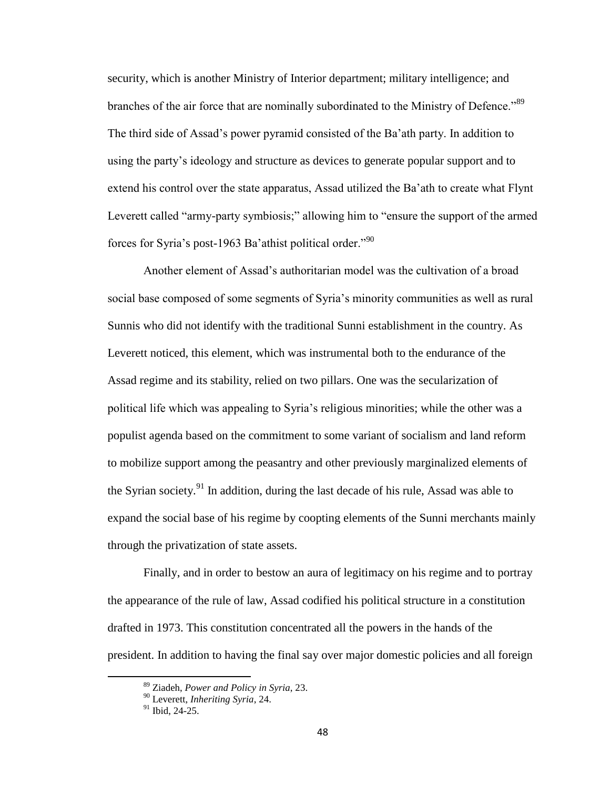security, which is another Ministry of Interior department; military intelligence; and branches of the air force that are nominally subordinated to the Ministry of Defence.<sup>89</sup> The third side of Assad's power pyramid consisted of the Ba'ath party. In addition to using the party's ideology and structure as devices to generate popular support and to extend his control over the state apparatus, Assad utilized the Ba'ath to create what Flynt Leverett called "army-party symbiosis;" allowing him to "ensure the support of the armed forces for Syria's post-1963 Ba'athist political order."<sup>90</sup>

Another element of Assad's authoritarian model was the cultivation of a broad social base composed of some segments of Syria's minority communities as well as rural Sunnis who did not identify with the traditional Sunni establishment in the country. As Leverett noticed, this element, which was instrumental both to the endurance of the Assad regime and its stability, relied on two pillars. One was the secularization of political life which was appealing to Syria's religious minorities; while the other was a populist agenda based on the commitment to some variant of socialism and land reform to mobilize support among the peasantry and other previously marginalized elements of the Syrian society.<sup>91</sup> In addition, during the last decade of his rule, Assad was able to expand the social base of his regime by coopting elements of the Sunni merchants mainly through the privatization of state assets.

Finally, and in order to bestow an aura of legitimacy on his regime and to portray the appearance of the rule of law, Assad codified his political structure in a constitution drafted in 1973. This constitution concentrated all the powers in the hands of the president. In addition to having the final say over major domestic policies and all foreign

<sup>89</sup> Ziadeh, *Power and Policy in Syria*, 23.

<sup>90</sup> Leverett, *Inheriting Syria*, 24.

<sup>&</sup>lt;sup>91</sup> Ibid, 24-25.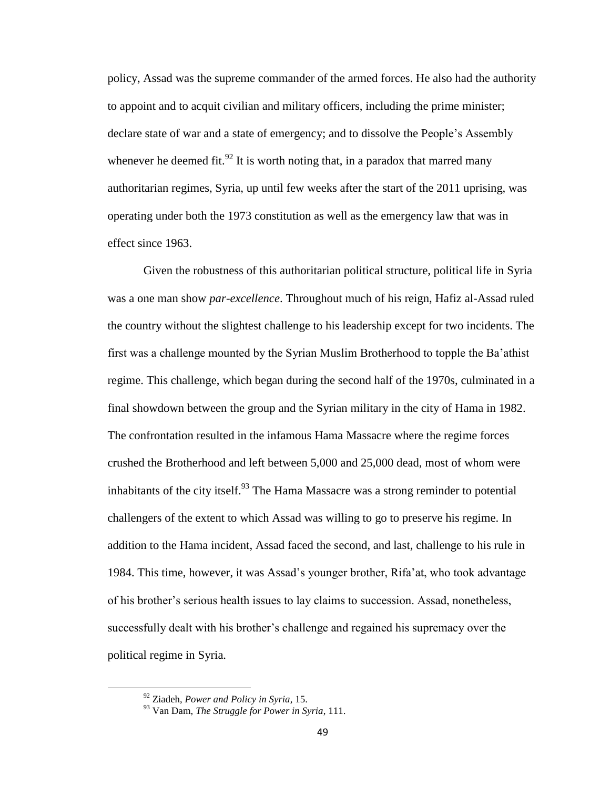policy, Assad was the supreme commander of the armed forces. He also had the authority to appoint and to acquit civilian and military officers, including the prime minister; declare state of war and a state of emergency; and to dissolve the People's Assembly whenever he deemed fit.<sup>92</sup> It is worth noting that, in a paradox that marred many authoritarian regimes, Syria, up until few weeks after the start of the 2011 uprising, was operating under both the 1973 constitution as well as the emergency law that was in effect since 1963.

Given the robustness of this authoritarian political structure, political life in Syria was a one man show *par-excellence*. Throughout much of his reign, Hafiz al-Assad ruled the country without the slightest challenge to his leadership except for two incidents. The first was a challenge mounted by the Syrian Muslim Brotherhood to topple the Ba'athist regime. This challenge, which began during the second half of the 1970s, culminated in a final showdown between the group and the Syrian military in the city of Hama in 1982. The confrontation resulted in the infamous Hama Massacre where the regime forces crushed the Brotherhood and left between 5,000 and 25,000 dead, most of whom were inhabitants of the city itself.<sup>93</sup> The Hama Massacre was a strong reminder to potential challengers of the extent to which Assad was willing to go to preserve his regime. In addition to the Hama incident, Assad faced the second, and last, challenge to his rule in 1984. This time, however, it was Assad's younger brother, Rifa'at, who took advantage of his brother's serious health issues to lay claims to succession. Assad, nonetheless, successfully dealt with his brother's challenge and regained his supremacy over the political regime in Syria.

<sup>92</sup> Ziadeh, *Power and Policy in Syria*, 15.

<sup>93</sup> Van Dam, *The Struggle for Power in Syria*, 111.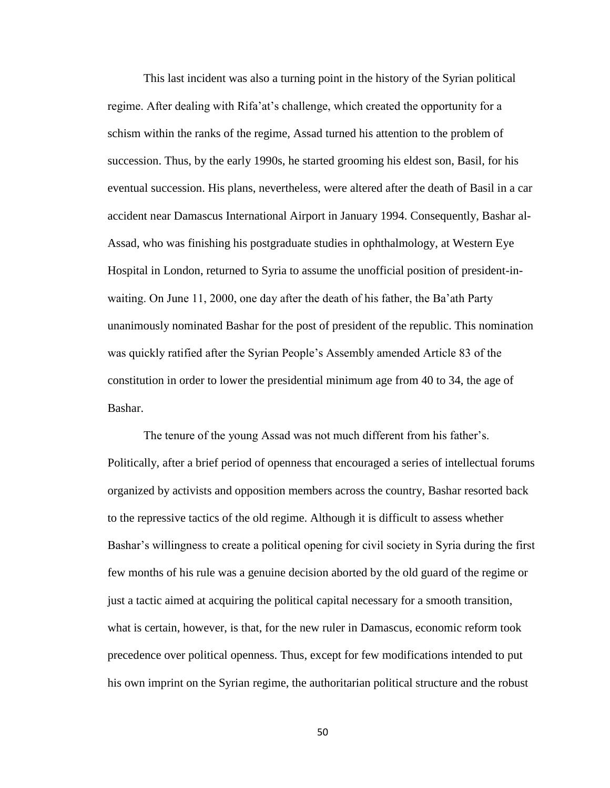This last incident was also a turning point in the history of the Syrian political regime. After dealing with Rifa'at's challenge, which created the opportunity for a schism within the ranks of the regime, Assad turned his attention to the problem of succession. Thus, by the early 1990s, he started grooming his eldest son, Basil, for his eventual succession. His plans, nevertheless, were altered after the death of Basil in a car accident near Damascus International Airport in January 1994. Consequently, Bashar al-Assad, who was finishing his postgraduate studies in ophthalmology, at Western Eye Hospital in London, returned to Syria to assume the unofficial position of president-inwaiting. On June 11, 2000, one day after the death of his father, the Ba'ath Party unanimously nominated Bashar for the post of president of the republic. This nomination was quickly ratified after the Syrian People's Assembly amended Article 83 of the constitution in order to lower the presidential minimum age from 40 to 34, the age of Bashar.

The tenure of the young Assad was not much different from his father's. Politically, after a brief period of openness that encouraged a series of intellectual forums organized by activists and opposition members across the country, Bashar resorted back to the repressive tactics of the old regime. Although it is difficult to assess whether Bashar's willingness to create a political opening for civil society in Syria during the first few months of his rule was a genuine decision aborted by the old guard of the regime or just a tactic aimed at acquiring the political capital necessary for a smooth transition, what is certain, however, is that, for the new ruler in Damascus, economic reform took precedence over political openness. Thus, except for few modifications intended to put his own imprint on the Syrian regime, the authoritarian political structure and the robust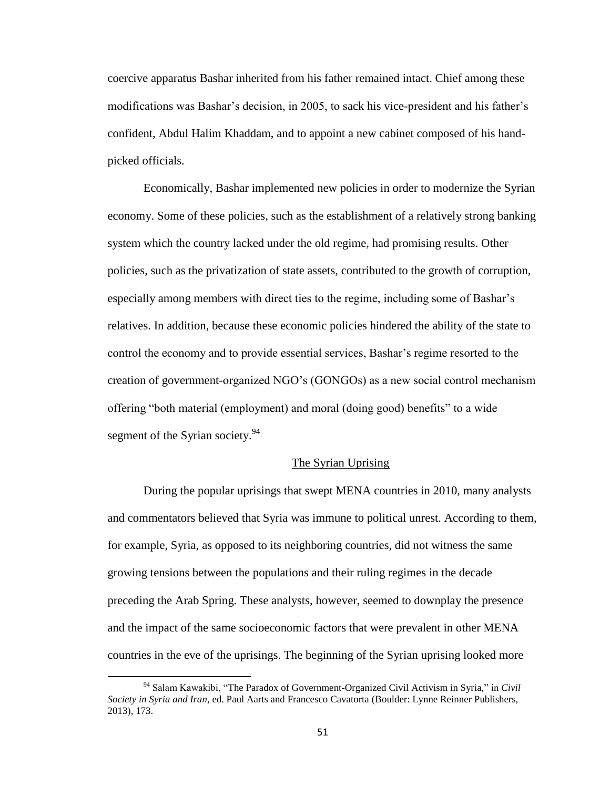coercive apparatus Bashar inherited from his father remained intact. Chief among these modifications was Bashar's decision, in 2005, to sack his vice-president and his father's confident, Abdul Halim Khaddam, and to appoint a new cabinet composed of his handpicked officials.

Economically, Bashar implemented new policies in order to modernize the Syrian economy. Some of these policies, such as the establishment of a relatively strong banking system which the country lacked under the old regime, had promising results. Other policies, such as the privatization of state assets, contributed to the growth of corruption, especially among members with direct ties to the regime, including some of Bashar's relatives. In addition, because these economic policies hindered the ability of the state to control the economy and to provide essential services, Bashar's regime resorted to the creation of government-organized NGO's (GONGOs) as a new social control mechanism offering "both material (employment) and moral (doing good) benefits" to a wide segment of the Syrian society.<sup>94</sup>

## The Syrian Uprising

During the popular uprisings that swept MENA countries in 2010, many analysts and commentators believed that Syria was immune to political unrest. According to them, for example, Syria, as opposed to its neighboring countries, did not witness the same growing tensions between the populations and their ruling regimes in the decade preceding the Arab Spring. These analysts, however, seemed to downplay the presence and the impact of the same socioeconomic factors that were prevalent in other MENA countries in the eve of the uprisings. The beginning of the Syrian uprising looked more

<sup>94</sup> Salam Kawakibi, "The Paradox of Government-Organized Civil Activism in Syria," in *Civil Society in Syria and Iran*, ed. Paul Aarts and Francesco Cavatorta (Boulder: Lynne Reinner Publishers, 2013), 173.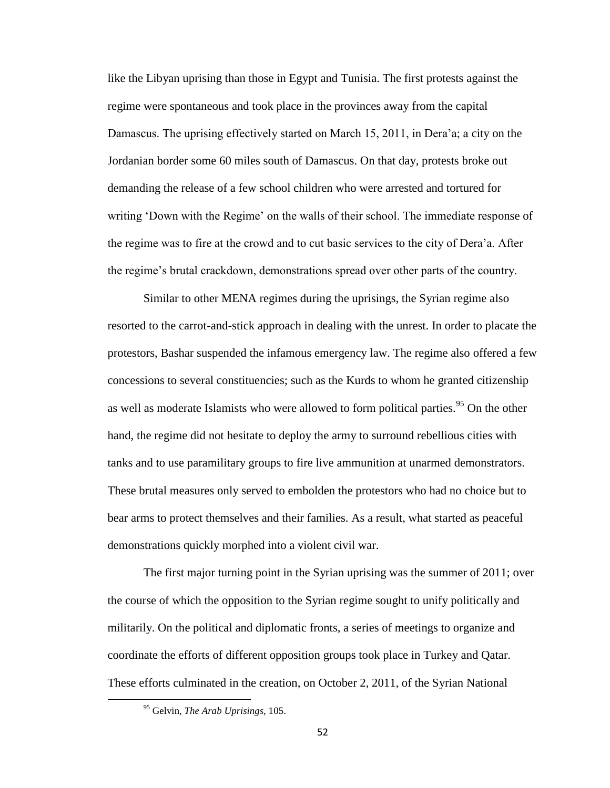like the Libyan uprising than those in Egypt and Tunisia. The first protests against the regime were spontaneous and took place in the provinces away from the capital Damascus. The uprising effectively started on March 15, 2011, in Dera'a; a city on the Jordanian border some 60 miles south of Damascus. On that day, protests broke out demanding the release of a few school children who were arrested and tortured for writing 'Down with the Regime' on the walls of their school. The immediate response of the regime was to fire at the crowd and to cut basic services to the city of Dera'a. After the regime's brutal crackdown, demonstrations spread over other parts of the country.

Similar to other MENA regimes during the uprisings, the Syrian regime also resorted to the carrot-and-stick approach in dealing with the unrest. In order to placate the protestors, Bashar suspended the infamous emergency law. The regime also offered a few concessions to several constituencies; such as the Kurds to whom he granted citizenship as well as moderate Islamists who were allowed to form political parties.<sup>95</sup> On the other hand, the regime did not hesitate to deploy the army to surround rebellious cities with tanks and to use paramilitary groups to fire live ammunition at unarmed demonstrators. These brutal measures only served to embolden the protestors who had no choice but to bear arms to protect themselves and their families. As a result, what started as peaceful demonstrations quickly morphed into a violent civil war.

The first major turning point in the Syrian uprising was the summer of 2011; over the course of which the opposition to the Syrian regime sought to unify politically and militarily. On the political and diplomatic fronts, a series of meetings to organize and coordinate the efforts of different opposition groups took place in Turkey and Qatar. These efforts culminated in the creation, on October 2, 2011, of the Syrian National

<sup>95</sup> Gelvin, *The Arab Uprisings*, 105.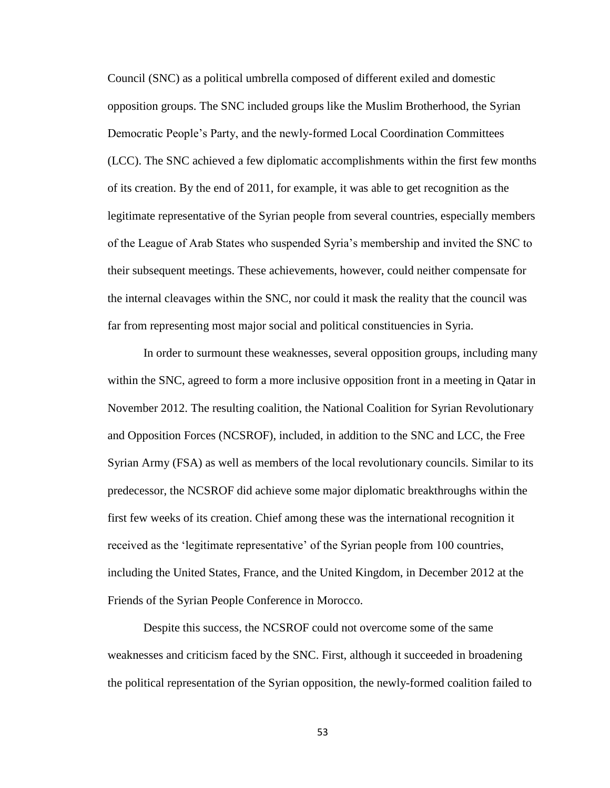Council (SNC) as a political umbrella composed of different exiled and domestic opposition groups. The SNC included groups like the Muslim Brotherhood, the Syrian Democratic People's Party, and the newly-formed Local Coordination Committees (LCC). The SNC achieved a few diplomatic accomplishments within the first few months of its creation. By the end of 2011, for example, it was able to get recognition as the legitimate representative of the Syrian people from several countries, especially members of the League of Arab States who suspended Syria's membership and invited the SNC to their subsequent meetings. These achievements, however, could neither compensate for the internal cleavages within the SNC, nor could it mask the reality that the council was far from representing most major social and political constituencies in Syria.

In order to surmount these weaknesses, several opposition groups, including many within the SNC, agreed to form a more inclusive opposition front in a meeting in Qatar in November 2012. The resulting coalition, the National Coalition for Syrian Revolutionary and Opposition Forces (NCSROF), included, in addition to the SNC and LCC, the Free Syrian Army (FSA) as well as members of the local revolutionary councils. Similar to its predecessor, the NCSROF did achieve some major diplomatic breakthroughs within the first few weeks of its creation. Chief among these was the international recognition it received as the 'legitimate representative' of the Syrian people from 100 countries, including the United States, France, and the United Kingdom, in December 2012 at the Friends of the Syrian People Conference in Morocco.

Despite this success, the NCSROF could not overcome some of the same weaknesses and criticism faced by the SNC. First, although it succeeded in broadening the political representation of the Syrian opposition, the newly-formed coalition failed to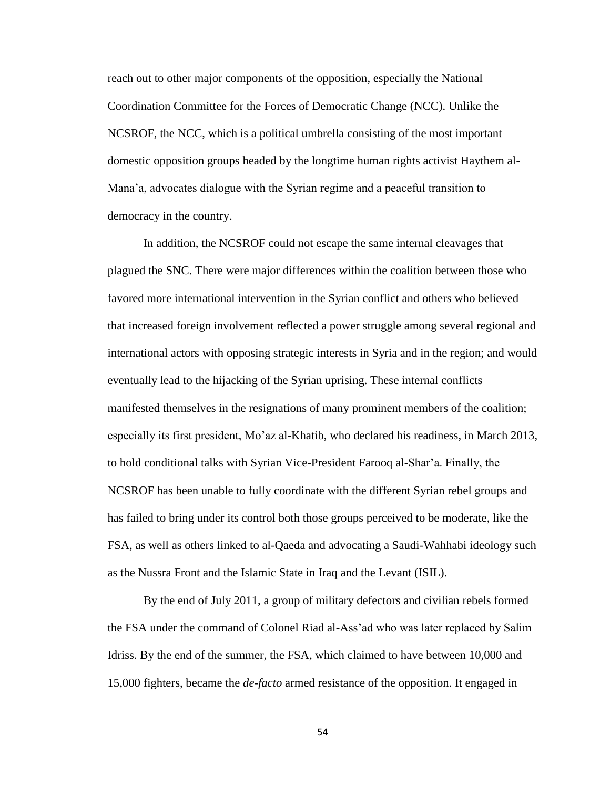reach out to other major components of the opposition, especially the National Coordination Committee for the Forces of Democratic Change (NCC). Unlike the NCSROF, the NCC, which is a political umbrella consisting of the most important domestic opposition groups headed by the longtime human rights activist Haythem al-Mana'a, advocates dialogue with the Syrian regime and a peaceful transition to democracy in the country.

In addition, the NCSROF could not escape the same internal cleavages that plagued the SNC. There were major differences within the coalition between those who favored more international intervention in the Syrian conflict and others who believed that increased foreign involvement reflected a power struggle among several regional and international actors with opposing strategic interests in Syria and in the region; and would eventually lead to the hijacking of the Syrian uprising. These internal conflicts manifested themselves in the resignations of many prominent members of the coalition; especially its first president, Mo'az al-Khatib, who declared his readiness, in March 2013, to hold conditional talks with Syrian Vice-President Farooq al-Shar'a. Finally, the NCSROF has been unable to fully coordinate with the different Syrian rebel groups and has failed to bring under its control both those groups perceived to be moderate, like the FSA, as well as others linked to al-Qaeda and advocating a Saudi-Wahhabi ideology such as the Nussra Front and the Islamic State in Iraq and the Levant (ISIL).

By the end of July 2011, a group of military defectors and civilian rebels formed the FSA under the command of Colonel Riad al-Ass'ad who was later replaced by Salim Idriss. By the end of the summer, the FSA, which claimed to have between 10,000 and 15,000 fighters, became the *de-facto* armed resistance of the opposition. It engaged in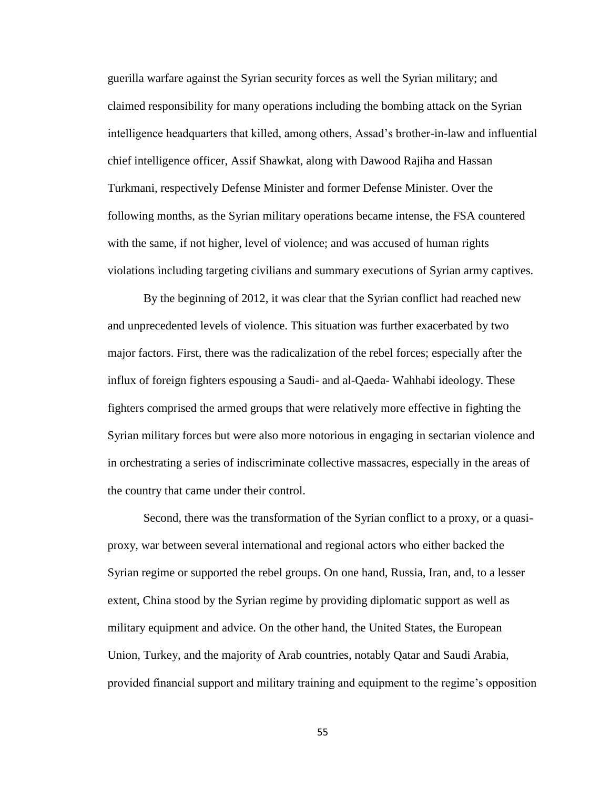guerilla warfare against the Syrian security forces as well the Syrian military; and claimed responsibility for many operations including the bombing attack on the Syrian intelligence headquarters that killed, among others, Assad's brother-in-law and influential chief intelligence officer, Assif Shawkat, along with Dawood Rajiha and Hassan Turkmani, respectively Defense Minister and former Defense Minister. Over the following months, as the Syrian military operations became intense, the FSA countered with the same, if not higher, level of violence; and was accused of human rights violations including targeting civilians and summary executions of Syrian army captives.

By the beginning of 2012, it was clear that the Syrian conflict had reached new and unprecedented levels of violence. This situation was further exacerbated by two major factors. First, there was the radicalization of the rebel forces; especially after the influx of foreign fighters espousing a Saudi- and al-Qaeda- Wahhabi ideology. These fighters comprised the armed groups that were relatively more effective in fighting the Syrian military forces but were also more notorious in engaging in sectarian violence and in orchestrating a series of indiscriminate collective massacres, especially in the areas of the country that came under their control.

Second, there was the transformation of the Syrian conflict to a proxy, or a quasiproxy, war between several international and regional actors who either backed the Syrian regime or supported the rebel groups. On one hand, Russia, Iran, and, to a lesser extent, China stood by the Syrian regime by providing diplomatic support as well as military equipment and advice. On the other hand, the United States, the European Union, Turkey, and the majority of Arab countries, notably Qatar and Saudi Arabia, provided financial support and military training and equipment to the regime's opposition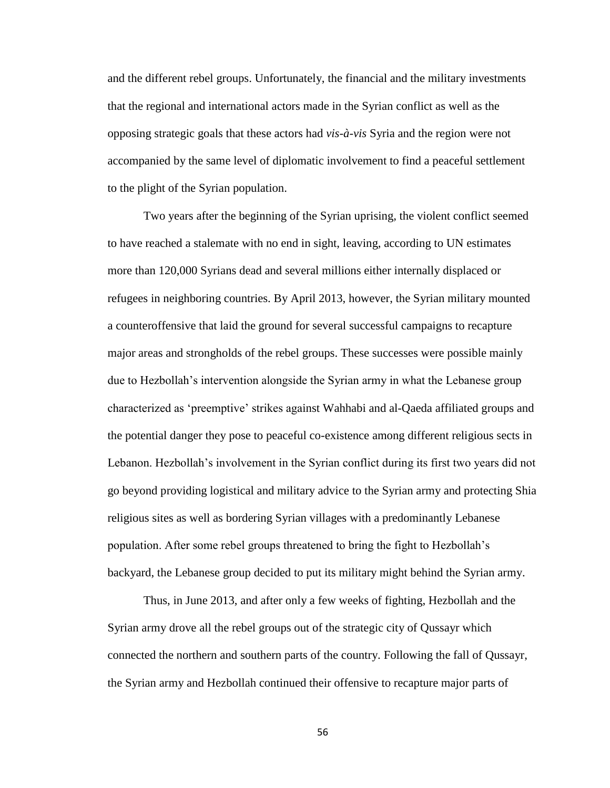and the different rebel groups. Unfortunately, the financial and the military investments that the regional and international actors made in the Syrian conflict as well as the opposing strategic goals that these actors had *vis-à-vis* Syria and the region were not accompanied by the same level of diplomatic involvement to find a peaceful settlement to the plight of the Syrian population.

Two years after the beginning of the Syrian uprising, the violent conflict seemed to have reached a stalemate with no end in sight, leaving, according to UN estimates more than 120,000 Syrians dead and several millions either internally displaced or refugees in neighboring countries. By April 2013, however, the Syrian military mounted a counteroffensive that laid the ground for several successful campaigns to recapture major areas and strongholds of the rebel groups. These successes were possible mainly due to Hezbollah's intervention alongside the Syrian army in what the Lebanese group characterized as 'preemptive' strikes against Wahhabi and al-Qaeda affiliated groups and the potential danger they pose to peaceful co-existence among different religious sects in Lebanon. Hezbollah's involvement in the Syrian conflict during its first two years did not go beyond providing logistical and military advice to the Syrian army and protecting Shia religious sites as well as bordering Syrian villages with a predominantly Lebanese population. After some rebel groups threatened to bring the fight to Hezbollah's backyard, the Lebanese group decided to put its military might behind the Syrian army.

Thus, in June 2013, and after only a few weeks of fighting, Hezbollah and the Syrian army drove all the rebel groups out of the strategic city of Qussayr which connected the northern and southern parts of the country. Following the fall of Qussayr, the Syrian army and Hezbollah continued their offensive to recapture major parts of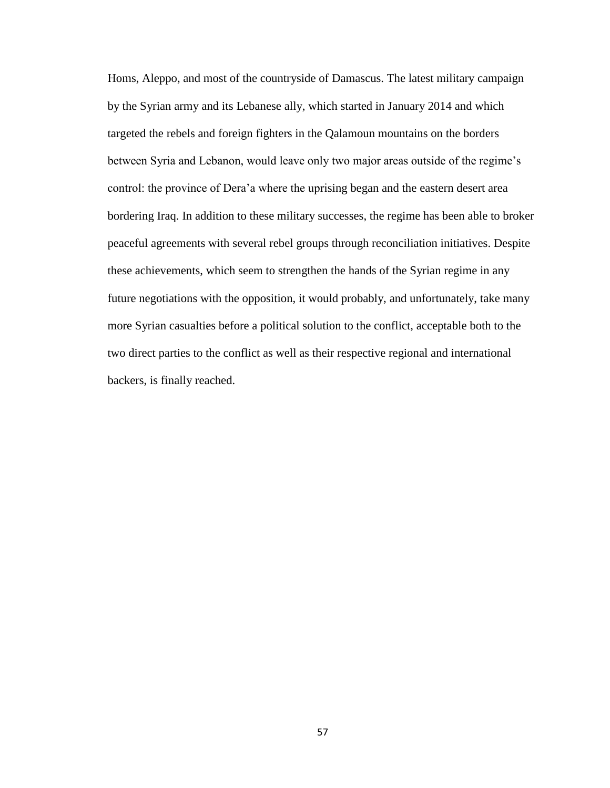Homs, Aleppo, and most of the countryside of Damascus. The latest military campaign by the Syrian army and its Lebanese ally, which started in January 2014 and which targeted the rebels and foreign fighters in the Qalamoun mountains on the borders between Syria and Lebanon, would leave only two major areas outside of the regime's control: the province of Dera'a where the uprising began and the eastern desert area bordering Iraq. In addition to these military successes, the regime has been able to broker peaceful agreements with several rebel groups through reconciliation initiatives. Despite these achievements, which seem to strengthen the hands of the Syrian regime in any future negotiations with the opposition, it would probably, and unfortunately, take many more Syrian casualties before a political solution to the conflict, acceptable both to the two direct parties to the conflict as well as their respective regional and international backers, is finally reached.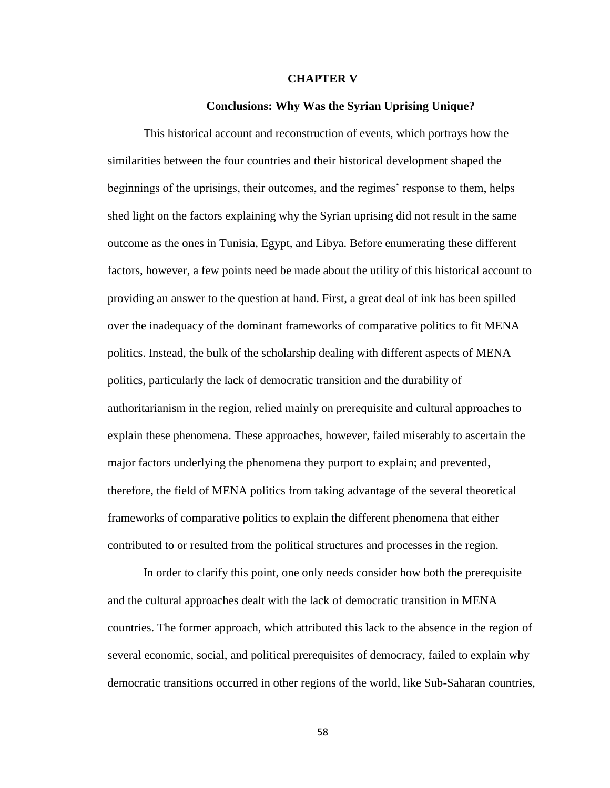#### **CHAPTER V**

## **Conclusions: Why Was the Syrian Uprising Unique?**

This historical account and reconstruction of events, which portrays how the similarities between the four countries and their historical development shaped the beginnings of the uprisings, their outcomes, and the regimes' response to them, helps shed light on the factors explaining why the Syrian uprising did not result in the same outcome as the ones in Tunisia, Egypt, and Libya. Before enumerating these different factors, however, a few points need be made about the utility of this historical account to providing an answer to the question at hand. First, a great deal of ink has been spilled over the inadequacy of the dominant frameworks of comparative politics to fit MENA politics. Instead, the bulk of the scholarship dealing with different aspects of MENA politics, particularly the lack of democratic transition and the durability of authoritarianism in the region, relied mainly on prerequisite and cultural approaches to explain these phenomena. These approaches, however, failed miserably to ascertain the major factors underlying the phenomena they purport to explain; and prevented, therefore, the field of MENA politics from taking advantage of the several theoretical frameworks of comparative politics to explain the different phenomena that either contributed to or resulted from the political structures and processes in the region.

In order to clarify this point, one only needs consider how both the prerequisite and the cultural approaches dealt with the lack of democratic transition in MENA countries. The former approach, which attributed this lack to the absence in the region of several economic, social, and political prerequisites of democracy, failed to explain why democratic transitions occurred in other regions of the world, like Sub-Saharan countries,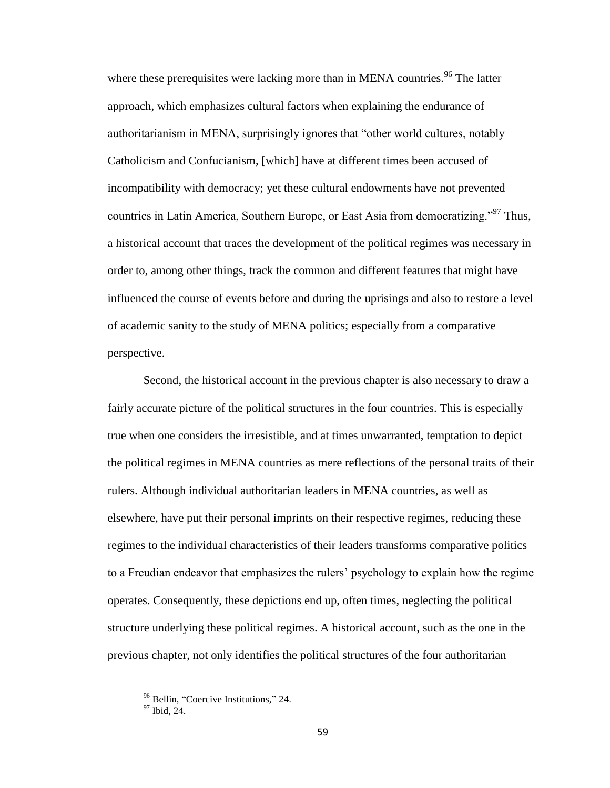where these prerequisites were lacking more than in MENA countries.<sup>96</sup> The latter approach, which emphasizes cultural factors when explaining the endurance of authoritarianism in MENA, surprisingly ignores that "other world cultures, notably Catholicism and Confucianism, [which] have at different times been accused of incompatibility with democracy; yet these cultural endowments have not prevented countries in Latin America, Southern Europe, or East Asia from democratizing."<sup>97</sup> Thus, a historical account that traces the development of the political regimes was necessary in order to, among other things, track the common and different features that might have influenced the course of events before and during the uprisings and also to restore a level of academic sanity to the study of MENA politics; especially from a comparative perspective.

Second, the historical account in the previous chapter is also necessary to draw a fairly accurate picture of the political structures in the four countries. This is especially true when one considers the irresistible, and at times unwarranted, temptation to depict the political regimes in MENA countries as mere reflections of the personal traits of their rulers. Although individual authoritarian leaders in MENA countries, as well as elsewhere, have put their personal imprints on their respective regimes, reducing these regimes to the individual characteristics of their leaders transforms comparative politics to a Freudian endeavor that emphasizes the rulers' psychology to explain how the regime operates. Consequently, these depictions end up, often times, neglecting the political structure underlying these political regimes. A historical account, such as the one in the previous chapter, not only identifies the political structures of the four authoritarian

<sup>96</sup> Bellin, "Coercive Institutions," 24.

<sup>97</sup> Ibid, 24.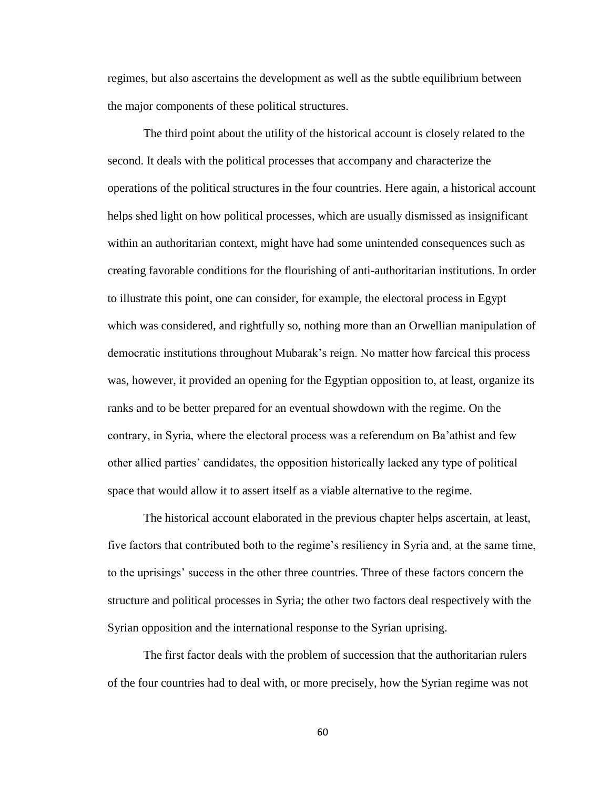regimes, but also ascertains the development as well as the subtle equilibrium between the major components of these political structures.

The third point about the utility of the historical account is closely related to the second. It deals with the political processes that accompany and characterize the operations of the political structures in the four countries. Here again, a historical account helps shed light on how political processes, which are usually dismissed as insignificant within an authoritarian context, might have had some unintended consequences such as creating favorable conditions for the flourishing of anti-authoritarian institutions. In order to illustrate this point, one can consider, for example, the electoral process in Egypt which was considered, and rightfully so, nothing more than an Orwellian manipulation of democratic institutions throughout Mubarak's reign. No matter how farcical this process was, however, it provided an opening for the Egyptian opposition to, at least, organize its ranks and to be better prepared for an eventual showdown with the regime. On the contrary, in Syria, where the electoral process was a referendum on Ba'athist and few other allied parties' candidates, the opposition historically lacked any type of political space that would allow it to assert itself as a viable alternative to the regime.

The historical account elaborated in the previous chapter helps ascertain, at least, five factors that contributed both to the regime's resiliency in Syria and, at the same time, to the uprisings' success in the other three countries. Three of these factors concern the structure and political processes in Syria; the other two factors deal respectively with the Syrian opposition and the international response to the Syrian uprising.

The first factor deals with the problem of succession that the authoritarian rulers of the four countries had to deal with, or more precisely, how the Syrian regime was not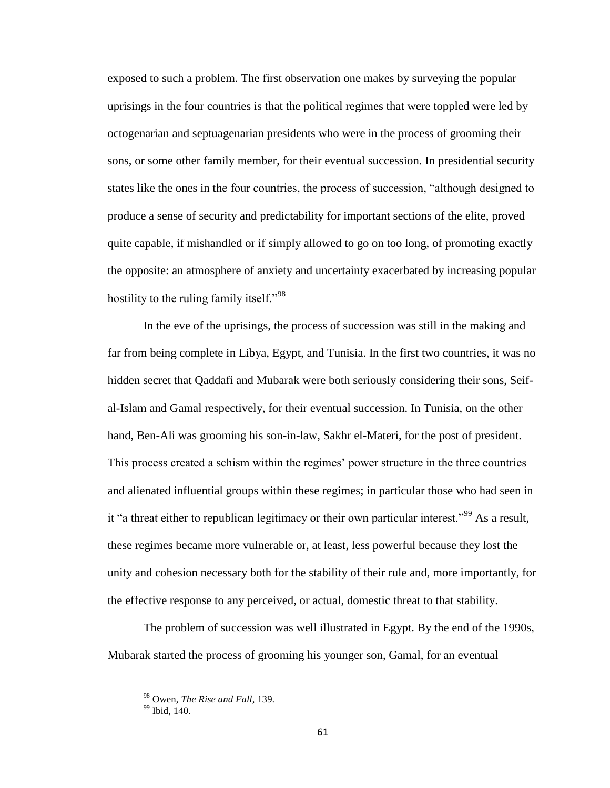exposed to such a problem. The first observation one makes by surveying the popular uprisings in the four countries is that the political regimes that were toppled were led by octogenarian and septuagenarian presidents who were in the process of grooming their sons, or some other family member, for their eventual succession. In presidential security states like the ones in the four countries, the process of succession, "although designed to produce a sense of security and predictability for important sections of the elite, proved quite capable, if mishandled or if simply allowed to go on too long, of promoting exactly the opposite: an atmosphere of anxiety and uncertainty exacerbated by increasing popular hostility to the ruling family itself."<sup>98</sup>

In the eve of the uprisings, the process of succession was still in the making and far from being complete in Libya, Egypt, and Tunisia. In the first two countries, it was no hidden secret that Qaddafi and Mubarak were both seriously considering their sons, Seifal-Islam and Gamal respectively, for their eventual succession. In Tunisia, on the other hand, Ben-Ali was grooming his son-in-law, Sakhr el-Materi, for the post of president. This process created a schism within the regimes' power structure in the three countries and alienated influential groups within these regimes; in particular those who had seen in it "a threat either to republican legitimacy or their own particular interest."<sup>99</sup> As a result, these regimes became more vulnerable or, at least, less powerful because they lost the unity and cohesion necessary both for the stability of their rule and, more importantly, for the effective response to any perceived, or actual, domestic threat to that stability.

The problem of succession was well illustrated in Egypt. By the end of the 1990s, Mubarak started the process of grooming his younger son, Gamal, for an eventual

<sup>98</sup> Owen, *The Rise and Fall*, 139.

<sup>&</sup>lt;sup>99</sup> Ibid, 140.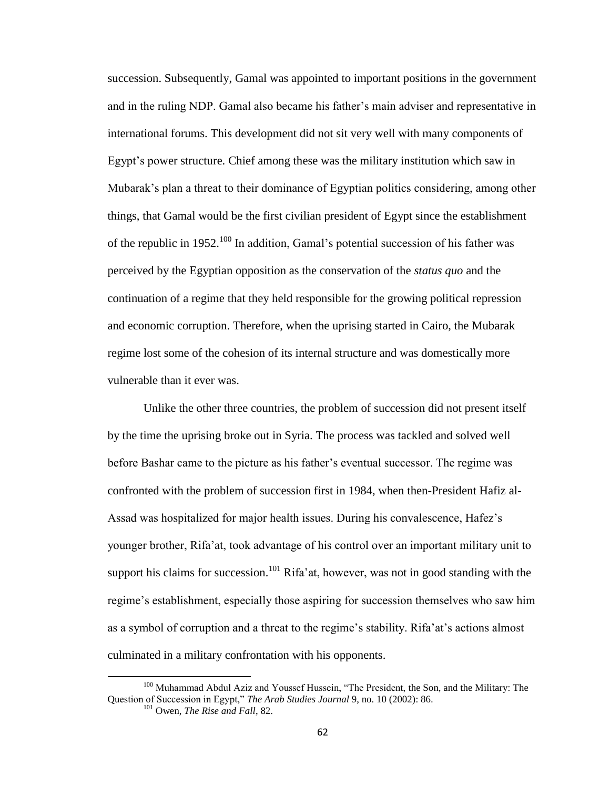succession. Subsequently, Gamal was appointed to important positions in the government and in the ruling NDP. Gamal also became his father's main adviser and representative in international forums. This development did not sit very well with many components of Egypt's power structure. Chief among these was the military institution which saw in Mubarak's plan a threat to their dominance of Egyptian politics considering, among other things, that Gamal would be the first civilian president of Egypt since the establishment of the republic in 1952.<sup>100</sup> In addition, Gamal's potential succession of his father was perceived by the Egyptian opposition as the conservation of the *status quo* and the continuation of a regime that they held responsible for the growing political repression and economic corruption. Therefore, when the uprising started in Cairo, the Mubarak regime lost some of the cohesion of its internal structure and was domestically more vulnerable than it ever was.

Unlike the other three countries, the problem of succession did not present itself by the time the uprising broke out in Syria. The process was tackled and solved well before Bashar came to the picture as his father's eventual successor. The regime was confronted with the problem of succession first in 1984, when then-President Hafiz al-Assad was hospitalized for major health issues. During his convalescence, Hafez's younger brother, Rifa'at, took advantage of his control over an important military unit to support his claims for succession.<sup>101</sup> Rifa'at, however, was not in good standing with the regime's establishment, especially those aspiring for succession themselves who saw him as a symbol of corruption and a threat to the regime's stability. Rifa'at's actions almost culminated in a military confrontation with his opponents.

<sup>&</sup>lt;sup>100</sup> Muhammad Abdul Aziz and Youssef Hussein, "The President, the Son, and the Military: The Question of Succession in Egypt," *The Arab Studies Journal* 9, no. 10 (2002): 86.

<sup>101</sup> Owen, *The Rise and Fall*, 82.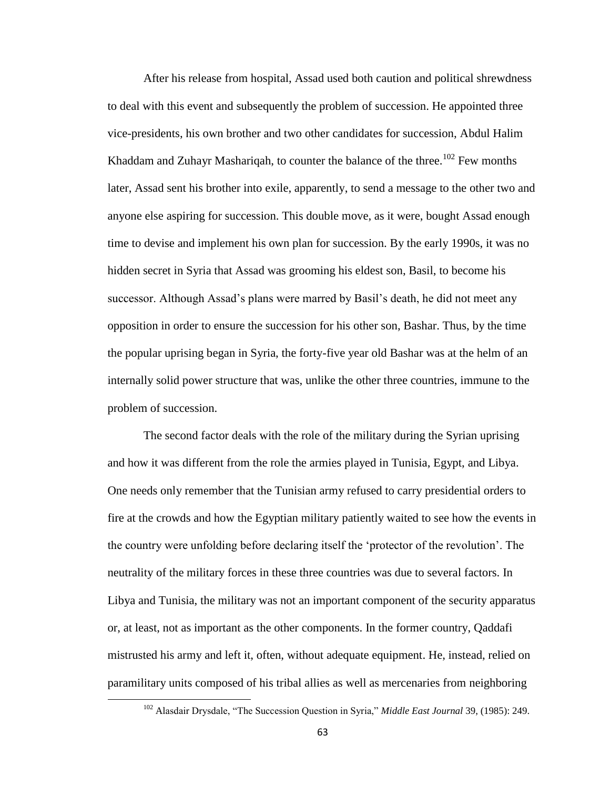After his release from hospital, Assad used both caution and political shrewdness to deal with this event and subsequently the problem of succession. He appointed three vice-presidents, his own brother and two other candidates for succession, Abdul Halim Khaddam and Zuhayr Mashariqah, to counter the balance of the three.<sup>102</sup> Few months later, Assad sent his brother into exile, apparently, to send a message to the other two and anyone else aspiring for succession. This double move, as it were, bought Assad enough time to devise and implement his own plan for succession. By the early 1990s, it was no hidden secret in Syria that Assad was grooming his eldest son, Basil, to become his successor. Although Assad's plans were marred by Basil's death, he did not meet any opposition in order to ensure the succession for his other son, Bashar. Thus, by the time the popular uprising began in Syria, the forty-five year old Bashar was at the helm of an internally solid power structure that was, unlike the other three countries, immune to the problem of succession.

The second factor deals with the role of the military during the Syrian uprising and how it was different from the role the armies played in Tunisia, Egypt, and Libya. One needs only remember that the Tunisian army refused to carry presidential orders to fire at the crowds and how the Egyptian military patiently waited to see how the events in the country were unfolding before declaring itself the 'protector of the revolution'. The neutrality of the military forces in these three countries was due to several factors. In Libya and Tunisia, the military was not an important component of the security apparatus or, at least, not as important as the other components. In the former country, Qaddafi mistrusted his army and left it, often, without adequate equipment. He, instead, relied on paramilitary units composed of his tribal allies as well as mercenaries from neighboring

<sup>102</sup> Alasdair Drysdale, "The Succession Question in Syria," *Middle East Journal* 39, (1985): 249.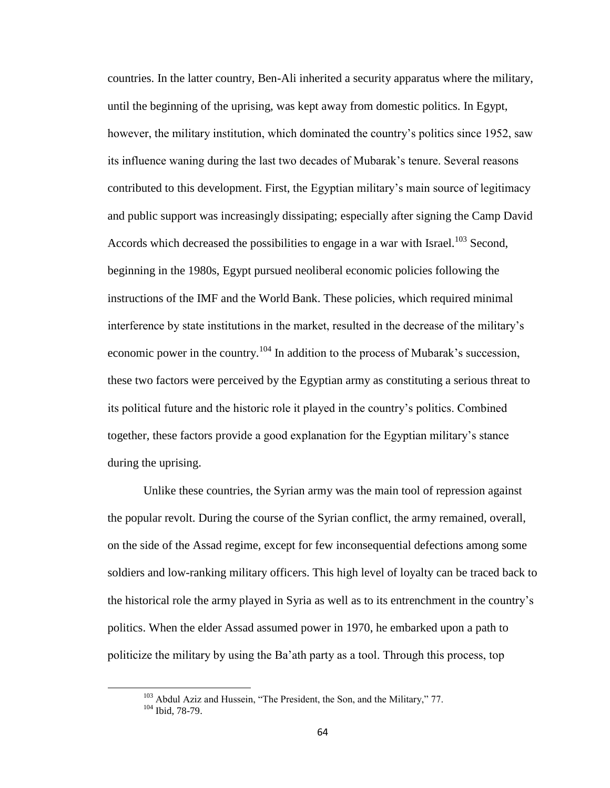countries. In the latter country, Ben-Ali inherited a security apparatus where the military, until the beginning of the uprising, was kept away from domestic politics. In Egypt, however, the military institution, which dominated the country's politics since 1952, saw its influence waning during the last two decades of Mubarak's tenure. Several reasons contributed to this development. First, the Egyptian military's main source of legitimacy and public support was increasingly dissipating; especially after signing the Camp David Accords which decreased the possibilities to engage in a war with Israel.<sup>103</sup> Second, beginning in the 1980s, Egypt pursued neoliberal economic policies following the instructions of the IMF and the World Bank. These policies, which required minimal interference by state institutions in the market, resulted in the decrease of the military's economic power in the country.<sup>104</sup> In addition to the process of Mubarak's succession, these two factors were perceived by the Egyptian army as constituting a serious threat to its political future and the historic role it played in the country's politics. Combined together, these factors provide a good explanation for the Egyptian military's stance during the uprising.

Unlike these countries, the Syrian army was the main tool of repression against the popular revolt. During the course of the Syrian conflict, the army remained, overall, on the side of the Assad regime, except for few inconsequential defections among some soldiers and low-ranking military officers. This high level of loyalty can be traced back to the historical role the army played in Syria as well as to its entrenchment in the country's politics. When the elder Assad assumed power in 1970, he embarked upon a path to politicize the military by using the Ba'ath party as a tool. Through this process, top

<sup>&</sup>lt;sup>103</sup> Abdul Aziz and Hussein, "The President, the Son, and the Military," 77.

 $104$  Ibid, 78-79.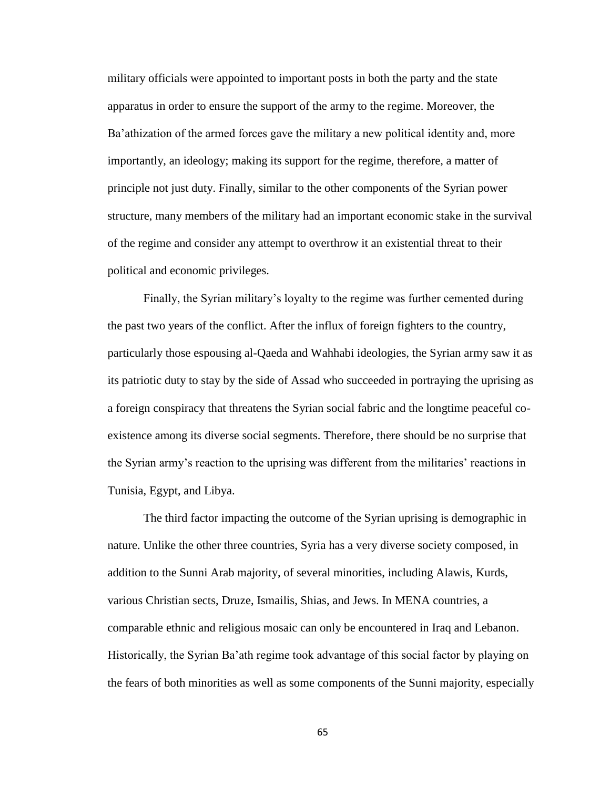military officials were appointed to important posts in both the party and the state apparatus in order to ensure the support of the army to the regime. Moreover, the Ba'athization of the armed forces gave the military a new political identity and, more importantly, an ideology; making its support for the regime, therefore, a matter of principle not just duty. Finally, similar to the other components of the Syrian power structure, many members of the military had an important economic stake in the survival of the regime and consider any attempt to overthrow it an existential threat to their political and economic privileges.

Finally, the Syrian military's loyalty to the regime was further cemented during the past two years of the conflict. After the influx of foreign fighters to the country, particularly those espousing al-Qaeda and Wahhabi ideologies, the Syrian army saw it as its patriotic duty to stay by the side of Assad who succeeded in portraying the uprising as a foreign conspiracy that threatens the Syrian social fabric and the longtime peaceful coexistence among its diverse social segments. Therefore, there should be no surprise that the Syrian army's reaction to the uprising was different from the militaries' reactions in Tunisia, Egypt, and Libya.

The third factor impacting the outcome of the Syrian uprising is demographic in nature. Unlike the other three countries, Syria has a very diverse society composed, in addition to the Sunni Arab majority, of several minorities, including Alawis, Kurds, various Christian sects, Druze, Ismailis, Shias, and Jews. In MENA countries, a comparable ethnic and religious mosaic can only be encountered in Iraq and Lebanon. Historically, the Syrian Ba'ath regime took advantage of this social factor by playing on the fears of both minorities as well as some components of the Sunni majority, especially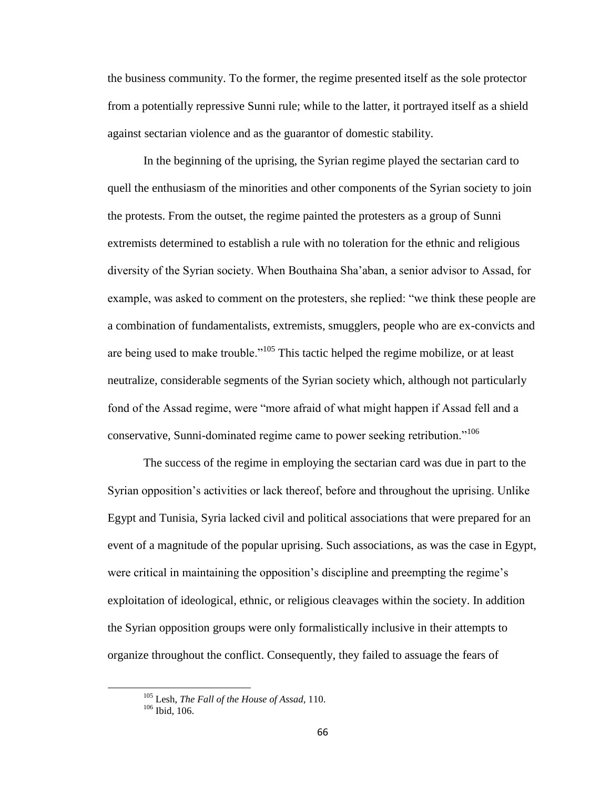the business community. To the former, the regime presented itself as the sole protector from a potentially repressive Sunni rule; while to the latter, it portrayed itself as a shield against sectarian violence and as the guarantor of domestic stability.

In the beginning of the uprising, the Syrian regime played the sectarian card to quell the enthusiasm of the minorities and other components of the Syrian society to join the protests. From the outset, the regime painted the protesters as a group of Sunni extremists determined to establish a rule with no toleration for the ethnic and religious diversity of the Syrian society. When Bouthaina Sha'aban, a senior advisor to Assad, for example, was asked to comment on the protesters, she replied: "we think these people are a combination of fundamentalists, extremists, smugglers, people who are ex-convicts and are being used to make trouble."<sup>105</sup> This tactic helped the regime mobilize, or at least neutralize, considerable segments of the Syrian society which, although not particularly fond of the Assad regime, were "more afraid of what might happen if Assad fell and a conservative, Sunni-dominated regime came to power seeking retribution."<sup>106</sup>

The success of the regime in employing the sectarian card was due in part to the Syrian opposition's activities or lack thereof, before and throughout the uprising. Unlike Egypt and Tunisia, Syria lacked civil and political associations that were prepared for an event of a magnitude of the popular uprising. Such associations, as was the case in Egypt, were critical in maintaining the opposition's discipline and preempting the regime's exploitation of ideological, ethnic, or religious cleavages within the society. In addition the Syrian opposition groups were only formalistically inclusive in their attempts to organize throughout the conflict. Consequently, they failed to assuage the fears of

<sup>105</sup> Lesh, *The Fall of the House of Assad*, 110.

<sup>106</sup> Ibid, 106.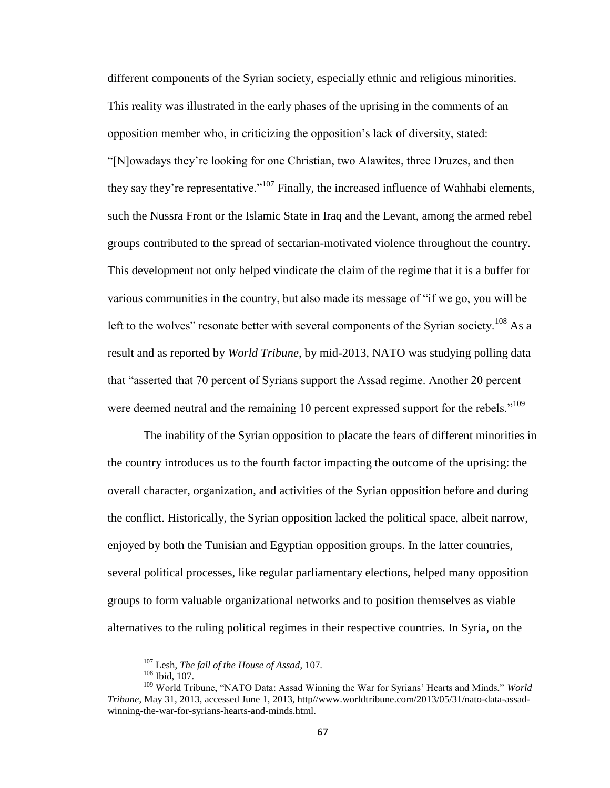different components of the Syrian society, especially ethnic and religious minorities. This reality was illustrated in the early phases of the uprising in the comments of an opposition member who, in criticizing the opposition's lack of diversity, stated: "[N]owadays they're looking for one Christian, two Alawites, three Druzes, and then they say they're representative."<sup>107</sup> Finally, the increased influence of Wahhabi elements, such the Nussra Front or the Islamic State in Iraq and the Levant, among the armed rebel groups contributed to the spread of sectarian-motivated violence throughout the country. This development not only helped vindicate the claim of the regime that it is a buffer for various communities in the country, but also made its message of "if we go, you will be left to the wolves" resonate better with several components of the Syrian society.<sup>108</sup> As a result and as reported by *World Tribune*, by mid-2013, NATO was studying polling data that "asserted that 70 percent of Syrians support the Assad regime. Another 20 percent were deemed neutral and the remaining 10 percent expressed support for the rebels."<sup>109</sup>

The inability of the Syrian opposition to placate the fears of different minorities in the country introduces us to the fourth factor impacting the outcome of the uprising: the overall character, organization, and activities of the Syrian opposition before and during the conflict. Historically, the Syrian opposition lacked the political space, albeit narrow, enjoyed by both the Tunisian and Egyptian opposition groups. In the latter countries, several political processes, like regular parliamentary elections, helped many opposition groups to form valuable organizational networks and to position themselves as viable alternatives to the ruling political regimes in their respective countries. In Syria, on the

 $\overline{a}$ 

<sup>107</sup> Lesh, *The fall of the House of Assad*, 107.

<sup>108</sup> Ibid, 107.

<sup>109</sup> World Tribune, "NATO Data: Assad Winning the War for Syrians' Hearts and Minds," *World Tribune*, May 31, 2013, accessed June 1, 2013, http//www.worldtribune.com/2013/05/31/nato-data-assadwinning-the-war-for-syrians-hearts-and-minds.html.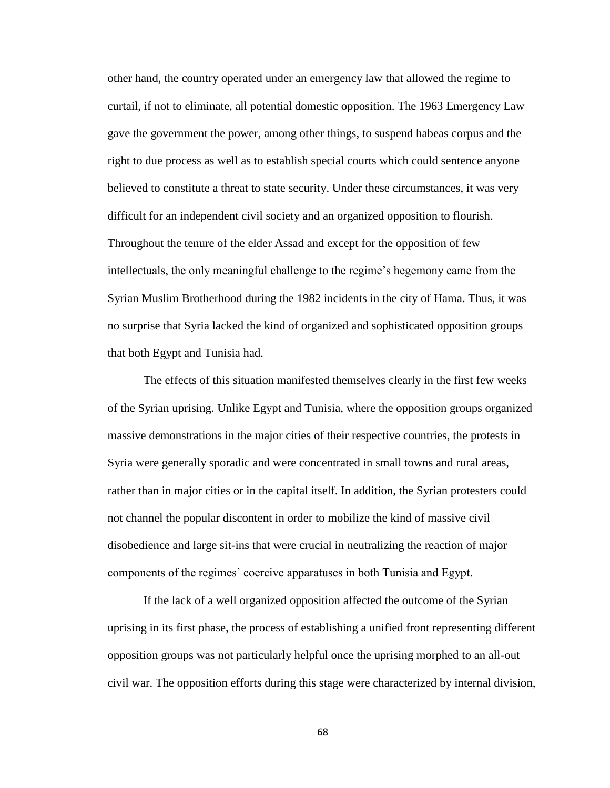other hand, the country operated under an emergency law that allowed the regime to curtail, if not to eliminate, all potential domestic opposition. The 1963 Emergency Law gave the government the power, among other things, to suspend habeas corpus and the right to due process as well as to establish special courts which could sentence anyone believed to constitute a threat to state security. Under these circumstances, it was very difficult for an independent civil society and an organized opposition to flourish. Throughout the tenure of the elder Assad and except for the opposition of few intellectuals, the only meaningful challenge to the regime's hegemony came from the Syrian Muslim Brotherhood during the 1982 incidents in the city of Hama. Thus, it was no surprise that Syria lacked the kind of organized and sophisticated opposition groups that both Egypt and Tunisia had.

The effects of this situation manifested themselves clearly in the first few weeks of the Syrian uprising. Unlike Egypt and Tunisia, where the opposition groups organized massive demonstrations in the major cities of their respective countries, the protests in Syria were generally sporadic and were concentrated in small towns and rural areas, rather than in major cities or in the capital itself. In addition, the Syrian protesters could not channel the popular discontent in order to mobilize the kind of massive civil disobedience and large sit-ins that were crucial in neutralizing the reaction of major components of the regimes' coercive apparatuses in both Tunisia and Egypt.

If the lack of a well organized opposition affected the outcome of the Syrian uprising in its first phase, the process of establishing a unified front representing different opposition groups was not particularly helpful once the uprising morphed to an all-out civil war. The opposition efforts during this stage were characterized by internal division,

68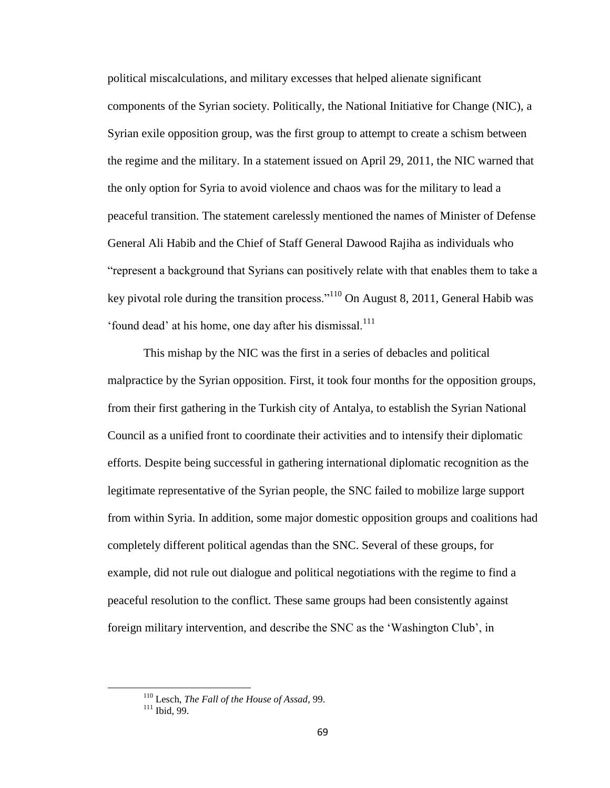political miscalculations, and military excesses that helped alienate significant components of the Syrian society. Politically, the National Initiative for Change (NIC), a Syrian exile opposition group, was the first group to attempt to create a schism between the regime and the military. In a statement issued on April 29, 2011, the NIC warned that the only option for Syria to avoid violence and chaos was for the military to lead a peaceful transition. The statement carelessly mentioned the names of Minister of Defense General Ali Habib and the Chief of Staff General Dawood Rajiha as individuals who "represent a background that Syrians can positively relate with that enables them to take a key pivotal role during the transition process."<sup>110</sup> On August 8, 2011, General Habib was 'found dead' at his home, one day after his dismissal.<sup>111</sup>

This mishap by the NIC was the first in a series of debacles and political malpractice by the Syrian opposition. First, it took four months for the opposition groups, from their first gathering in the Turkish city of Antalya, to establish the Syrian National Council as a unified front to coordinate their activities and to intensify their diplomatic efforts. Despite being successful in gathering international diplomatic recognition as the legitimate representative of the Syrian people, the SNC failed to mobilize large support from within Syria. In addition, some major domestic opposition groups and coalitions had completely different political agendas than the SNC. Several of these groups, for example, did not rule out dialogue and political negotiations with the regime to find a peaceful resolution to the conflict. These same groups had been consistently against foreign military intervention, and describe the SNC as the 'Washington Club', in

<sup>110</sup> Lesch, *The Fall of the House of Assad*, 99.

 $111$  Ibid, 99.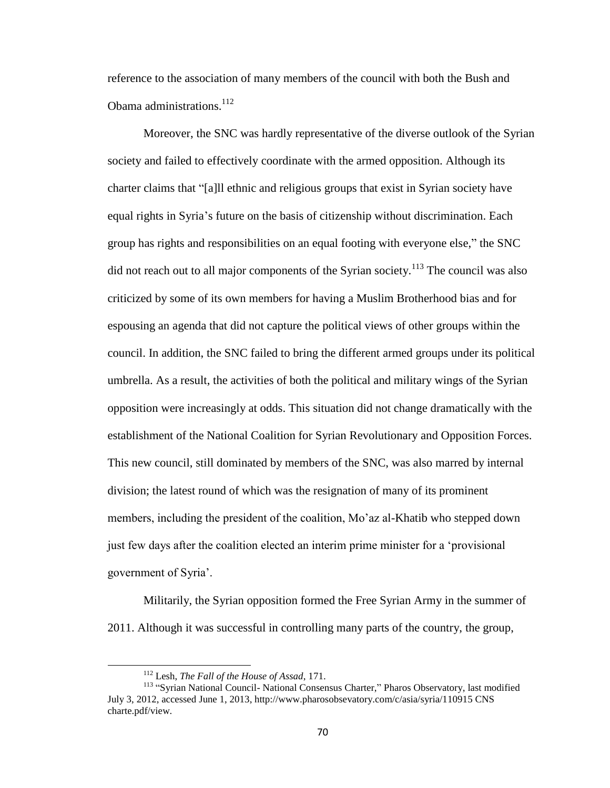reference to the association of many members of the council with both the Bush and Obama administrations.<sup>112</sup>

Moreover, the SNC was hardly representative of the diverse outlook of the Syrian society and failed to effectively coordinate with the armed opposition. Although its charter claims that "[a]ll ethnic and religious groups that exist in Syrian society have equal rights in Syria's future on the basis of citizenship without discrimination. Each group has rights and responsibilities on an equal footing with everyone else," the SNC did not reach out to all major components of the Syrian society.<sup>113</sup> The council was also criticized by some of its own members for having a Muslim Brotherhood bias and for espousing an agenda that did not capture the political views of other groups within the council. In addition, the SNC failed to bring the different armed groups under its political umbrella. As a result, the activities of both the political and military wings of the Syrian opposition were increasingly at odds. This situation did not change dramatically with the establishment of the National Coalition for Syrian Revolutionary and Opposition Forces. This new council, still dominated by members of the SNC, was also marred by internal division; the latest round of which was the resignation of many of its prominent members, including the president of the coalition, Mo'az al-Khatib who stepped down just few days after the coalition elected an interim prime minister for a 'provisional government of Syria'.

Militarily, the Syrian opposition formed the Free Syrian Army in the summer of 2011. Although it was successful in controlling many parts of the country, the group,

<sup>112</sup> Lesh, *The Fall of the House of Assad*, 171.

<sup>&</sup>lt;sup>113</sup> "Syrian National Council- National Consensus Charter," Pharos Observatory, last modified July 3, 2012, accessed June 1, 2013, http://www.pharosobsevatory.com/c/asia/syria/110915 CNS charte.pdf/view.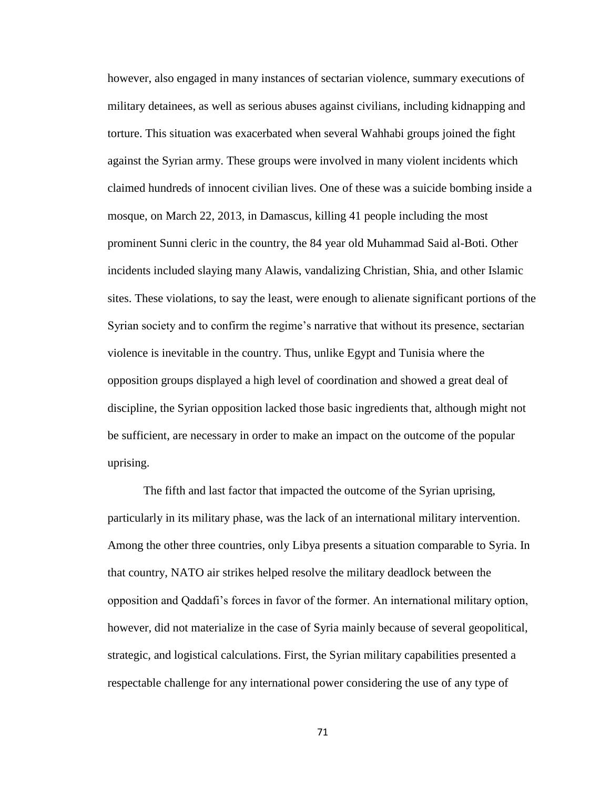however, also engaged in many instances of sectarian violence, summary executions of military detainees, as well as serious abuses against civilians, including kidnapping and torture. This situation was exacerbated when several Wahhabi groups joined the fight against the Syrian army. These groups were involved in many violent incidents which claimed hundreds of innocent civilian lives. One of these was a suicide bombing inside a mosque, on March 22, 2013, in Damascus, killing 41 people including the most prominent Sunni cleric in the country, the 84 year old Muhammad Said al-Boti. Other incidents included slaying many Alawis, vandalizing Christian, Shia, and other Islamic sites. These violations, to say the least, were enough to alienate significant portions of the Syrian society and to confirm the regime's narrative that without its presence, sectarian violence is inevitable in the country. Thus, unlike Egypt and Tunisia where the opposition groups displayed a high level of coordination and showed a great deal of discipline, the Syrian opposition lacked those basic ingredients that, although might not be sufficient, are necessary in order to make an impact on the outcome of the popular uprising.

The fifth and last factor that impacted the outcome of the Syrian uprising, particularly in its military phase, was the lack of an international military intervention. Among the other three countries, only Libya presents a situation comparable to Syria. In that country, NATO air strikes helped resolve the military deadlock between the opposition and Qaddafi's forces in favor of the former. An international military option, however, did not materialize in the case of Syria mainly because of several geopolitical, strategic, and logistical calculations. First, the Syrian military capabilities presented a respectable challenge for any international power considering the use of any type of

71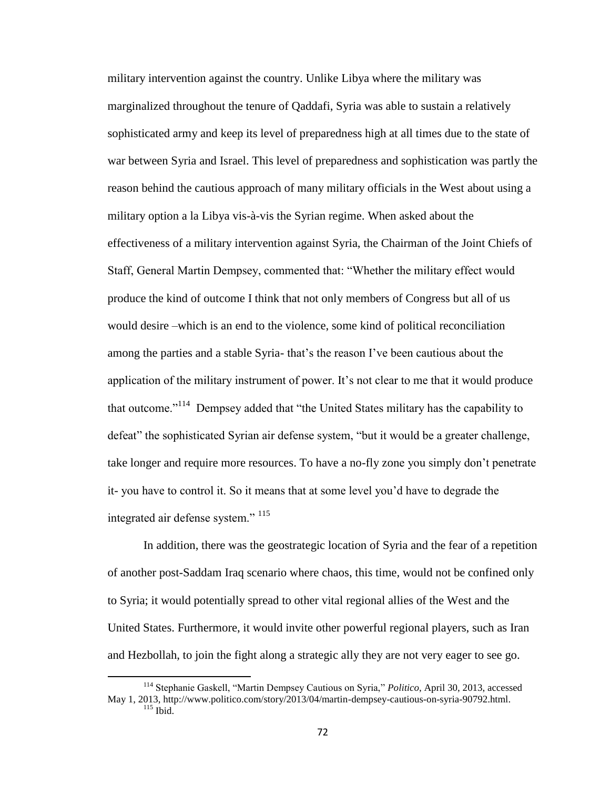military intervention against the country. Unlike Libya where the military was marginalized throughout the tenure of Qaddafi, Syria was able to sustain a relatively sophisticated army and keep its level of preparedness high at all times due to the state of war between Syria and Israel. This level of preparedness and sophistication was partly the reason behind the cautious approach of many military officials in the West about using a military option a la Libya vis-à-vis the Syrian regime. When asked about the effectiveness of a military intervention against Syria, the Chairman of the Joint Chiefs of Staff, General Martin Dempsey, commented that: "Whether the military effect would produce the kind of outcome I think that not only members of Congress but all of us would desire –which is an end to the violence, some kind of political reconciliation among the parties and a stable Syria- that's the reason I've been cautious about the application of the military instrument of power. It's not clear to me that it would produce that outcome."<sup>114</sup> Dempsey added that "the United States military has the capability to defeat" the sophisticated Syrian air defense system, "but it would be a greater challenge, take longer and require more resources. To have a no-fly zone you simply don't penetrate it- you have to control it. So it means that at some level you'd have to degrade the integrated air defense system." <sup>115</sup>

In addition, there was the geostrategic location of Syria and the fear of a repetition of another post-Saddam Iraq scenario where chaos, this time, would not be confined only to Syria; it would potentially spread to other vital regional allies of the West and the United States. Furthermore, it would invite other powerful regional players, such as Iran and Hezbollah, to join the fight along a strategic ally they are not very eager to see go.

<sup>114</sup> Stephanie Gaskell, "Martin Dempsey Cautious on Syria," *Politico*, April 30, 2013, accessed May 1, 2013, http://www.politico.com/story/2013/04/martin-dempsey-cautious-on-syria-90792.html.  $115$  Ibid.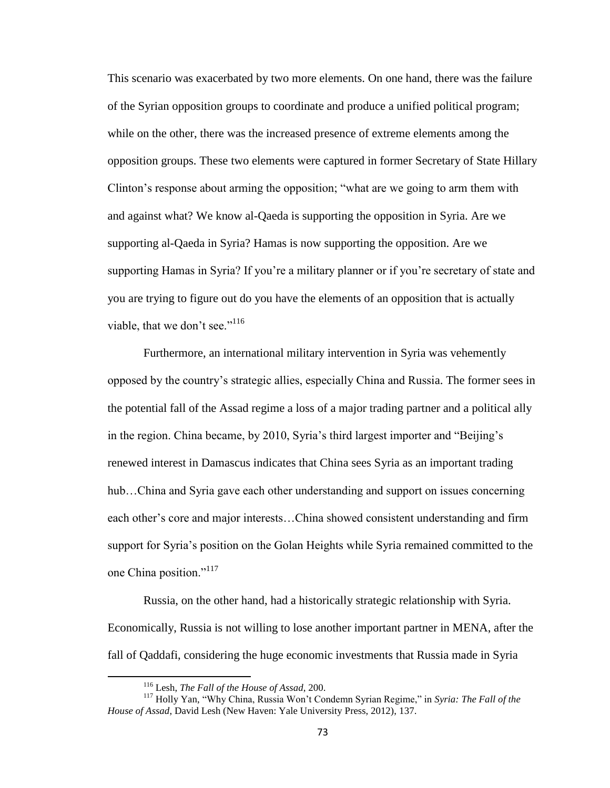This scenario was exacerbated by two more elements. On one hand, there was the failure of the Syrian opposition groups to coordinate and produce a unified political program; while on the other, there was the increased presence of extreme elements among the opposition groups. These two elements were captured in former Secretary of State Hillary Clinton's response about arming the opposition; "what are we going to arm them with and against what? We know al-Qaeda is supporting the opposition in Syria. Are we supporting al-Qaeda in Syria? Hamas is now supporting the opposition. Are we supporting Hamas in Syria? If you're a military planner or if you're secretary of state and you are trying to figure out do you have the elements of an opposition that is actually viable, that we don't see." $116$ 

Furthermore, an international military intervention in Syria was vehemently opposed by the country's strategic allies, especially China and Russia. The former sees in the potential fall of the Assad regime a loss of a major trading partner and a political ally in the region. China became, by 2010, Syria's third largest importer and "Beijing's renewed interest in Damascus indicates that China sees Syria as an important trading hub...China and Syria gave each other understanding and support on issues concerning each other's core and major interests…China showed consistent understanding and firm support for Syria's position on the Golan Heights while Syria remained committed to the one China position."<sup>117</sup>

Russia, on the other hand, had a historically strategic relationship with Syria. Economically, Russia is not willing to lose another important partner in MENA, after the fall of Qaddafi, considering the huge economic investments that Russia made in Syria

<sup>116</sup> Lesh, *The Fall of the House of Assad*, 200.

<sup>117</sup> Holly Yan, "Why China, Russia Won't Condemn Syrian Regime," in *Syria: The Fall of the House of Assad*, David Lesh (New Haven: Yale University Press, 2012), 137.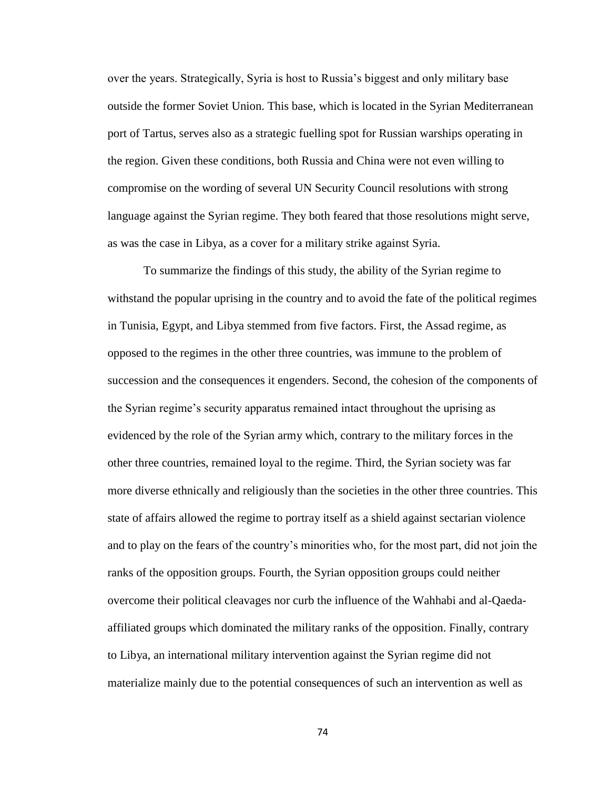over the years. Strategically, Syria is host to Russia's biggest and only military base outside the former Soviet Union. This base, which is located in the Syrian Mediterranean port of Tartus, serves also as a strategic fuelling spot for Russian warships operating in the region. Given these conditions, both Russia and China were not even willing to compromise on the wording of several UN Security Council resolutions with strong language against the Syrian regime. They both feared that those resolutions might serve, as was the case in Libya, as a cover for a military strike against Syria.

To summarize the findings of this study, the ability of the Syrian regime to withstand the popular uprising in the country and to avoid the fate of the political regimes in Tunisia, Egypt, and Libya stemmed from five factors. First, the Assad regime, as opposed to the regimes in the other three countries, was immune to the problem of succession and the consequences it engenders. Second, the cohesion of the components of the Syrian regime's security apparatus remained intact throughout the uprising as evidenced by the role of the Syrian army which, contrary to the military forces in the other three countries, remained loyal to the regime. Third, the Syrian society was far more diverse ethnically and religiously than the societies in the other three countries. This state of affairs allowed the regime to portray itself as a shield against sectarian violence and to play on the fears of the country's minorities who, for the most part, did not join the ranks of the opposition groups. Fourth, the Syrian opposition groups could neither overcome their political cleavages nor curb the influence of the Wahhabi and al-Qaedaaffiliated groups which dominated the military ranks of the opposition. Finally, contrary to Libya, an international military intervention against the Syrian regime did not materialize mainly due to the potential consequences of such an intervention as well as

74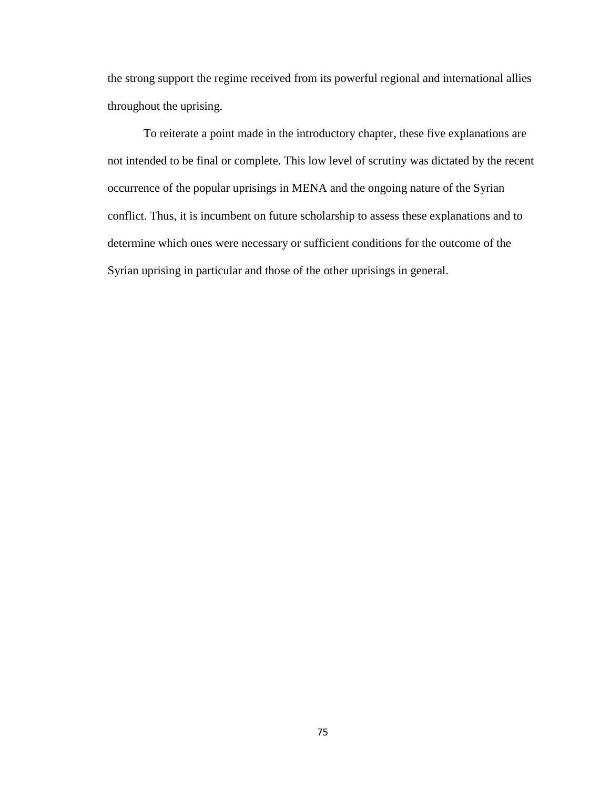the strong support the regime received from its powerful regional and international allies throughout the uprising.

To reiterate a point made in the introductory chapter, these five explanations are not intended to be final or complete. This low level of scrutiny was dictated by the recent occurrence of the popular uprisings in MENA and the ongoing nature of the Syrian conflict. Thus, it is incumbent on future scholarship to assess these explanations and to determine which ones were necessary or sufficient conditions for the outcome of the Syrian uprising in particular and those of the other uprisings in general.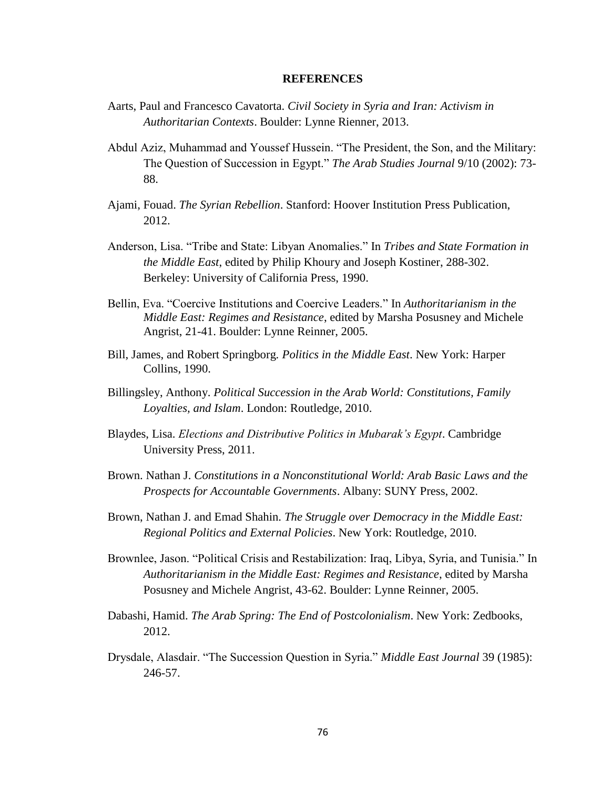## **REFERENCES**

- Aarts, Paul and Francesco Cavatorta. *Civil Society in Syria and Iran: Activism in Authoritarian Contexts*. Boulder: Lynne Rienner, 2013.
- Abdul Aziz, Muhammad and Youssef Hussein. "The President, the Son, and the Military: The Question of Succession in Egypt." *The Arab Studies Journal* 9/10 (2002): 73- 88.
- Ajami, Fouad. *The Syrian Rebellion*. Stanford: Hoover Institution Press Publication, 2012.
- Anderson, Lisa. "Tribe and State: Libyan Anomalies." In *Tribes and State Formation in the Middle East*, edited by Philip Khoury and Joseph Kostiner, 288-302. Berkeley: University of California Press, 1990.
- Bellin, Eva. "Coercive Institutions and Coercive Leaders." In *Authoritarianism in the Middle East: Regimes and Resistance*, edited by Marsha Posusney and Michele Angrist, 21-41. Boulder: Lynne Reinner, 2005.
- Bill, James, and Robert Springborg*. Politics in the Middle East*. New York: Harper Collins, 1990.
- Billingsley, Anthony. *Political Succession in the Arab World: Constitutions, Family Loyalties, and Islam*. London: Routledge, 2010.
- Blaydes, Lisa. *Elections and Distributive Politics in Mubarak's Egypt*. Cambridge University Press, 2011.
- Brown. Nathan J. *Constitutions in a Nonconstitutional World: Arab Basic Laws and the Prospects for Accountable Governments*. Albany: SUNY Press, 2002.
- Brown, Nathan J. and Emad Shahin. *The Struggle over Democracy in the Middle East: Regional Politics and External Policies*. New York: Routledge, 2010.
- Brownlee, Jason. "Political Crisis and Restabilization: Iraq, Libya, Syria, and Tunisia." In *Authoritarianism in the Middle East: Regimes and Resistance*, edited by Marsha Posusney and Michele Angrist, 43-62. Boulder: Lynne Reinner, 2005.
- Dabashi, Hamid. *The Arab Spring: The End of Postcolonialism*. New York: Zedbooks, 2012.
- Drysdale, Alasdair. "The Succession Question in Syria." *Middle East Journal* 39 (1985): 246-57.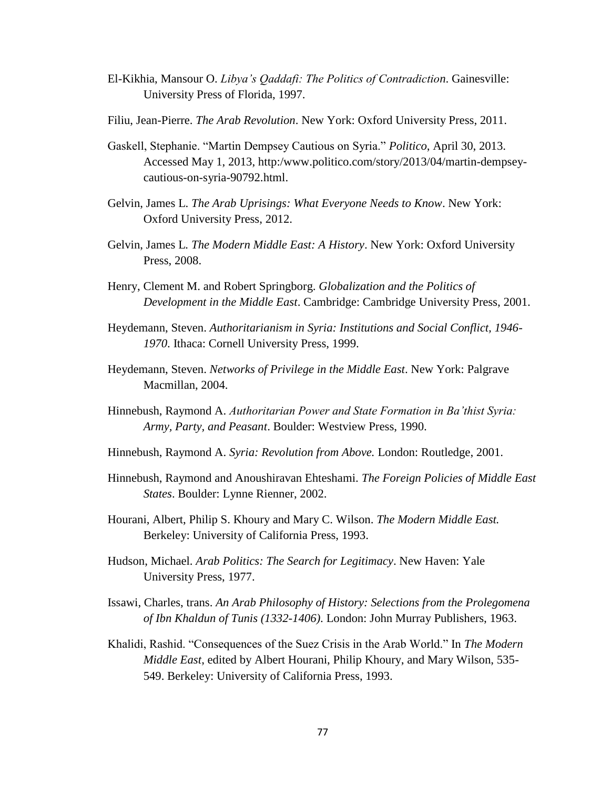- El-Kikhia, Mansour O. *Libya's Qaddafi: The Politics of Contradiction*. Gainesville: University Press of Florida, 1997.
- Filiu, Jean-Pierre. *The Arab Revolution*. New York: Oxford University Press, 2011.
- Gaskell, Stephanie. "Martin Dempsey Cautious on Syria." *Politico*, April 30, 2013. Accessed May 1, 2013, http:/www.politico.com/story/2013/04/martin-dempseycautious-on-syria-90792.html.
- Gelvin, James L. *The Arab Uprisings: What Everyone Needs to Know*. New York: Oxford University Press, 2012.
- Gelvin, James L*. The Modern Middle East: A History*. New York: Oxford University Press, 2008.
- Henry, Clement M. and Robert Springborg. *Globalization and the Politics of Development in the Middle East*. Cambridge: Cambridge University Press, 2001.
- Heydemann, Steven. *Authoritarianism in Syria: Institutions and Social Conflict, 1946 1970*. Ithaca: Cornell University Press, 1999.
- Heydemann, Steven. *Networks of Privilege in the Middle East*. New York: Palgrave Macmillan, 2004.
- Hinnebush, Raymond A. *Authoritarian Power and State Formation in Ba'thist Syria: Army, Party, and Peasant*. Boulder: Westview Press, 1990.
- Hinnebush, Raymond A. *Syria: Revolution from Above.* London: Routledge, 2001.
- Hinnebush, Raymond and Anoushiravan Ehteshami. *The Foreign Policies of Middle East States*. Boulder: Lynne Rienner, 2002.
- Hourani, Albert, Philip S. Khoury and Mary C. Wilson. *The Modern Middle East.* Berkeley: University of California Press, 1993.
- Hudson, Michael. *Arab Politics: The Search for Legitimacy*. New Haven: Yale University Press, 1977.
- Issawi, Charles, trans. *An Arab Philosophy of History: Selections from the Prolegomena of Ibn Khaldun of Tunis (1332-1406)*. London: John Murray Publishers, 1963.
- Khalidi, Rashid. "Consequences of the Suez Crisis in the Arab World." In *The Modern Middle East*, edited by Albert Hourani, Philip Khoury, and Mary Wilson, 535- 549. Berkeley: University of California Press, 1993.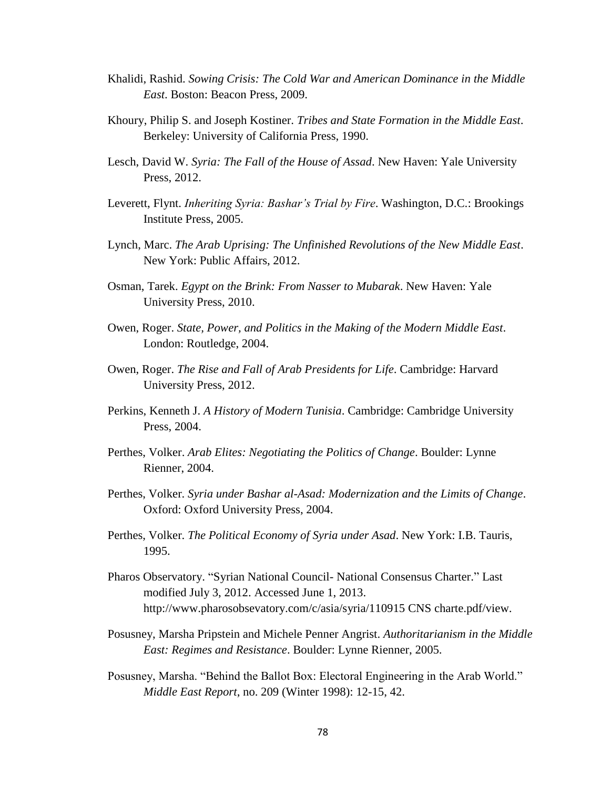- Khalidi, Rashid. *Sowing Crisis: The Cold War and American Dominance in the Middle East*. Boston: Beacon Press, 2009.
- Khoury, Philip S. and Joseph Kostiner. *Tribes and State Formation in the Middle East*. Berkeley: University of California Press, 1990.
- Lesch, David W. *Syria: The Fall of the House of Assad*. New Haven: Yale University Press, 2012.
- Leverett, Flynt. *Inheriting Syria: Bashar's Trial by Fire*. Washington, D.C.: Brookings Institute Press, 2005.
- Lynch, Marc. *The Arab Uprising: The Unfinished Revolutions of the New Middle East*. New York: Public Affairs, 2012.
- Osman, Tarek. *Egypt on the Brink: From Nasser to Mubarak*. New Haven: Yale University Press, 2010.
- Owen, Roger. *State, Power, and Politics in the Making of the Modern Middle East*. London: Routledge, 2004.
- Owen, Roger. *The Rise and Fall of Arab Presidents for Life*. Cambridge: Harvard University Press, 2012.
- Perkins, Kenneth J. *A History of Modern Tunisia*. Cambridge: Cambridge University Press, 2004.
- Perthes, Volker. *Arab Elites: Negotiating the Politics of Change*. Boulder: Lynne Rienner, 2004.
- Perthes, Volker. *Syria under Bashar al-Asad: Modernization and the Limits of Change*. Oxford: Oxford University Press, 2004.
- Perthes, Volker. *The Political Economy of Syria under Asad*. New York: I.B. Tauris, 1995.
- Pharos Observatory. "Syrian National Council- National Consensus Charter." Last modified July 3, 2012. Accessed June 1, 2013. http://www.pharosobsevatory.com/c/asia/syria/110915 CNS charte.pdf/view.
- Posusney, Marsha Pripstein and Michele Penner Angrist. *Authoritarianism in the Middle East: Regimes and Resistance*. Boulder: Lynne Rienner, 2005.
- Posusney, Marsha. "Behind the Ballot Box: Electoral Engineering in the Arab World." *Middle East Report*, no. 209 (Winter 1998): 12-15, 42.